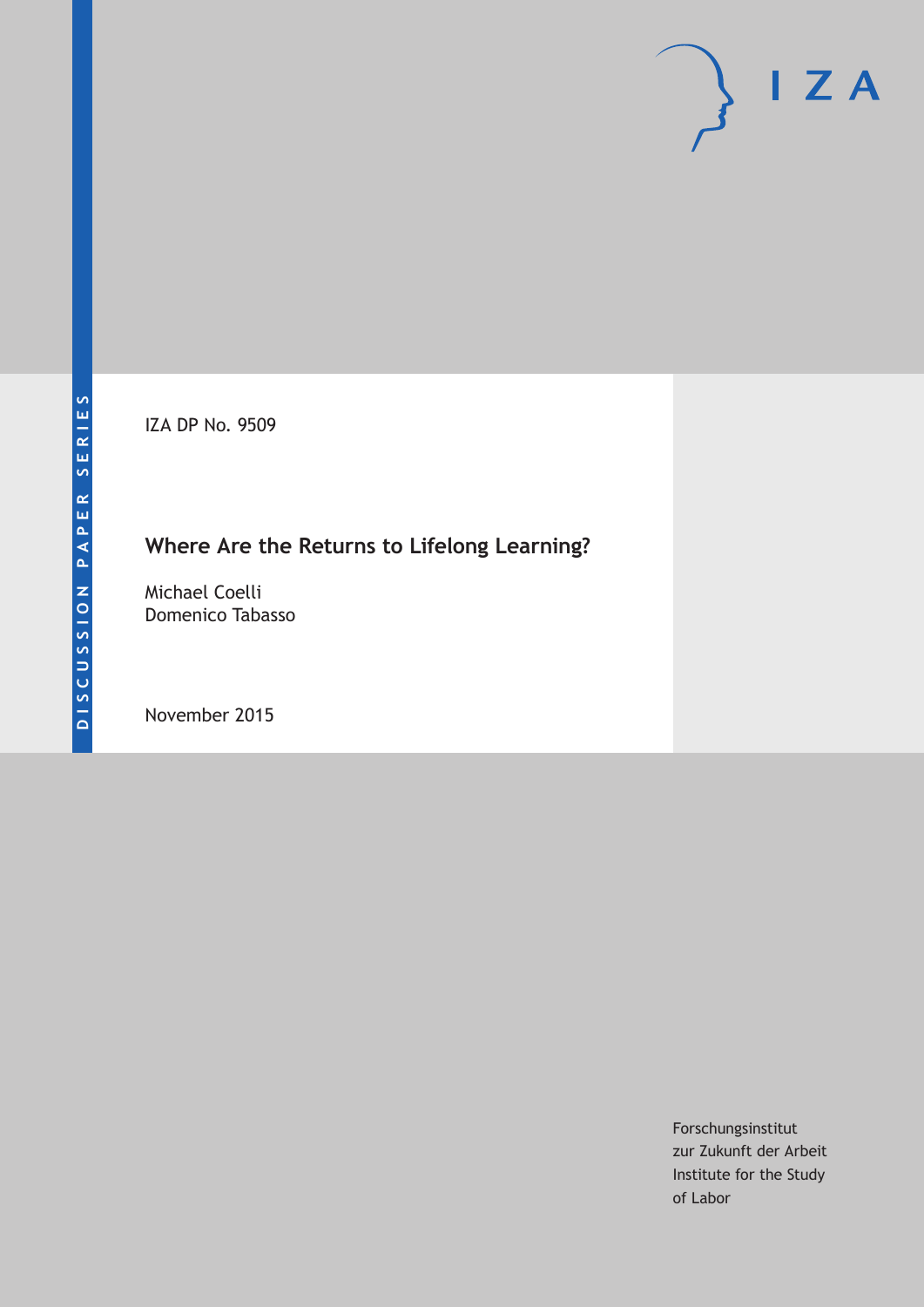IZA DP No. 9509

# **Where Are the Returns to Lifelong Learning?**

Michael Coelli Domenico Tabasso

November 2015

Forschungsinstitut zur Zukunft der Arbeit Institute for the Study of Labor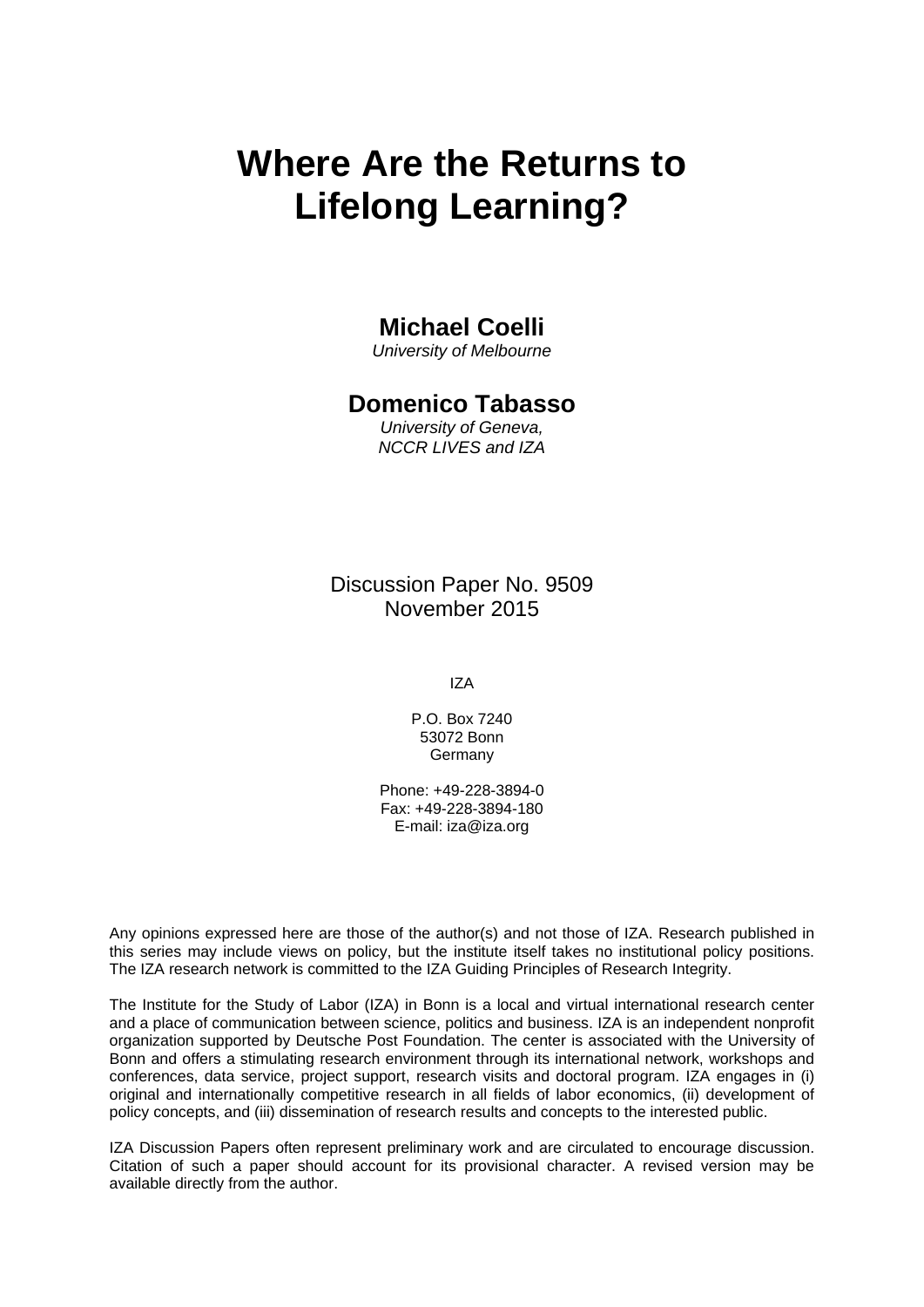# **Where Are the Returns to Lifelong Learning?**

### **Michael Coelli**

*University of Melbourne* 

### **Domenico Tabasso**

*University of Geneva, NCCR LIVES and IZA* 

Discussion Paper No. 9509 November 2015

IZA

P.O. Box 7240 53072 Bonn **Germany** 

Phone: +49-228-3894-0 Fax: +49-228-3894-180 E-mail: iza@iza.org

Any opinions expressed here are those of the author(s) and not those of IZA. Research published in this series may include views on policy, but the institute itself takes no institutional policy positions. The IZA research network is committed to the IZA Guiding Principles of Research Integrity.

The Institute for the Study of Labor (IZA) in Bonn is a local and virtual international research center and a place of communication between science, politics and business. IZA is an independent nonprofit organization supported by Deutsche Post Foundation. The center is associated with the University of Bonn and offers a stimulating research environment through its international network, workshops and conferences, data service, project support, research visits and doctoral program. IZA engages in (i) original and internationally competitive research in all fields of labor economics, (ii) development of policy concepts, and (iii) dissemination of research results and concepts to the interested public.

IZA Discussion Papers often represent preliminary work and are circulated to encourage discussion. Citation of such a paper should account for its provisional character. A revised version may be available directly from the author.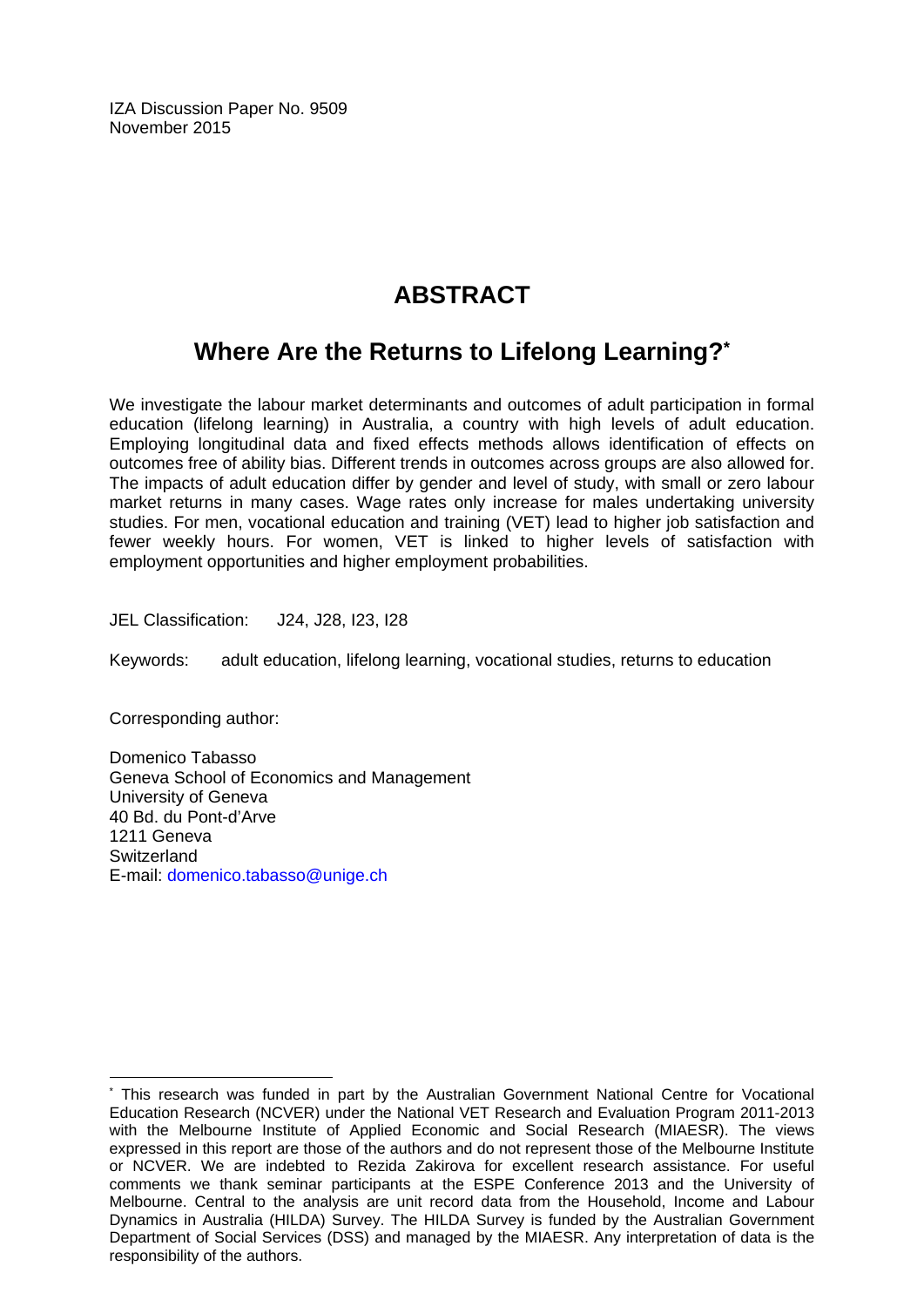IZA Discussion Paper No. 9509 November 2015

# **ABSTRACT**

## **Where Are the Returns to Lifelong Learning?\***

We investigate the labour market determinants and outcomes of adult participation in formal education (lifelong learning) in Australia, a country with high levels of adult education. Employing longitudinal data and fixed effects methods allows identification of effects on outcomes free of ability bias. Different trends in outcomes across groups are also allowed for. The impacts of adult education differ by gender and level of study, with small or zero labour market returns in many cases. Wage rates only increase for males undertaking university studies. For men, vocational education and training (VET) lead to higher job satisfaction and fewer weekly hours. For women, VET is linked to higher levels of satisfaction with employment opportunities and higher employment probabilities.

JEL Classification: J24, J28, I23, I28

Keywords: adult education, lifelong learning, vocational studies, returns to education

Corresponding author:

Domenico Tabasso Geneva School of Economics and Management University of Geneva 40 Bd. du Pont-d'Arve 1211 Geneva **Switzerland** E-mail: domenico.tabasso@unige.ch

 $\overline{a}$ \* This research was funded in part by the Australian Government National Centre for Vocational Education Research (NCVER) under the National VET Research and Evaluation Program 2011-2013 with the Melbourne Institute of Applied Economic and Social Research (MIAESR). The views expressed in this report are those of the authors and do not represent those of the Melbourne Institute or NCVER. We are indebted to Rezida Zakirova for excellent research assistance. For useful comments we thank seminar participants at the ESPE Conference 2013 and the University of Melbourne. Central to the analysis are unit record data from the Household, Income and Labour Dynamics in Australia (HILDA) Survey. The HILDA Survey is funded by the Australian Government Department of Social Services (DSS) and managed by the MIAESR. Any interpretation of data is the responsibility of the authors.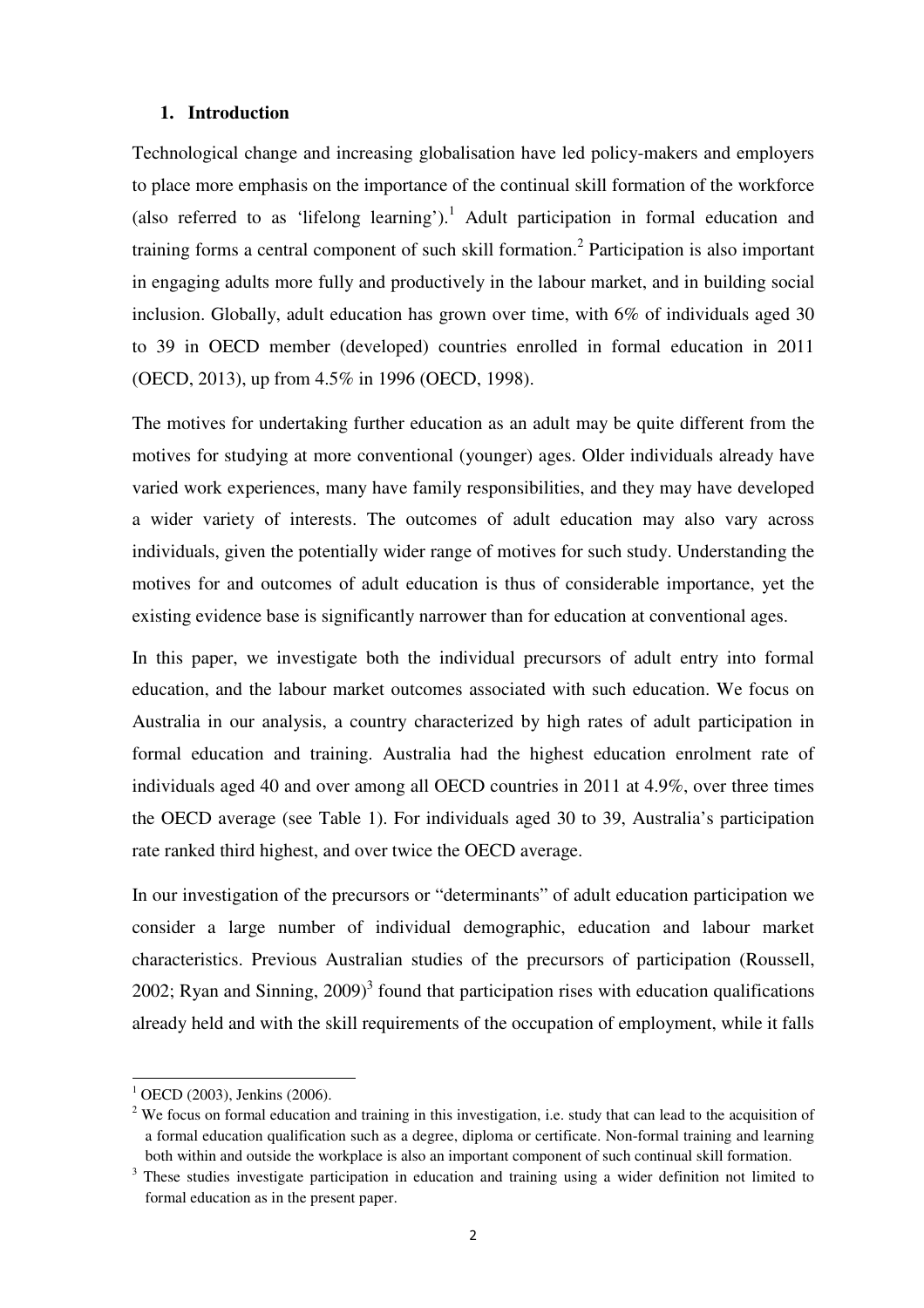#### **1. Introduction**

Technological change and increasing globalisation have led policy-makers and employers to place more emphasis on the importance of the continual skill formation of the workforce (also referred to as 'lifelong learning').<sup>1</sup> Adult participation in formal education and training forms a central component of such skill formation.<sup>2</sup> Participation is also important in engaging adults more fully and productively in the labour market, and in building social inclusion. Globally, adult education has grown over time, with 6% of individuals aged 30 to 39 in OECD member (developed) countries enrolled in formal education in 2011 (OECD, 2013), up from 4.5% in 1996 (OECD, 1998).

The motives for undertaking further education as an adult may be quite different from the motives for studying at more conventional (younger) ages. Older individuals already have varied work experiences, many have family responsibilities, and they may have developed a wider variety of interests. The outcomes of adult education may also vary across individuals, given the potentially wider range of motives for such study. Understanding the motives for and outcomes of adult education is thus of considerable importance, yet the existing evidence base is significantly narrower than for education at conventional ages.

In this paper, we investigate both the individual precursors of adult entry into formal education, and the labour market outcomes associated with such education. We focus on Australia in our analysis, a country characterized by high rates of adult participation in formal education and training. Australia had the highest education enrolment rate of individuals aged 40 and over among all OECD countries in 2011 at 4.9%, over three times the OECD average (see Table 1). For individuals aged 30 to 39, Australia's participation rate ranked third highest, and over twice the OECD average.

In our investigation of the precursors or "determinants" of adult education participation we consider a large number of individual demographic, education and labour market characteristics. Previous Australian studies of the precursors of participation (Roussell, 2002; Ryan and Sinning,  $2009$ <sup>3</sup> found that participation rises with education qualifications already held and with the skill requirements of the occupation of employment, while it falls

 $\overline{a}$ 

 $^{1}$  OECD (2003), Jenkins (2006).

 $2$  We focus on formal education and training in this investigation, i.e. study that can lead to the acquisition of a formal education qualification such as a degree, diploma or certificate. Non-formal training and learning both within and outside the workplace is also an important component of such continual skill formation.

<sup>&</sup>lt;sup>3</sup> These studies investigate participation in education and training using a wider definition not limited to formal education as in the present paper.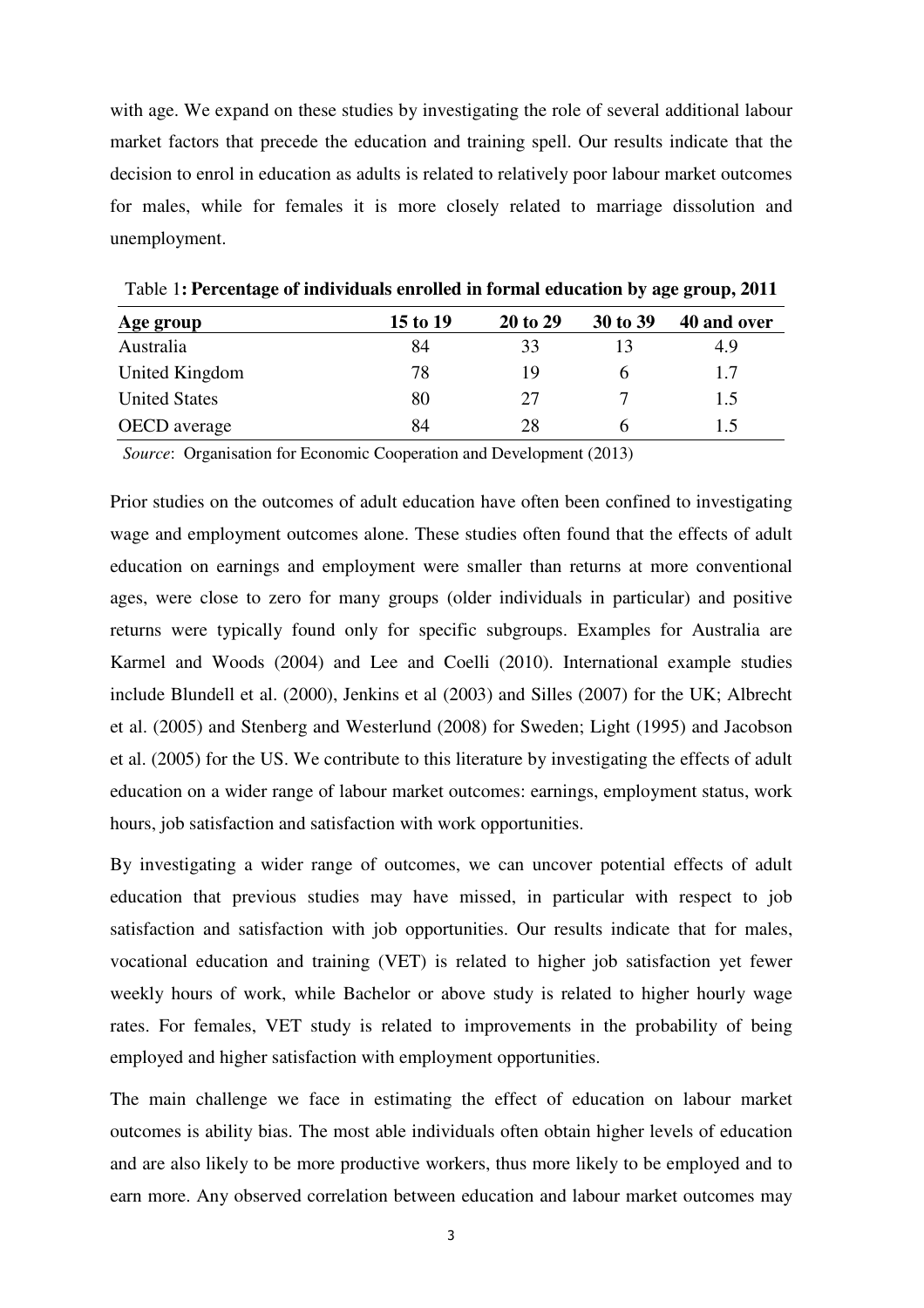with age. We expand on these studies by investigating the role of several additional labour market factors that precede the education and training spell. Our results indicate that the decision to enrol in education as adults is related to relatively poor labour market outcomes for males, while for females it is more closely related to marriage dissolution and unemployment.

| Age group            | 15 to 19 | 20 to 29 | 30 to 39 | 40 and over |
|----------------------|----------|----------|----------|-------------|
| Australia            | 84       | 33       |          | 4.9         |
| United Kingdom       | 78       | 19       |          |             |
| <b>United States</b> | 80       | 27       |          | 1.5         |
| <b>OECD</b> average  | 84       | 28       |          |             |

Table 1**: Percentage of individuals enrolled in formal education by age group, 2011** 

*Source*: Organisation for Economic Cooperation and Development (2013)

Prior studies on the outcomes of adult education have often been confined to investigating wage and employment outcomes alone. These studies often found that the effects of adult education on earnings and employment were smaller than returns at more conventional ages, were close to zero for many groups (older individuals in particular) and positive returns were typically found only for specific subgroups. Examples for Australia are Karmel and Woods (2004) and Lee and Coelli (2010). International example studies include Blundell et al. (2000), Jenkins et al (2003) and Silles (2007) for the UK; Albrecht et al. (2005) and Stenberg and Westerlund (2008) for Sweden; Light (1995) and Jacobson et al. (2005) for the US. We contribute to this literature by investigating the effects of adult education on a wider range of labour market outcomes: earnings, employment status, work hours, job satisfaction and satisfaction with work opportunities.

By investigating a wider range of outcomes, we can uncover potential effects of adult education that previous studies may have missed, in particular with respect to job satisfaction and satisfaction with job opportunities. Our results indicate that for males, vocational education and training (VET) is related to higher job satisfaction yet fewer weekly hours of work, while Bachelor or above study is related to higher hourly wage rates. For females, VET study is related to improvements in the probability of being employed and higher satisfaction with employment opportunities.

The main challenge we face in estimating the effect of education on labour market outcomes is ability bias. The most able individuals often obtain higher levels of education and are also likely to be more productive workers, thus more likely to be employed and to earn more. Any observed correlation between education and labour market outcomes may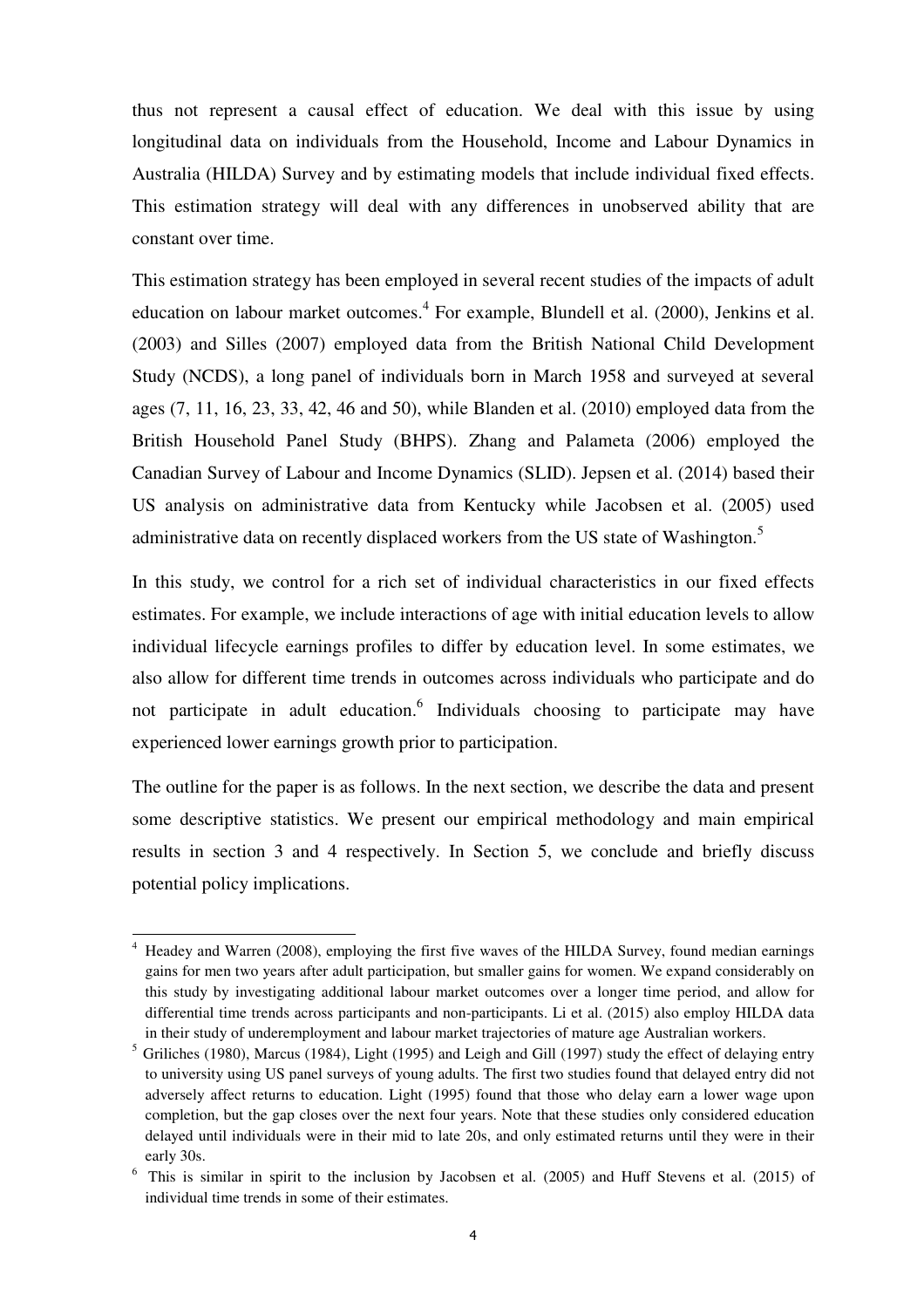thus not represent a causal effect of education. We deal with this issue by using longitudinal data on individuals from the Household, Income and Labour Dynamics in Australia (HILDA) Survey and by estimating models that include individual fixed effects. This estimation strategy will deal with any differences in unobserved ability that are constant over time.

This estimation strategy has been employed in several recent studies of the impacts of adult education on labour market outcomes.<sup>4</sup> For example, Blundell et al. (2000), Jenkins et al. (2003) and Silles (2007) employed data from the British National Child Development Study (NCDS), a long panel of individuals born in March 1958 and surveyed at several ages (7, 11, 16, 23, 33, 42, 46 and 50), while Blanden et al. (2010) employed data from the British Household Panel Study (BHPS). Zhang and Palameta (2006) employed the Canadian Survey of Labour and Income Dynamics (SLID). Jepsen et al. (2014) based their US analysis on administrative data from Kentucky while Jacobsen et al. (2005) used administrative data on recently displaced workers from the US state of Washington.<sup>5</sup>

In this study, we control for a rich set of individual characteristics in our fixed effects estimates. For example, we include interactions of age with initial education levels to allow individual lifecycle earnings profiles to differ by education level. In some estimates, we also allow for different time trends in outcomes across individuals who participate and do not participate in adult education.<sup>6</sup> Individuals choosing to participate may have experienced lower earnings growth prior to participation.

The outline for the paper is as follows. In the next section, we describe the data and present some descriptive statistics. We present our empirical methodology and main empirical results in section 3 and 4 respectively. In Section 5, we conclude and briefly discuss potential policy implications.

 $\overline{a}$ 

<sup>4</sup> Headey and Warren (2008), employing the first five waves of the HILDA Survey, found median earnings gains for men two years after adult participation, but smaller gains for women. We expand considerably on this study by investigating additional labour market outcomes over a longer time period, and allow for differential time trends across participants and non-participants. Li et al. (2015) also employ HILDA data in their study of underemployment and labour market trajectories of mature age Australian workers.

<sup>5</sup>Griliches (1980), Marcus (1984), Light (1995) and Leigh and Gill (1997) study the effect of delaying entry to university using US panel surveys of young adults. The first two studies found that delayed entry did not adversely affect returns to education. Light (1995) found that those who delay earn a lower wage upon completion, but the gap closes over the next four years. Note that these studies only considered education delayed until individuals were in their mid to late 20s, and only estimated returns until they were in their early 30s.

<sup>6</sup> This is similar in spirit to the inclusion by Jacobsen et al. (2005) and Huff Stevens et al. (2015) of individual time trends in some of their estimates.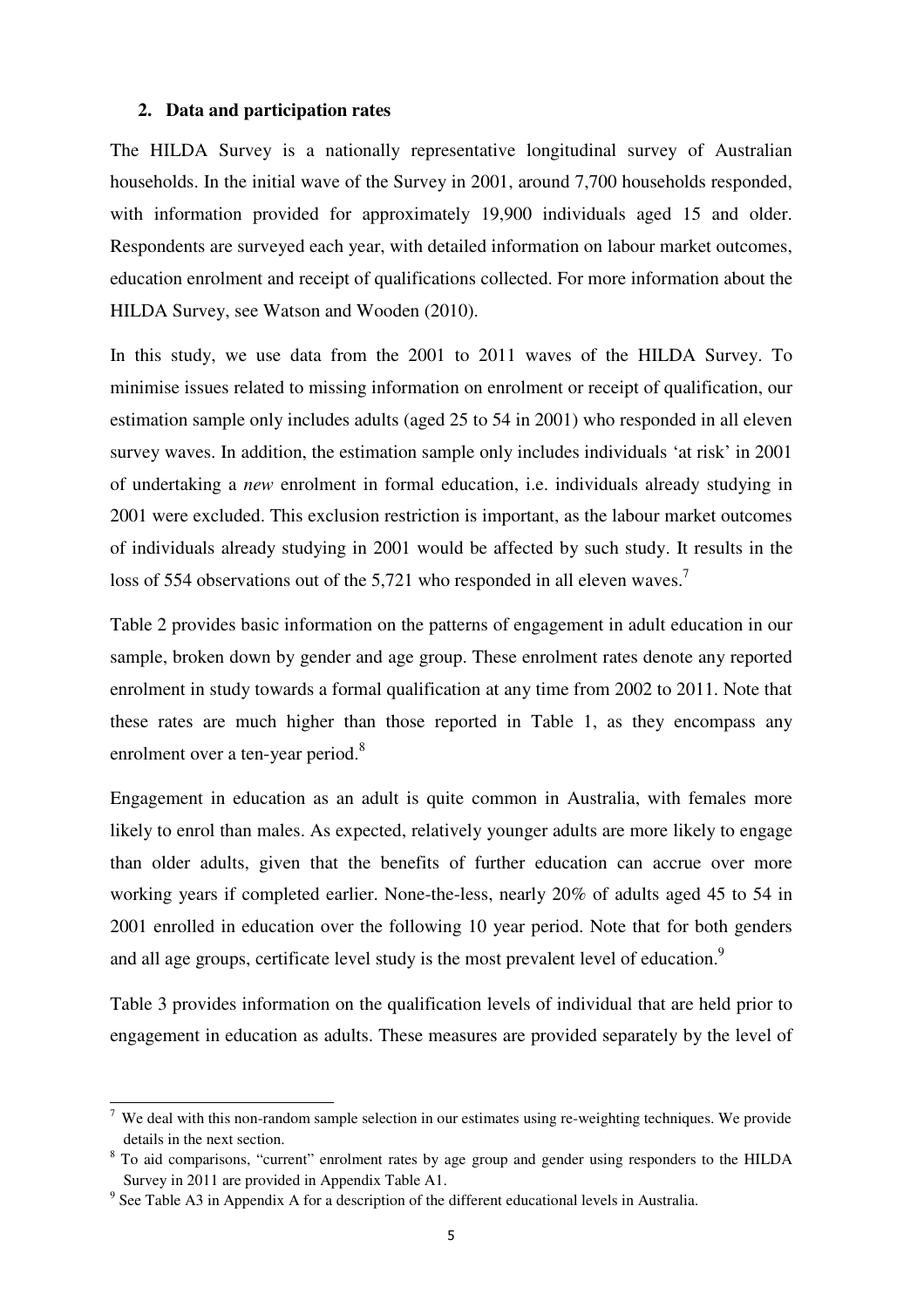#### **2. Data and participation rates**

The HILDA Survey is a nationally representative longitudinal survey of Australian households. In the initial wave of the Survey in 2001, around 7,700 households responded, with information provided for approximately 19,900 individuals aged 15 and older. Respondents are surveyed each year, with detailed information on labour market outcomes, education enrolment and receipt of qualifications collected. For more information about the HILDA Survey, see Watson and Wooden (2010).

In this study, we use data from the 2001 to 2011 waves of the HILDA Survey. To minimise issues related to missing information on enrolment or receipt of qualification, our estimation sample only includes adults (aged 25 to 54 in 2001) who responded in all eleven survey waves. In addition, the estimation sample only includes individuals 'at risk' in 2001 of undertaking a *new* enrolment in formal education, i.e. individuals already studying in 2001 were excluded. This exclusion restriction is important, as the labour market outcomes of individuals already studying in 2001 would be affected by such study. It results in the loss of 554 observations out of the 5,721 who responded in all eleven waves.<sup>7</sup>

Table 2 provides basic information on the patterns of engagement in adult education in our sample, broken down by gender and age group. These enrolment rates denote any reported enrolment in study towards a formal qualification at any time from 2002 to 2011. Note that these rates are much higher than those reported in Table 1, as they encompass any enrolment over a ten-year period.<sup>8</sup>

Engagement in education as an adult is quite common in Australia, with females more likely to enrol than males. As expected, relatively younger adults are more likely to engage than older adults, given that the benefits of further education can accrue over more working years if completed earlier. None-the-less, nearly 20% of adults aged 45 to 54 in 2001 enrolled in education over the following 10 year period. Note that for both genders and all age groups, certificate level study is the most prevalent level of education.<sup>9</sup>

Table 3 provides information on the qualification levels of individual that are held prior to engagement in education as adults. These measures are provided separately by the level of

L

 $7$  We deal with this non-random sample selection in our estimates using re-weighting techniques. We provide details in the next section.

<sup>&</sup>lt;sup>8</sup> To aid comparisons, "current" enrolment rates by age group and gender using responders to the HILDA Survey in 2011 are provided in Appendix Table A1.

 $9^9$  See Table A3 in Appendix A for a description of the different educational levels in Australia.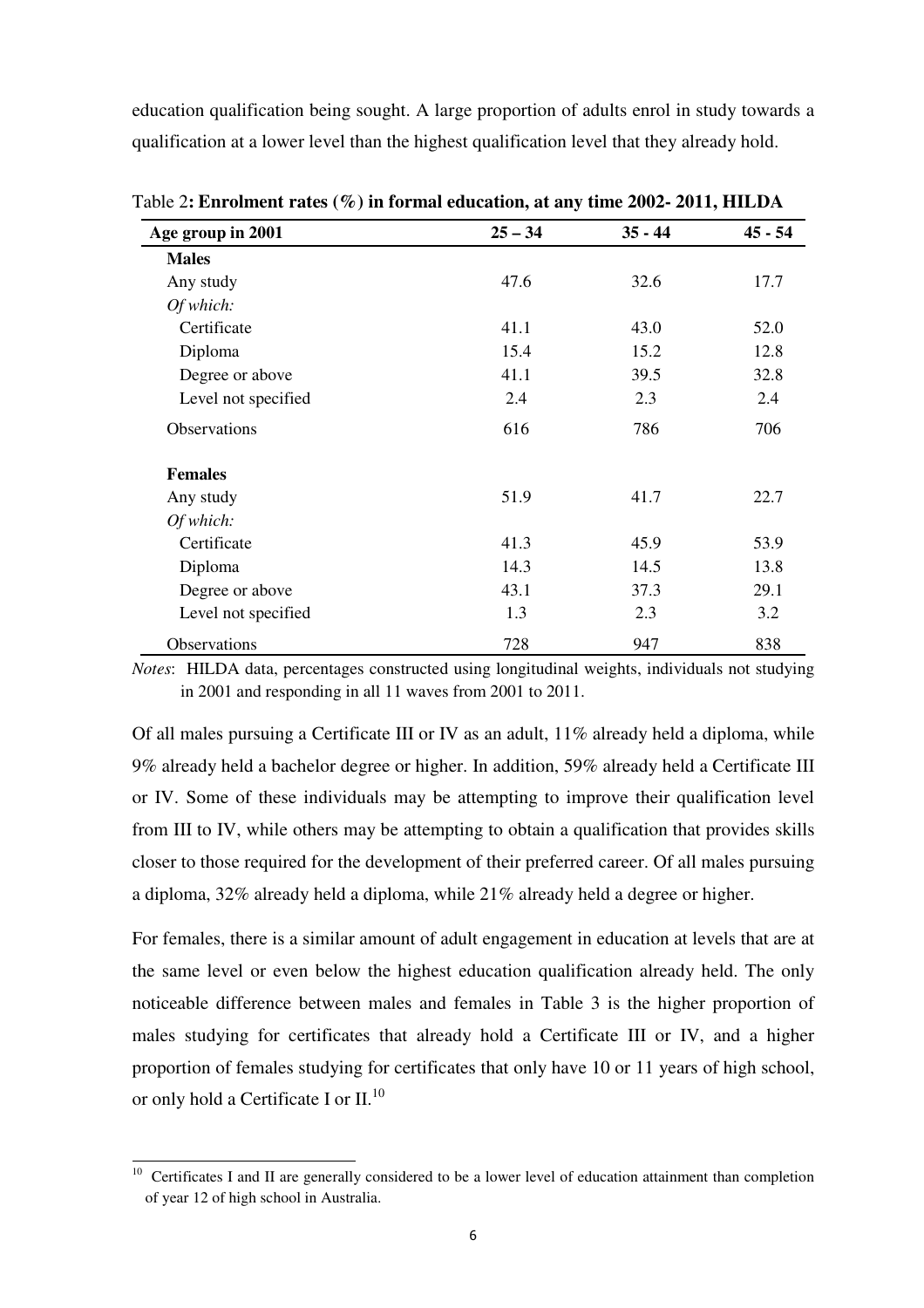education qualification being sought. A large proportion of adults enrol in study towards a qualification at a lower level than the highest qualification level that they already hold.

| Age group in 2001   | $25 - 34$ | $35 - 44$ | $45 - 54$ |
|---------------------|-----------|-----------|-----------|
| <b>Males</b>        |           |           |           |
| Any study           | 47.6      | 32.6      | 17.7      |
| Of which:           |           |           |           |
| Certificate         | 41.1      | 43.0      | 52.0      |
| Diploma             | 15.4      | 15.2      | 12.8      |
| Degree or above     | 41.1      | 39.5      | 32.8      |
| Level not specified | 2.4       | 2.3       | 2.4       |
| Observations        | 616       | 786       | 706       |
| <b>Females</b>      |           |           |           |
| Any study           | 51.9      | 41.7      | 22.7      |
| Of which:           |           |           |           |
| Certificate         | 41.3      | 45.9      | 53.9      |
| Diploma             | 14.3      | 14.5      | 13.8      |
| Degree or above     | 43.1      | 37.3      | 29.1      |
| Level not specified | 1.3       | 2.3       | 3.2       |
| Observations        | 728       | 947       | 838       |

Table 2**: Enrolment rates (%) in formal education, at any time 2002- 2011, HILDA** 

*Notes*: HILDA data, percentages constructed using longitudinal weights, individuals not studying in 2001 and responding in all 11 waves from 2001 to 2011.

Of all males pursuing a Certificate III or IV as an adult, 11% already held a diploma, while 9% already held a bachelor degree or higher. In addition, 59% already held a Certificate III or IV. Some of these individuals may be attempting to improve their qualification level from III to IV, while others may be attempting to obtain a qualification that provides skills closer to those required for the development of their preferred career. Of all males pursuing a diploma, 32% already held a diploma, while 21% already held a degree or higher.

For females, there is a similar amount of adult engagement in education at levels that are at the same level or even below the highest education qualification already held. The only noticeable difference between males and females in Table 3 is the higher proportion of males studying for certificates that already hold a Certificate III or IV, and a higher proportion of females studying for certificates that only have 10 or 11 years of high school, or only hold a Certificate I or II.<sup>10</sup>

l,

<sup>&</sup>lt;sup>10</sup> Certificates I and II are generally considered to be a lower level of education attainment than completion of year 12 of high school in Australia.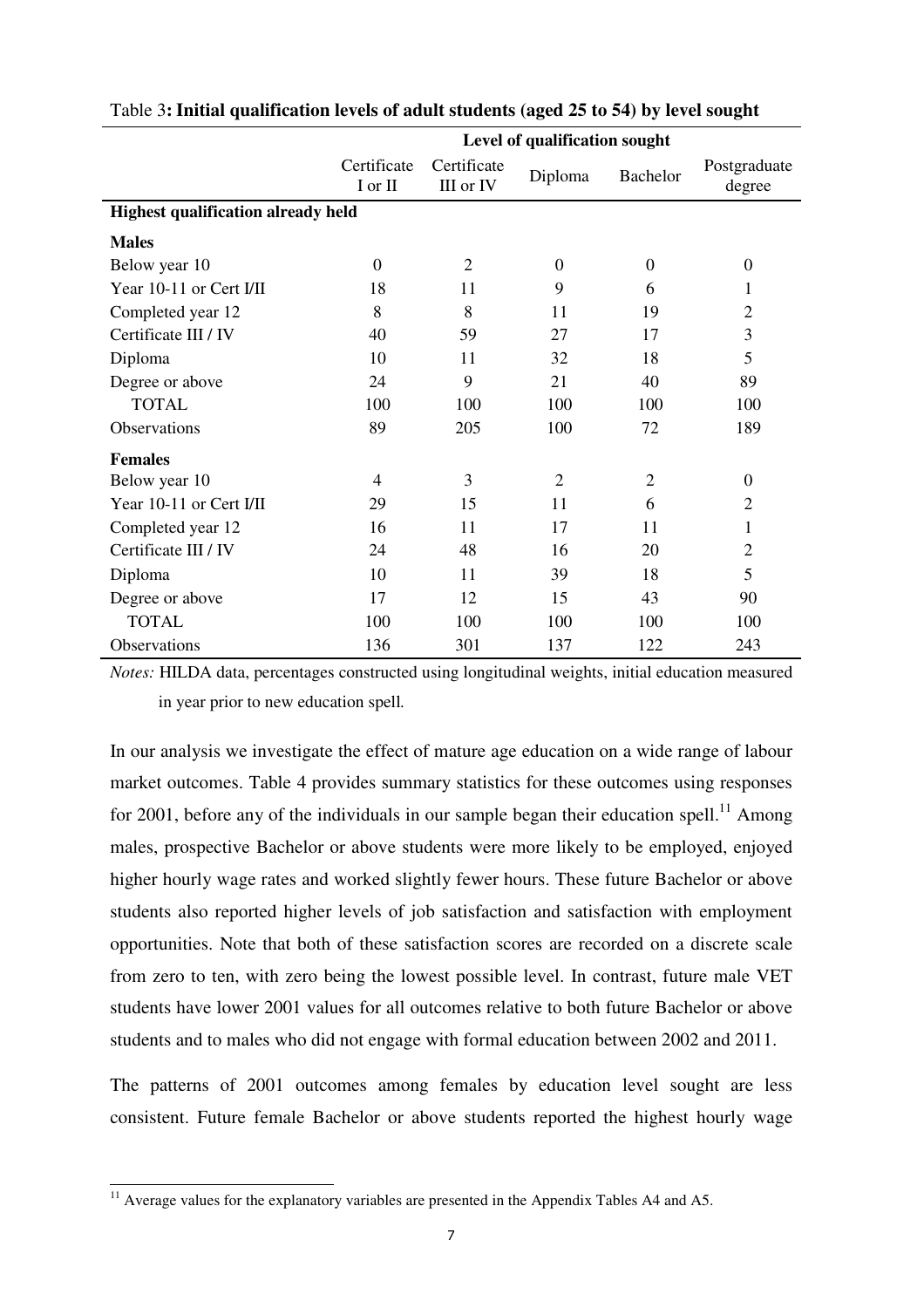|                                           | Level of qualification sought |                          |                |                |                        |  |
|-------------------------------------------|-------------------------------|--------------------------|----------------|----------------|------------------------|--|
|                                           | Certificate<br>I or II        | Certificate<br>III or IV | Diploma        | Bachelor       | Postgraduate<br>degree |  |
| <b>Highest qualification already held</b> |                               |                          |                |                |                        |  |
| <b>Males</b>                              |                               |                          |                |                |                        |  |
| Below year 10                             | $\Omega$                      | $\overline{2}$           | $\Omega$       | $\theta$       | $\Omega$               |  |
| Year 10-11 or Cert I/II                   | 18                            | 11                       | 9              | 6              | 1                      |  |
| Completed year 12                         | 8                             | 8                        | 11             | 19             | $\overline{2}$         |  |
| Certificate III / IV                      | 40                            | 59                       | 27             | 17             | 3                      |  |
| Diploma                                   | 10                            | 11                       | 32             | 18             | 5                      |  |
| Degree or above                           | 24                            | 9                        | 21             | 40             | 89                     |  |
| <b>TOTAL</b>                              | 100                           | 100                      | 100            | 100            | 100                    |  |
| <b>Observations</b>                       | 89                            | 205                      | 100            | 72             | 189                    |  |
| <b>Females</b>                            |                               |                          |                |                |                        |  |
| Below year 10                             | $\overline{4}$                | 3                        | $\overline{2}$ | $\overline{2}$ | $\theta$               |  |
| Year 10-11 or Cert I/II                   | 29                            | 15                       | 11             | 6              | $\overline{2}$         |  |
| Completed year 12                         | 16                            | 11                       | 17             | 11             | 1                      |  |
| Certificate III / IV                      | 24                            | 48                       | 16             | 20             | $\overline{2}$         |  |
| Diploma                                   | 10                            | 11                       | 39             | 18             | 5                      |  |
| Degree or above                           | 17                            | 12                       | 15             | 43             | 90                     |  |
| <b>TOTAL</b>                              | 100                           | 100                      | 100            | 100            | 100                    |  |
| <b>Observations</b>                       | 136                           | 301                      | 137            | 122            | 243                    |  |

#### Table 3**: Initial qualification levels of adult students (aged 25 to 54) by level sought**

*Notes:* HILDA data, percentages constructed using longitudinal weights, initial education measured in year prior to new education spell*.* 

In our analysis we investigate the effect of mature age education on a wide range of labour market outcomes. Table 4 provides summary statistics for these outcomes using responses for 2001, before any of the individuals in our sample began their education spell.<sup>11</sup> Among males, prospective Bachelor or above students were more likely to be employed, enjoyed higher hourly wage rates and worked slightly fewer hours. These future Bachelor or above students also reported higher levels of job satisfaction and satisfaction with employment opportunities. Note that both of these satisfaction scores are recorded on a discrete scale from zero to ten, with zero being the lowest possible level. In contrast, future male VET students have lower 2001 values for all outcomes relative to both future Bachelor or above students and to males who did not engage with formal education between 2002 and 2011.

The patterns of 2001 outcomes among females by education level sought are less consistent. Future female Bachelor or above students reported the highest hourly wage

L

<sup>&</sup>lt;sup>11</sup> Average values for the explanatory variables are presented in the Appendix Tables A4 and A5.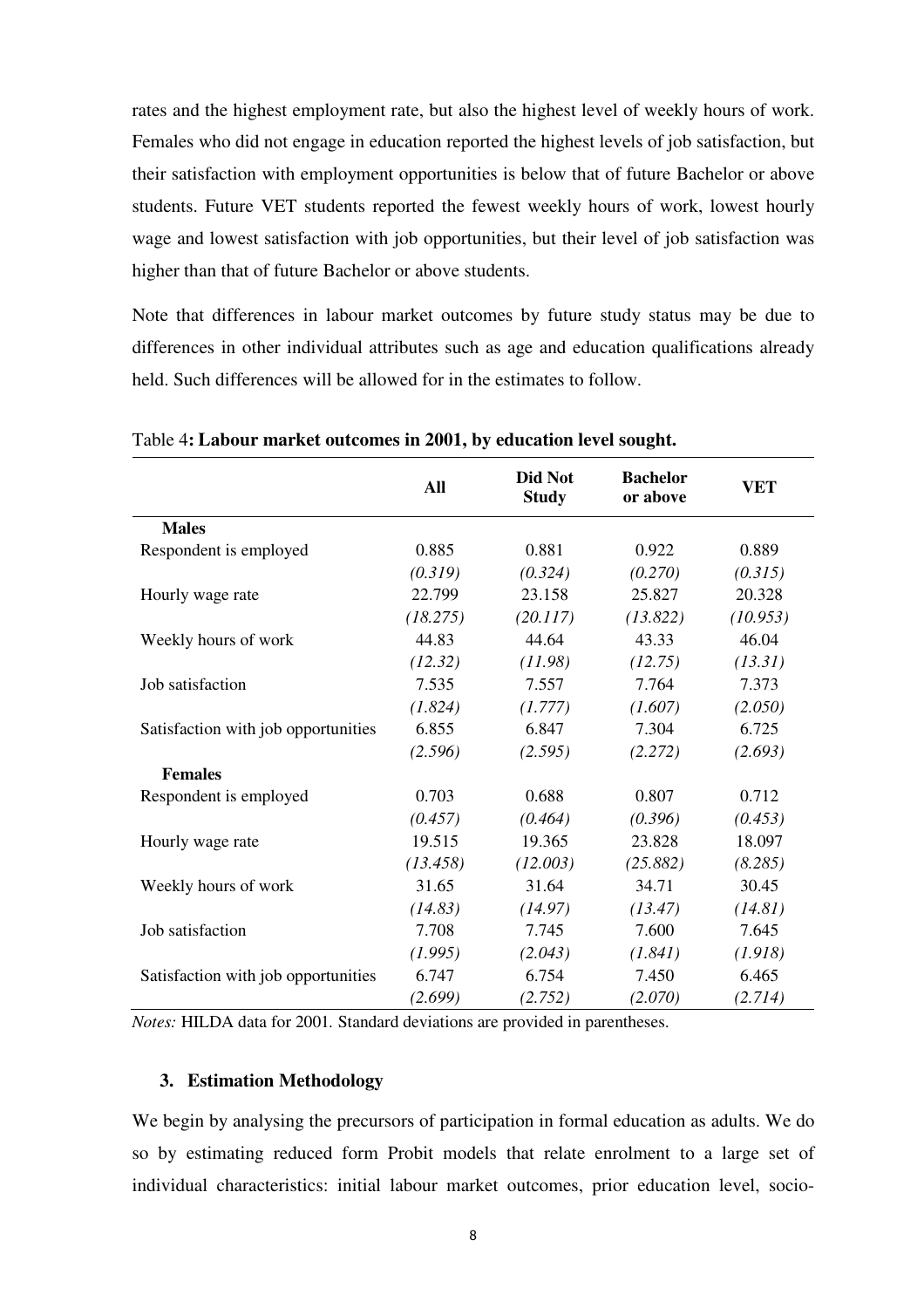rates and the highest employment rate, but also the highest level of weekly hours of work. Females who did not engage in education reported the highest levels of job satisfaction, but their satisfaction with employment opportunities is below that of future Bachelor or above students. Future VET students reported the fewest weekly hours of work, lowest hourly wage and lowest satisfaction with job opportunities, but their level of job satisfaction was higher than that of future Bachelor or above students.

Note that differences in labour market outcomes by future study status may be due to differences in other individual attributes such as age and education qualifications already held. Such differences will be allowed for in the estimates to follow.

|                                     | All      | <b>Did Not</b><br><b>Study</b> | <b>Bachelor</b><br>or above | <b>VET</b> |
|-------------------------------------|----------|--------------------------------|-----------------------------|------------|
| <b>Males</b>                        |          |                                |                             |            |
| Respondent is employed              | 0.885    | 0.881                          | 0.922                       | 0.889      |
|                                     | (0.319)  | (0.324)                        | (0.270)                     | (0.315)    |
| Hourly wage rate                    | 22.799   | 23.158                         | 25.827                      | 20.328     |
|                                     | (18.275) | (20.117)                       | (13.822)                    | (10.953)   |
| Weekly hours of work                | 44.83    | 44.64                          | 43.33                       | 46.04      |
|                                     | (12.32)  | (11.98)                        | (12.75)                     | (13.31)    |
| Job satisfaction                    | 7.535    | 7.557                          | 7.764                       | 7.373      |
|                                     | (1.824)  | (1.777)                        | (1.607)                     | (2.050)    |
| Satisfaction with job opportunities | 6.855    | 6.847                          | 7.304                       | 6.725      |
|                                     | (2.596)  | (2.595)                        | (2.272)                     | (2.693)    |
| <b>Females</b>                      |          |                                |                             |            |
| Respondent is employed              | 0.703    | 0.688                          | 0.807                       | 0.712      |
|                                     | (0.457)  | (0.464)                        | (0.396)                     | (0.453)    |
| Hourly wage rate                    | 19.515   | 19.365                         | 23.828                      | 18.097     |
|                                     | (13.458) | (12.003)                       | (25.882)                    | (8.285)    |
| Weekly hours of work                | 31.65    | 31.64                          | 34.71                       | 30.45      |
|                                     | (14.83)  | (14.97)                        | (13.47)                     | (14.81)    |
| Job satisfaction                    | 7.708    | 7.745                          | 7.600                       | 7.645      |
|                                     | (1.995)  | (2.043)                        | (1.841)                     | (1.918)    |
| Satisfaction with job opportunities | 6.747    | 6.754                          | 7.450                       | 6.465      |
|                                     | (2.699)  | (2.752)                        | (2.070)                     | (2.714)    |

Table 4**: Labour market outcomes in 2001, by education level sought.** 

*Notes:* HILDA data for 2001*.* Standard deviations are provided in parentheses.

#### **3. Estimation Methodology**

We begin by analysing the precursors of participation in formal education as adults. We do so by estimating reduced form Probit models that relate enrolment to a large set of individual characteristics: initial labour market outcomes, prior education level, socio-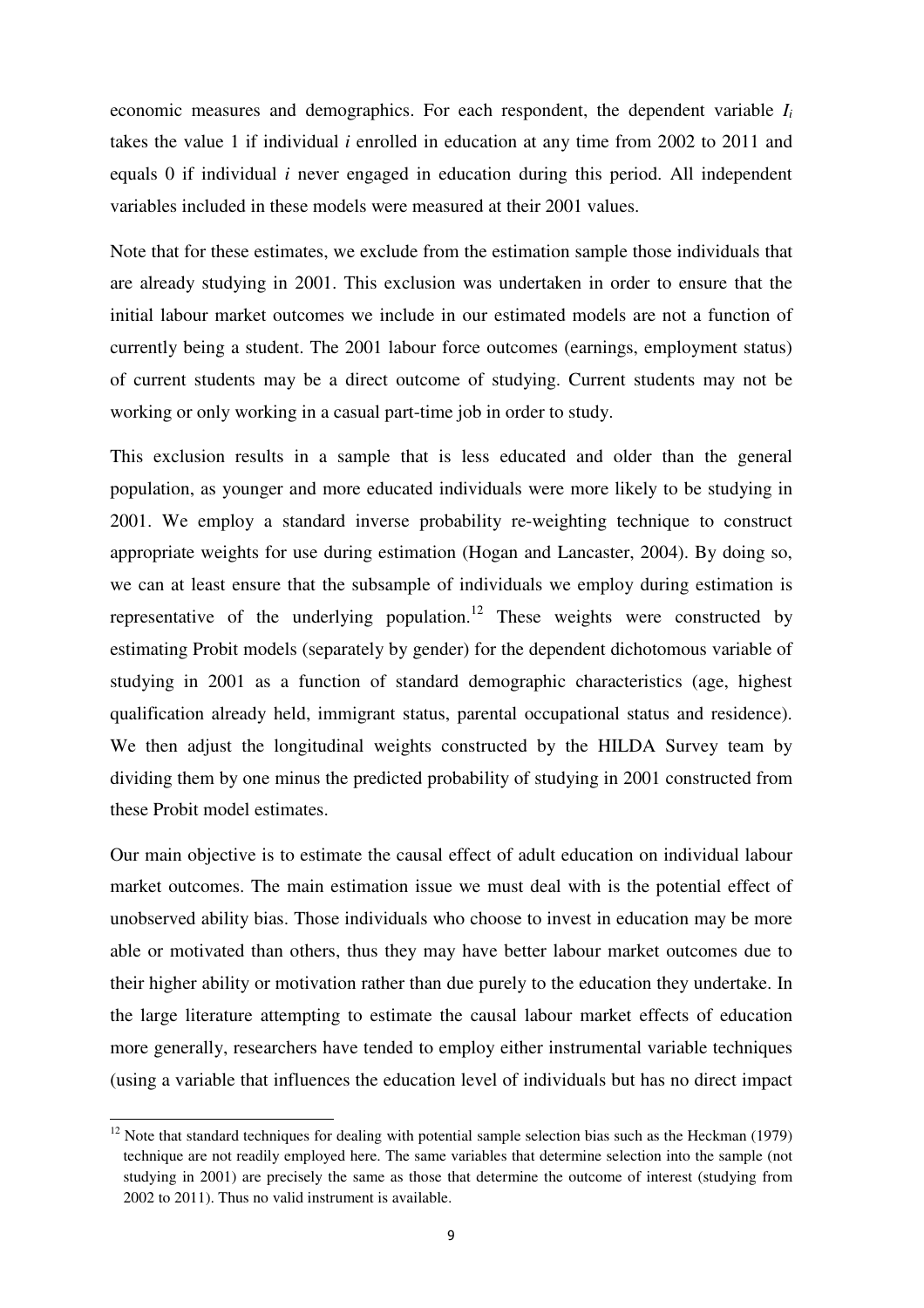economic measures and demographics. For each respondent, the dependent variable *I<sup>i</sup>* takes the value 1 if individual *i* enrolled in education at any time from 2002 to 2011 and equals 0 if individual *i* never engaged in education during this period. All independent variables included in these models were measured at their 2001 values.

Note that for these estimates, we exclude from the estimation sample those individuals that are already studying in 2001. This exclusion was undertaken in order to ensure that the initial labour market outcomes we include in our estimated models are not a function of currently being a student. The 2001 labour force outcomes (earnings, employment status) of current students may be a direct outcome of studying. Current students may not be working or only working in a casual part-time job in order to study.

This exclusion results in a sample that is less educated and older than the general population, as younger and more educated individuals were more likely to be studying in 2001. We employ a standard inverse probability re-weighting technique to construct appropriate weights for use during estimation (Hogan and Lancaster, 2004). By doing so, we can at least ensure that the subsample of individuals we employ during estimation is representative of the underlying population.<sup>12</sup> These weights were constructed by estimating Probit models (separately by gender) for the dependent dichotomous variable of studying in 2001 as a function of standard demographic characteristics (age, highest qualification already held, immigrant status, parental occupational status and residence). We then adjust the longitudinal weights constructed by the HILDA Survey team by dividing them by one minus the predicted probability of studying in 2001 constructed from these Probit model estimates.

Our main objective is to estimate the causal effect of adult education on individual labour market outcomes. The main estimation issue we must deal with is the potential effect of unobserved ability bias. Those individuals who choose to invest in education may be more able or motivated than others, thus they may have better labour market outcomes due to their higher ability or motivation rather than due purely to the education they undertake. In the large literature attempting to estimate the causal labour market effects of education more generally, researchers have tended to employ either instrumental variable techniques (using a variable that influences the education level of individuals but has no direct impact

L

<sup>&</sup>lt;sup>12</sup> Note that standard techniques for dealing with potential sample selection bias such as the Heckman (1979) technique are not readily employed here. The same variables that determine selection into the sample (not studying in 2001) are precisely the same as those that determine the outcome of interest (studying from 2002 to 2011). Thus no valid instrument is available.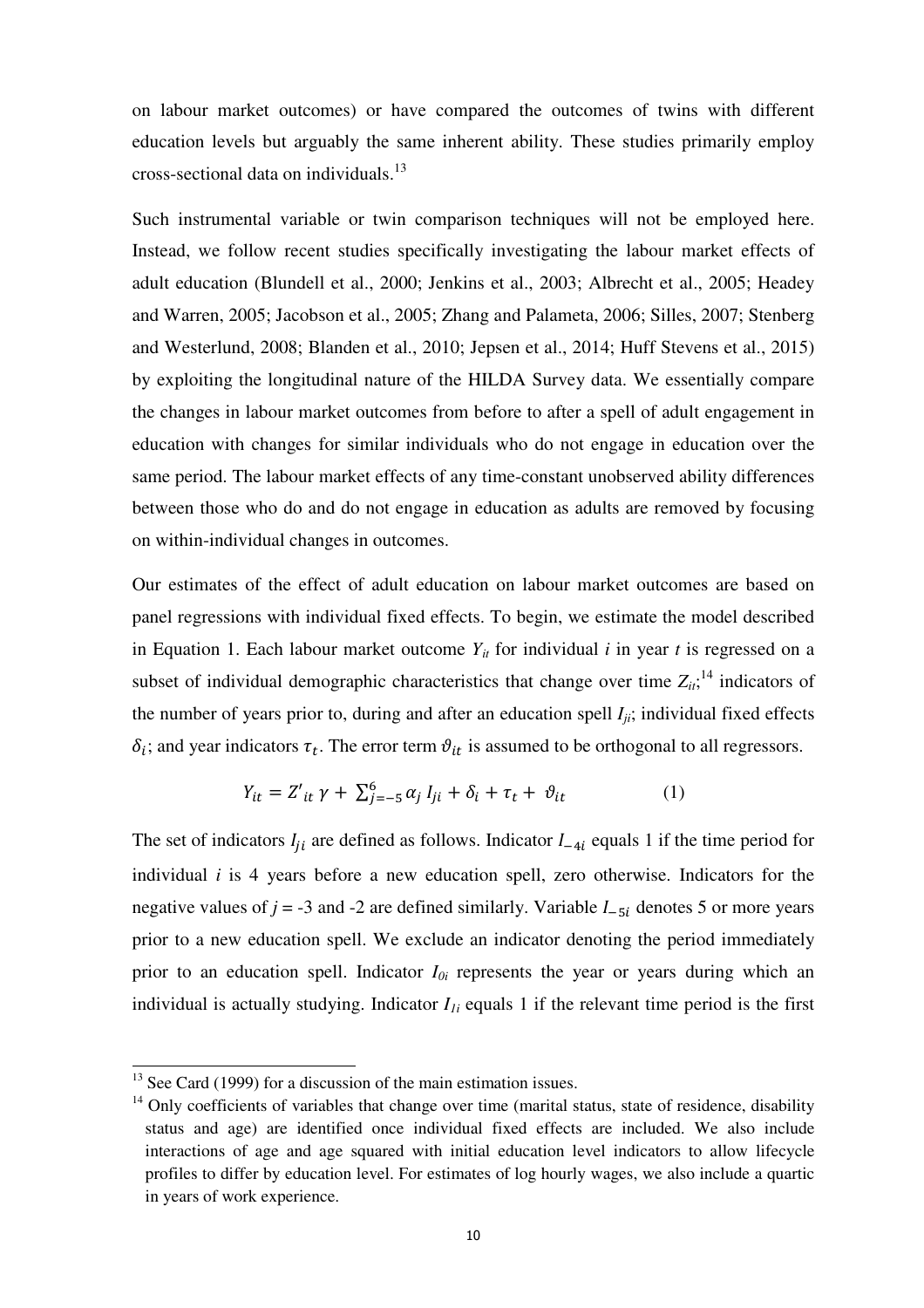on labour market outcomes) or have compared the outcomes of twins with different education levels but arguably the same inherent ability. These studies primarily employ cross-sectional data on individuals.<sup>13</sup>

Such instrumental variable or twin comparison techniques will not be employed here. Instead, we follow recent studies specifically investigating the labour market effects of adult education (Blundell et al., 2000; Jenkins et al., 2003; Albrecht et al., 2005; Headey and Warren, 2005; Jacobson et al., 2005; Zhang and Palameta, 2006; Silles, 2007; Stenberg and Westerlund, 2008; Blanden et al., 2010; Jepsen et al., 2014; Huff Stevens et al., 2015) by exploiting the longitudinal nature of the HILDA Survey data. We essentially compare the changes in labour market outcomes from before to after a spell of adult engagement in education with changes for similar individuals who do not engage in education over the same period. The labour market effects of any time-constant unobserved ability differences between those who do and do not engage in education as adults are removed by focusing on within-individual changes in outcomes.

Our estimates of the effect of adult education on labour market outcomes are based on panel regressions with individual fixed effects. To begin, we estimate the model described in Equation 1. Each labour market outcome  $Y_{it}$  for individual *i* in year *t* is regressed on a subset of individual demographic characteristics that change over time  $Z_{it}$ <sup>14</sup> indicators of the number of years prior to, during and after an education spell *Iji*; individual fixed effects  $\delta_i$ ; and year indicators  $\tau_t$ . The error term  $\vartheta_{it}$  is assumed to be orthogonal to all regressors.

$$
Y_{it} = Z'_{it} \gamma + \sum_{j=-5}^{6} \alpha_j I_{ji} + \delta_i + \tau_t + \vartheta_{it}
$$
 (1)

The set of indicators  $I_{ji}$  are defined as follows. Indicator  $I_{-4i}$  equals 1 if the time period for individual *i* is 4 years before a new education spell, zero otherwise. Indicators for the negative values of  $j = -3$  and  $-2$  are defined similarly. Variable  $I_{-5i}$  denotes 5 or more years prior to a new education spell. We exclude an indicator denoting the period immediately prior to an education spell. Indicator *I0i* represents the year or years during which an individual is actually studying. Indicator  $I_{1i}$  equals 1 if the relevant time period is the first

 $\overline{a}$ 

 $13$  See Card (1999) for a discussion of the main estimation issues.

 $14$  Only coefficients of variables that change over time (marital status, state of residence, disability status and age) are identified once individual fixed effects are included. We also include interactions of age and age squared with initial education level indicators to allow lifecycle profiles to differ by education level. For estimates of log hourly wages, we also include a quartic in years of work experience.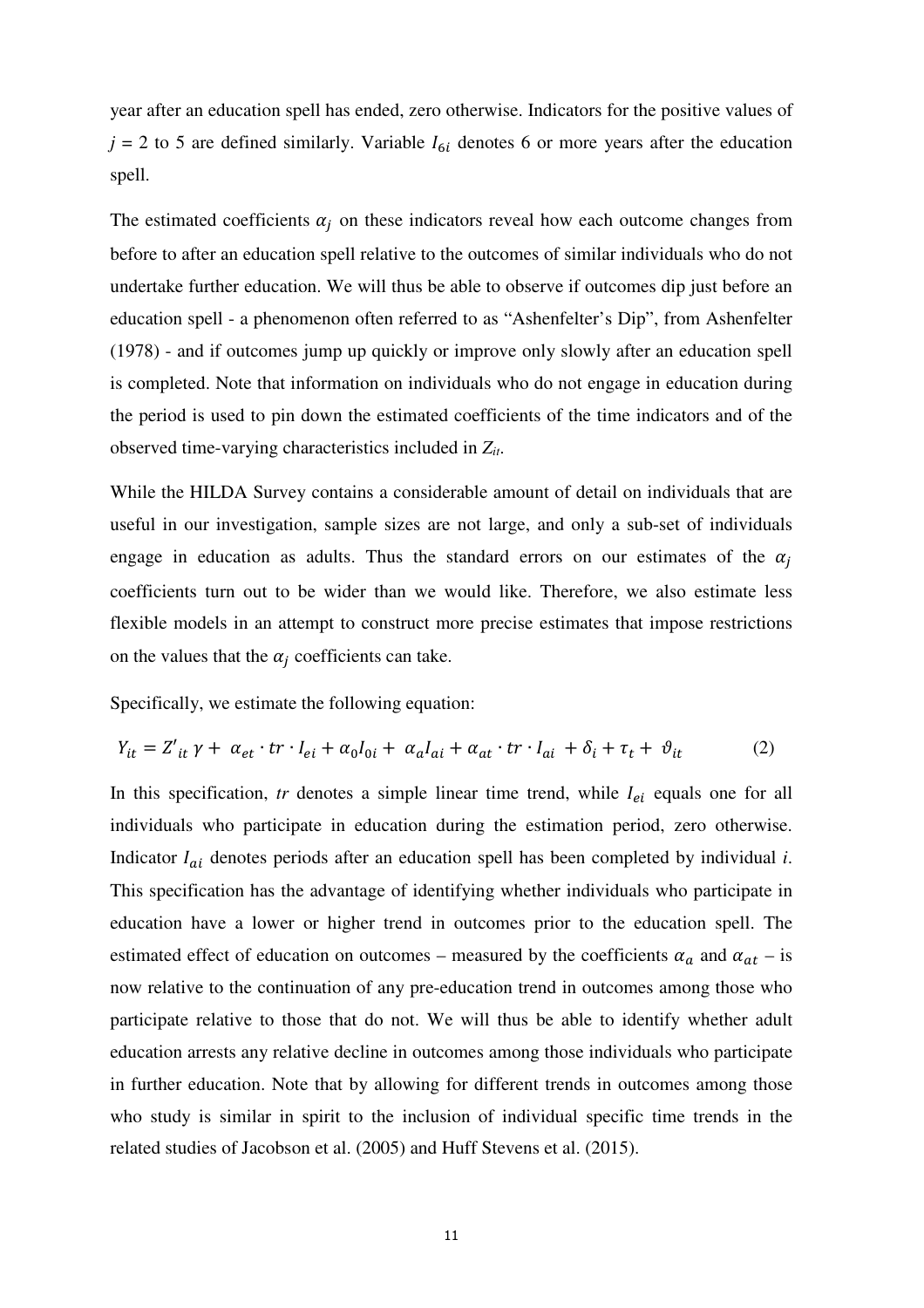year after an education spell has ended, zero otherwise. Indicators for the positive values of  $j = 2$  to 5 are defined similarly. Variable  $I_{6i}$  denotes 6 or more years after the education spell.

The estimated coefficients  $\alpha_j$  on these indicators reveal how each outcome changes from before to after an education spell relative to the outcomes of similar individuals who do not undertake further education. We will thus be able to observe if outcomes dip just before an education spell - a phenomenon often referred to as "Ashenfelter's Dip", from Ashenfelter (1978) - and if outcomes jump up quickly or improve only slowly after an education spell is completed. Note that information on individuals who do not engage in education during the period is used to pin down the estimated coefficients of the time indicators and of the observed time-varying characteristics included in *Zit*.

While the HILDA Survey contains a considerable amount of detail on individuals that are useful in our investigation, sample sizes are not large, and only a sub-set of individuals engage in education as adults. Thus the standard errors on our estimates of the  $\alpha_i$ coefficients turn out to be wider than we would like. Therefore, we also estimate less flexible models in an attempt to construct more precise estimates that impose restrictions on the values that the  $\alpha_j$  coefficients can take.

Specifically, we estimate the following equation:

$$
Y_{it} = Z'_{it} \gamma + \alpha_{et} \cdot tr \cdot I_{ei} + \alpha_0 I_{0i} + \alpha_a I_{ai} + \alpha_{at} \cdot tr \cdot I_{ai} + \delta_i + \tau_t + \vartheta_{it} \tag{2}
$$

In this specification,  $tr$  denotes a simple linear time trend, while  $I_{ei}$  equals one for all individuals who participate in education during the estimation period, zero otherwise. Indicator  $I_{ai}$  denotes periods after an education spell has been completed by individual *i*. This specification has the advantage of identifying whether individuals who participate in education have a lower or higher trend in outcomes prior to the education spell. The estimated effect of education on outcomes – measured by the coefficients  $\alpha_a$  and  $\alpha_{at}$  – is now relative to the continuation of any pre-education trend in outcomes among those who participate relative to those that do not. We will thus be able to identify whether adult education arrests any relative decline in outcomes among those individuals who participate in further education. Note that by allowing for different trends in outcomes among those who study is similar in spirit to the inclusion of individual specific time trends in the related studies of Jacobson et al. (2005) and Huff Stevens et al. (2015).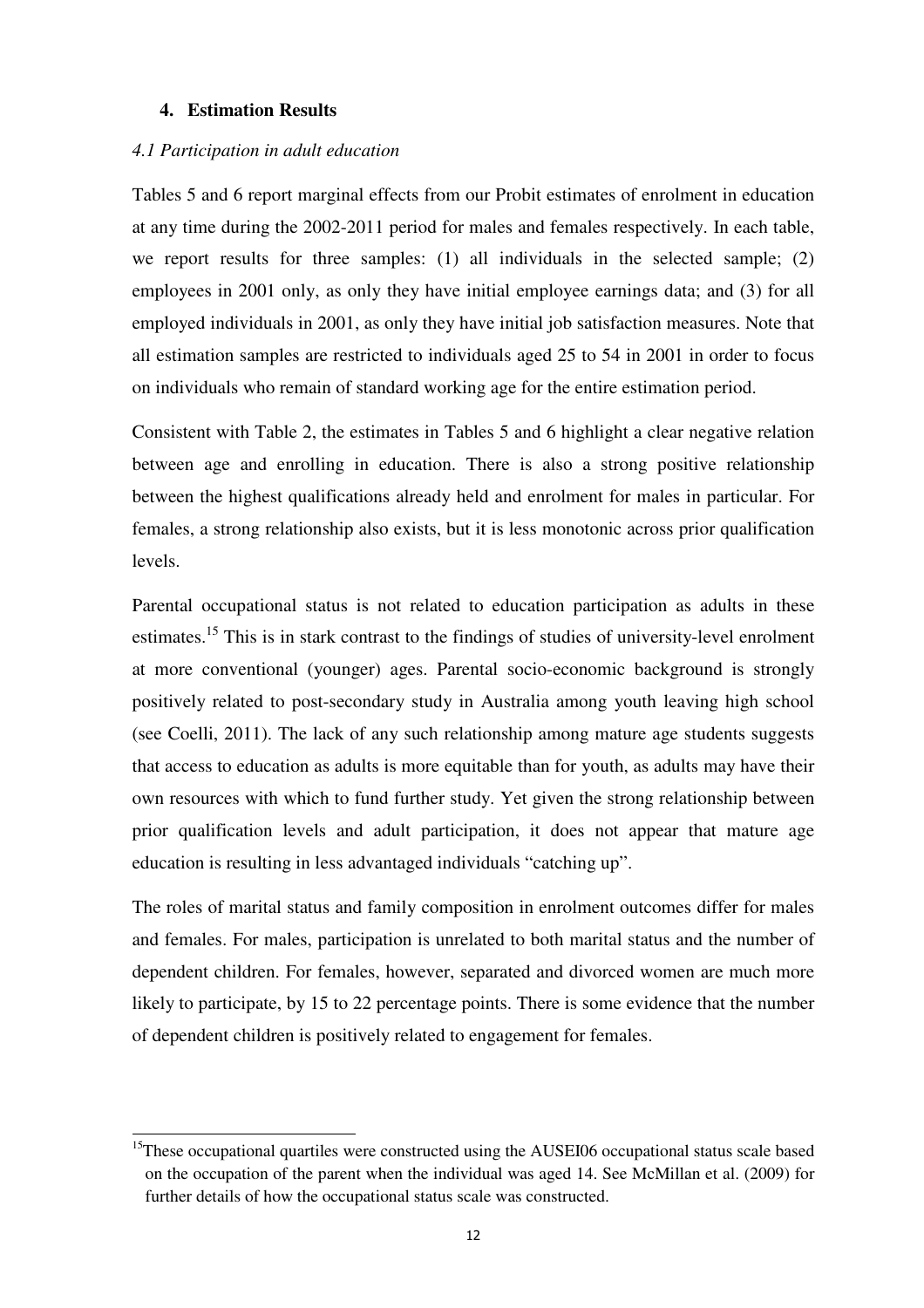#### **4. Estimation Results**

 $\overline{a}$ 

#### *4.1 Participation in adult education*

Tables 5 and 6 report marginal effects from our Probit estimates of enrolment in education at any time during the 2002-2011 period for males and females respectively. In each table, we report results for three samples: (1) all individuals in the selected sample; (2) employees in 2001 only, as only they have initial employee earnings data; and (3) for all employed individuals in 2001, as only they have initial job satisfaction measures. Note that all estimation samples are restricted to individuals aged 25 to 54 in 2001 in order to focus on individuals who remain of standard working age for the entire estimation period.

Consistent with Table 2, the estimates in Tables 5 and 6 highlight a clear negative relation between age and enrolling in education. There is also a strong positive relationship between the highest qualifications already held and enrolment for males in particular. For females, a strong relationship also exists, but it is less monotonic across prior qualification levels.

Parental occupational status is not related to education participation as adults in these estimates.<sup>15</sup> This is in stark contrast to the findings of studies of university-level enrolment at more conventional (younger) ages. Parental socio-economic background is strongly positively related to post-secondary study in Australia among youth leaving high school (see Coelli, 2011). The lack of any such relationship among mature age students suggests that access to education as adults is more equitable than for youth, as adults may have their own resources with which to fund further study. Yet given the strong relationship between prior qualification levels and adult participation, it does not appear that mature age education is resulting in less advantaged individuals "catching up".

The roles of marital status and family composition in enrolment outcomes differ for males and females. For males, participation is unrelated to both marital status and the number of dependent children. For females, however, separated and divorced women are much more likely to participate, by 15 to 22 percentage points. There is some evidence that the number of dependent children is positively related to engagement for females.

 $15$ These occupational quartiles were constructed using the AUSEI06 occupational status scale based on the occupation of the parent when the individual was aged 14. See McMillan et al. (2009) for further details of how the occupational status scale was constructed.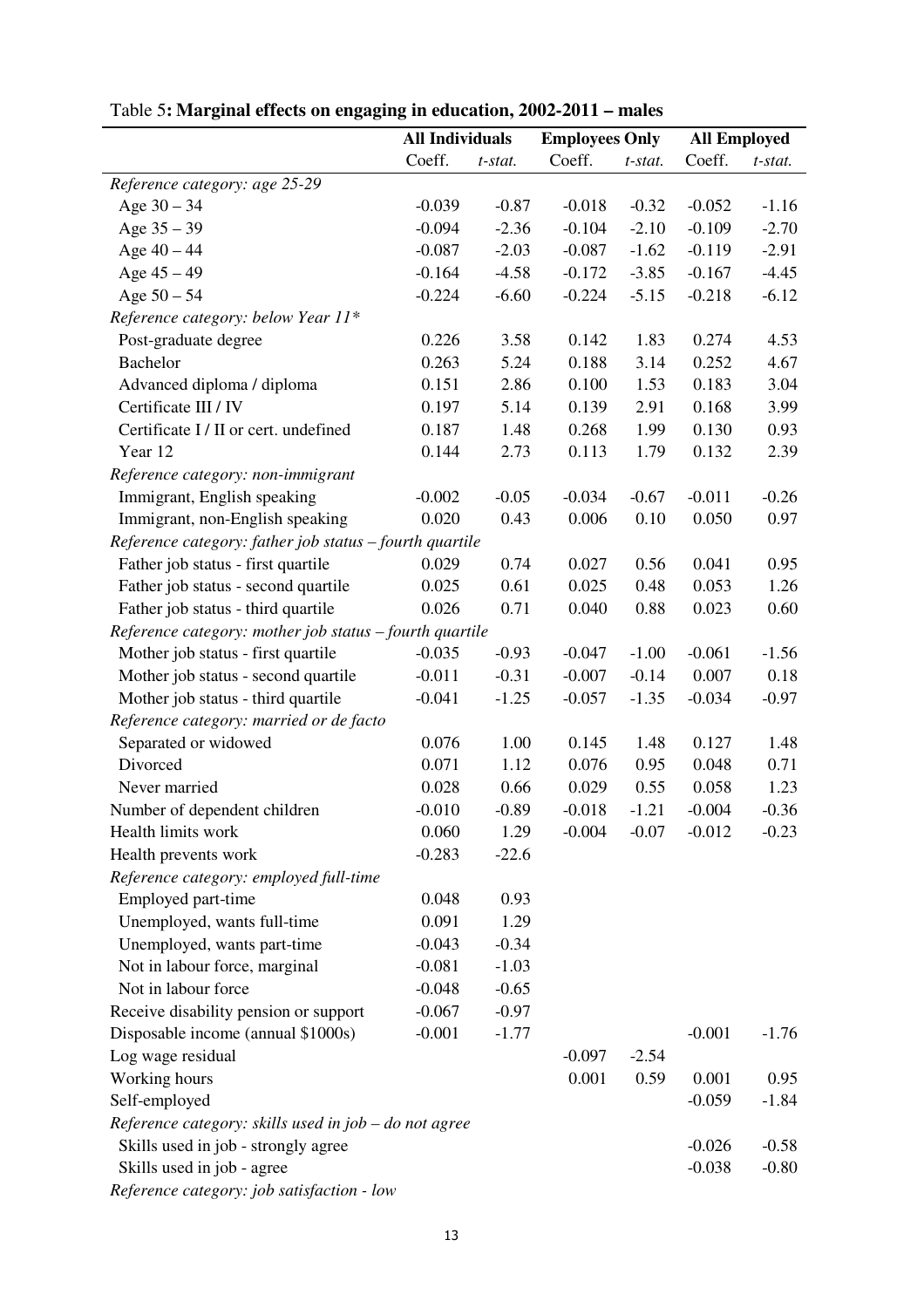|                                                         | <b>All Individuals</b> |            | <b>Employees Only</b> |            | <b>All Employed</b> |            |
|---------------------------------------------------------|------------------------|------------|-----------------------|------------|---------------------|------------|
|                                                         | Coeff.                 | $t$ -stat. | Coeff.                | $t$ -stat. | Coeff.              | $t$ -stat. |
| Reference category: age 25-29                           |                        |            |                       |            |                     |            |
| Age $30 - 34$                                           | $-0.039$               | $-0.87$    | $-0.018$              | $-0.32$    | $-0.052$            | $-1.16$    |
| Age $35 - 39$                                           | $-0.094$               | $-2.36$    | $-0.104$              | $-2.10$    | $-0.109$            | $-2.70$    |
| Age $40 - 44$                                           | $-0.087$               | $-2.03$    | $-0.087$              | $-1.62$    | $-0.119$            | $-2.91$    |
| Age $45 - 49$                                           | $-0.164$               | $-4.58$    | $-0.172$              | $-3.85$    | $-0.167$            | $-4.45$    |
| Age $50 - 54$                                           | $-0.224$               | $-6.60$    | $-0.224$              | $-5.15$    | $-0.218$            | $-6.12$    |
| Reference category: below Year 11*                      |                        |            |                       |            |                     |            |
| Post-graduate degree                                    | 0.226                  | 3.58       | 0.142                 | 1.83       | 0.274               | 4.53       |
| Bachelor                                                | 0.263                  | 5.24       | 0.188                 | 3.14       | 0.252               | 4.67       |
| Advanced diploma / diploma                              | 0.151                  | 2.86       | 0.100                 | 1.53       | 0.183               | 3.04       |
| Certificate III / IV                                    | 0.197                  | 5.14       | 0.139                 | 2.91       | 0.168               | 3.99       |
| Certificate I / II or cert. undefined                   | 0.187                  | 1.48       | 0.268                 | 1.99       | 0.130               | 0.93       |
| Year 12                                                 | 0.144                  | 2.73       | 0.113                 | 1.79       | 0.132               | 2.39       |
| Reference category: non-immigrant                       |                        |            |                       |            |                     |            |
| Immigrant, English speaking                             | $-0.002$               | $-0.05$    | $-0.034$              | $-0.67$    | $-0.011$            | $-0.26$    |
| Immigrant, non-English speaking                         | 0.020                  | 0.43       | 0.006                 | 0.10       | 0.050               | 0.97       |
| Reference category: father job status - fourth quartile |                        |            |                       |            |                     |            |
| Father job status - first quartile                      | 0.029                  | 0.74       | 0.027                 | 0.56       | 0.041               | 0.95       |
| Father job status - second quartile                     | 0.025                  | 0.61       | 0.025                 | 0.48       | 0.053               | 1.26       |
| Father job status - third quartile                      | 0.026                  | 0.71       | 0.040                 | 0.88       | 0.023               | 0.60       |
| Reference category: mother job status - fourth quartile |                        |            |                       |            |                     |            |
| Mother job status - first quartile                      | $-0.035$               | $-0.93$    | $-0.047$              | $-1.00$    | $-0.061$            | $-1.56$    |
| Mother job status - second quartile                     | $-0.011$               | $-0.31$    | $-0.007$              | $-0.14$    | 0.007               | 0.18       |
| Mother job status - third quartile                      | $-0.041$               | $-1.25$    | $-0.057$              | $-1.35$    | $-0.034$            | $-0.97$    |
| Reference category: married or de facto                 |                        |            |                       |            |                     |            |
| Separated or widowed                                    | 0.076                  | 1.00       | 0.145                 | 1.48       | 0.127               | 1.48       |
| Divorced                                                | 0.071                  | 1.12       | 0.076                 | 0.95       | 0.048               | 0.71       |
| Never married                                           | 0.028                  | 0.66       | 0.029                 | 0.55       | 0.058               | 1.23       |
| Number of dependent children                            | $-0.010$               | $-0.89$    | $-0.018$              | $-1.21$    | $-0.004$            | $-0.36$    |
| Health limits work                                      | 0.060                  | 1.29       | $-0.004$              | $-0.07$    | $-0.012$            | $-0.23$    |
| Health prevents work                                    | $-0.283$               | $-22.6$    |                       |            |                     |            |
| Reference category: employed full-time                  |                        |            |                       |            |                     |            |
| Employed part-time                                      | 0.048                  | 0.93       |                       |            |                     |            |
| Unemployed, wants full-time                             | 0.091                  | 1.29       |                       |            |                     |            |
| Unemployed, wants part-time                             | $-0.043$               | $-0.34$    |                       |            |                     |            |
| Not in labour force, marginal                           | $-0.081$               | $-1.03$    |                       |            |                     |            |
| Not in labour force                                     | $-0.048$               | $-0.65$    |                       |            |                     |            |
| Receive disability pension or support                   | $-0.067$               | $-0.97$    |                       |            |                     |            |
| Disposable income (annual \$1000s)                      | $-0.001$               | $-1.77$    |                       |            | $-0.001$            | $-1.76$    |
| Log wage residual                                       |                        |            | $-0.097$              | $-2.54$    |                     |            |
| Working hours                                           |                        |            | 0.001                 | 0.59       | 0.001               | 0.95       |
|                                                         |                        |            |                       |            |                     |            |
| Self-employed                                           |                        |            |                       |            | $-0.059$            | $-1.84$    |
| Reference category: skills used in job - do not agree   |                        |            |                       |            |                     |            |
| Skills used in job - strongly agree                     |                        |            |                       |            | $-0.026$            | $-0.58$    |
| Skills used in job - agree                              |                        |            |                       |            | $-0.038$            | $-0.80$    |
| Reference category: job satisfaction - low              |                        |            |                       |            |                     |            |

Table 5**: Marginal effects on engaging in education, 2002-2011 – males**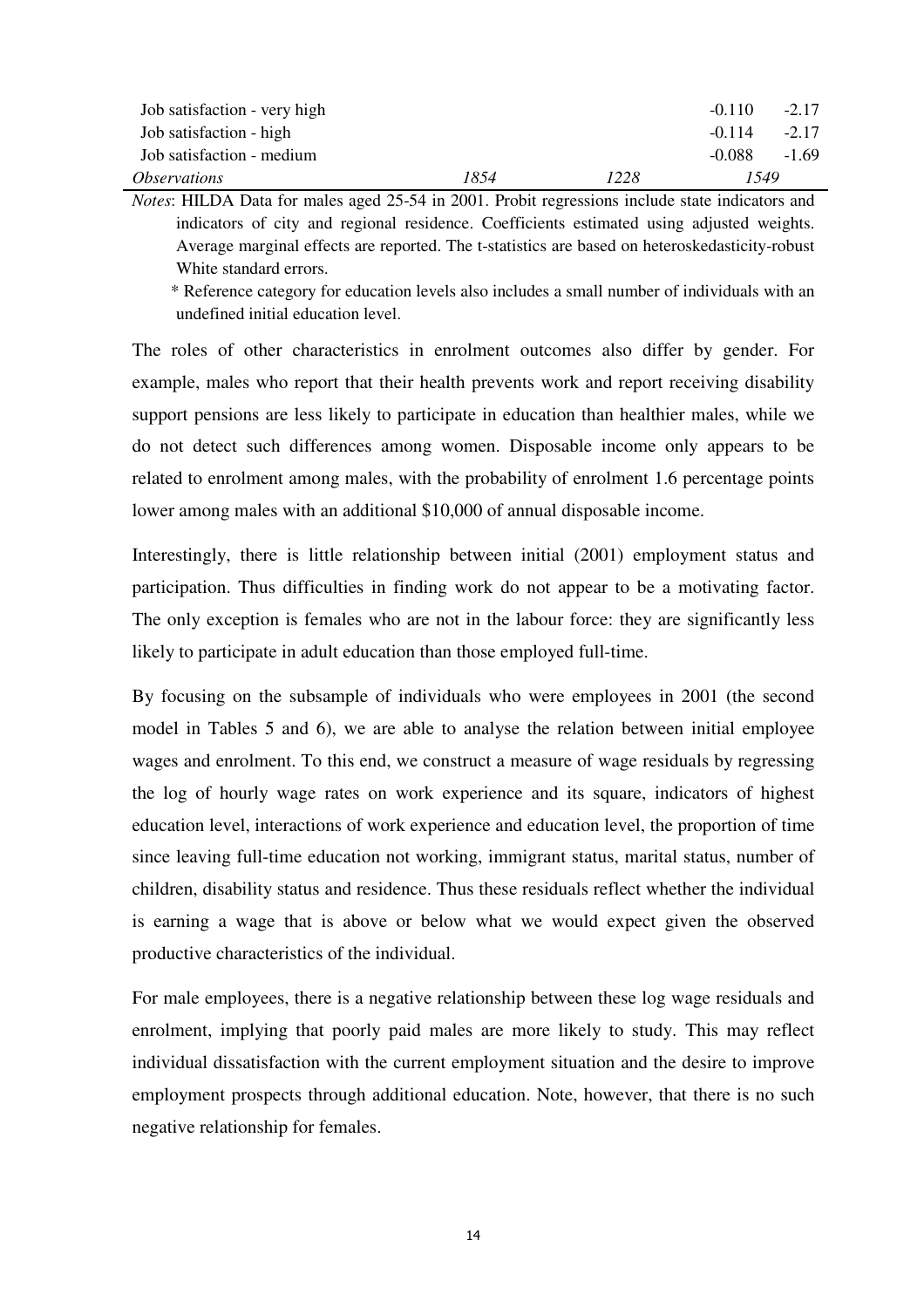| Job satisfaction - very high |      |      | $-0.110$ | $-2.17$ |
|------------------------------|------|------|----------|---------|
| Job satisfaction - high      |      |      | $-0.114$ | $-2.17$ |
| Job satisfaction - medium    |      |      | -0.088   | $-1.69$ |
| <i><b>Observations</b></i>   | 1854 | 1228 | 1549     |         |

*Notes*: HILDA Data for males aged 25-54 in 2001. Probit regressions include state indicators and indicators of city and regional residence. Coefficients estimated using adjusted weights. Average marginal effects are reported. The t-statistics are based on heteroskedasticity-robust White standard errors.

 \* Reference category for education levels also includes a small number of individuals with an undefined initial education level.

The roles of other characteristics in enrolment outcomes also differ by gender. For example, males who report that their health prevents work and report receiving disability support pensions are less likely to participate in education than healthier males, while we do not detect such differences among women. Disposable income only appears to be related to enrolment among males, with the probability of enrolment 1.6 percentage points lower among males with an additional \$10,000 of annual disposable income.

Interestingly, there is little relationship between initial (2001) employment status and participation. Thus difficulties in finding work do not appear to be a motivating factor. The only exception is females who are not in the labour force: they are significantly less likely to participate in adult education than those employed full-time.

By focusing on the subsample of individuals who were employees in 2001 (the second model in Tables 5 and 6), we are able to analyse the relation between initial employee wages and enrolment. To this end, we construct a measure of wage residuals by regressing the log of hourly wage rates on work experience and its square, indicators of highest education level, interactions of work experience and education level, the proportion of time since leaving full-time education not working, immigrant status, marital status, number of children, disability status and residence. Thus these residuals reflect whether the individual is earning a wage that is above or below what we would expect given the observed productive characteristics of the individual.

For male employees, there is a negative relationship between these log wage residuals and enrolment, implying that poorly paid males are more likely to study. This may reflect individual dissatisfaction with the current employment situation and the desire to improve employment prospects through additional education. Note, however, that there is no such negative relationship for females.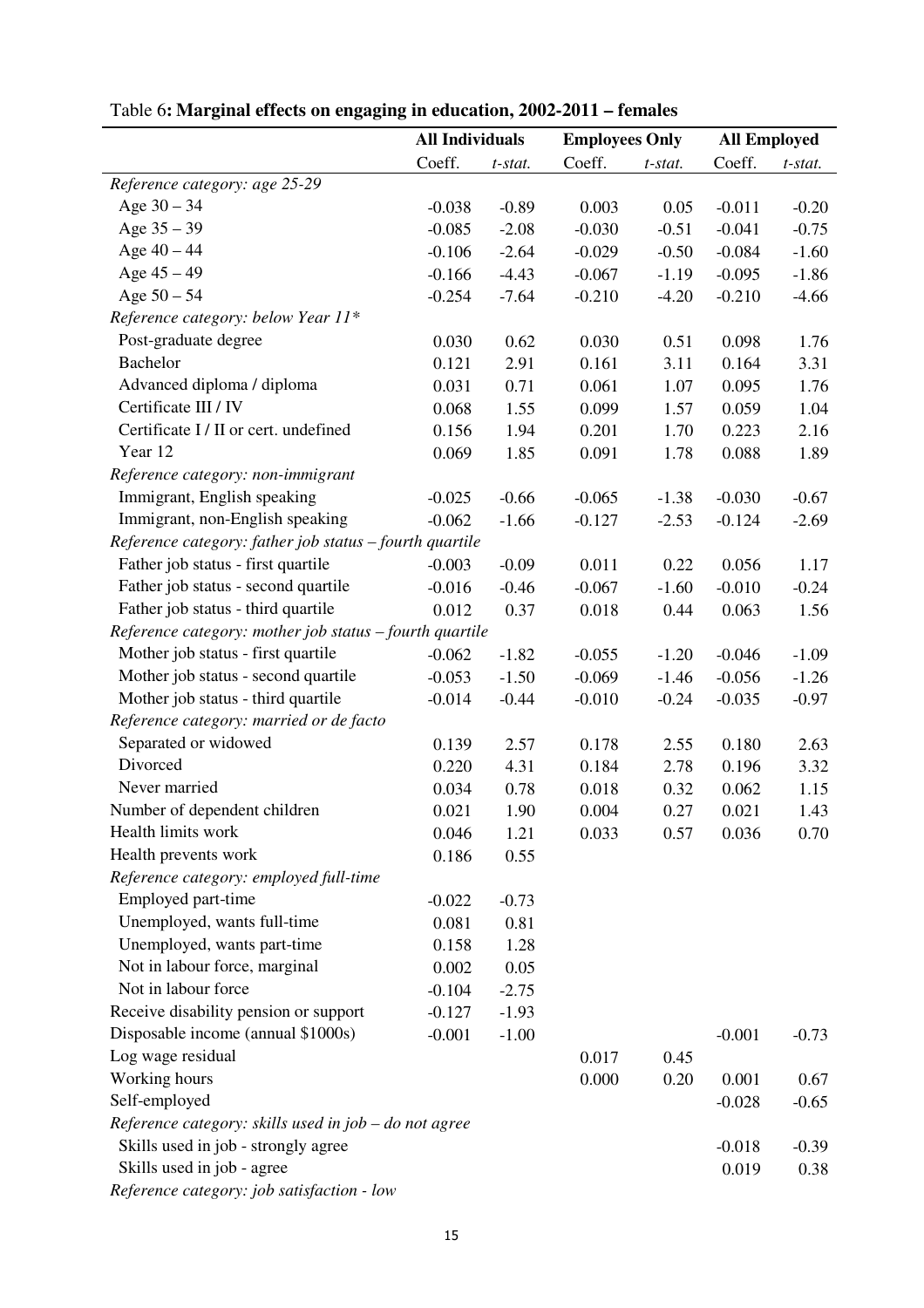|                                                         | <b>All Individuals</b> |         | <b>Employees Only</b> |         | <b>All Employed</b> |                 |
|---------------------------------------------------------|------------------------|---------|-----------------------|---------|---------------------|-----------------|
|                                                         | Coeff.                 | t-stat. | Coeff.                | t-stat. | Coeff.              | t-stat.         |
| Reference category: age 25-29                           |                        |         |                       |         |                     |                 |
| Age $30 - 34$                                           | $-0.038$               | $-0.89$ | 0.003                 | 0.05    | $-0.011$            | $-0.20$         |
| Age $35 - 39$                                           | $-0.085$               | $-2.08$ | $-0.030$              | $-0.51$ | $-0.041$            | $-0.75$         |
| Age $40 - 44$                                           | $-0.106$               | $-2.64$ | $-0.029$              | $-0.50$ | $-0.084$            | $-1.60$         |
| Age $45 - 49$                                           | $-0.166$               | $-4.43$ | $-0.067$              | $-1.19$ | $-0.095$            | $-1.86$         |
| Age $50 - 54$                                           | $-0.254$               | $-7.64$ | $-0.210$              | $-4.20$ | $-0.210$            | $-4.66$         |
| Reference category: below Year 11*                      |                        |         |                       |         |                     |                 |
| Post-graduate degree                                    | 0.030                  | 0.62    | 0.030                 | 0.51    | 0.098               | 1.76            |
| <b>Bachelor</b>                                         | 0.121                  | 2.91    | 0.161                 | 3.11    | 0.164               | 3.31            |
| Advanced diploma / diploma                              | 0.031                  | 0.71    | 0.061                 | 1.07    | 0.095               | 1.76            |
| Certificate III / IV                                    | 0.068                  | 1.55    | 0.099                 | 1.57    | 0.059               | 1.04            |
| Certificate I / II or cert. undefined                   | 0.156                  | 1.94    | 0.201                 | 1.70    | 0.223               | 2.16            |
| Year 12                                                 | 0.069                  | 1.85    | 0.091                 | 1.78    | 0.088               | 1.89            |
| Reference category: non-immigrant                       |                        |         |                       |         |                     |                 |
| Immigrant, English speaking                             | $-0.025$               | $-0.66$ | $-0.065$              | $-1.38$ | $-0.030$            | $-0.67$         |
| Immigrant, non-English speaking                         | $-0.062$               | $-1.66$ | $-0.127$              | $-2.53$ | $-0.124$            | $-2.69$         |
| Reference category: father job status - fourth quartile |                        |         |                       |         |                     |                 |
| Father job status - first quartile                      | $-0.003$               | $-0.09$ | 0.011                 | 0.22    | 0.056               | 1.17            |
| Father job status - second quartile                     | $-0.016$               | $-0.46$ | $-0.067$              | $-1.60$ | $-0.010$            | $-0.24$         |
| Father job status - third quartile                      | 0.012                  | 0.37    | 0.018                 | 0.44    | 0.063               | 1.56            |
| Reference category: mother job status - fourth quartile |                        |         |                       |         |                     |                 |
| Mother job status - first quartile                      | $-0.062$               | $-1.82$ | $-0.055$              | $-1.20$ | $-0.046$            | $-1.09$         |
| Mother job status - second quartile                     | $-0.053$               | $-1.50$ | $-0.069$              | $-1.46$ | $-0.056$            | $-1.26$         |
| Mother job status - third quartile                      | $-0.014$               | $-0.44$ | $-0.010$              | $-0.24$ | $-0.035$            | $-0.97$         |
| Reference category: married or de facto                 |                        |         |                       |         |                     |                 |
| Separated or widowed                                    | 0.139                  | 2.57    | 0.178                 | 2.55    | 0.180               | 2.63            |
| Divorced                                                | 0.220                  | 4.31    | 0.184                 | 2.78    | 0.196               | 3.32            |
| Never married                                           | 0.034                  | 0.78    | 0.018                 | 0.32    | 0.062               | 1.15            |
| Number of dependent children                            | 0.021                  | 1.90    | 0.004                 | 0.27    | 0.021               | 1.43            |
| Health limits work                                      | 0.046                  | 1.21    | 0.033                 | 0.57    | 0.036               | 0.70            |
| Health prevents work                                    | 0.186                  | 0.55    |                       |         |                     |                 |
| Reference category: employed full-time                  |                        |         |                       |         |                     |                 |
| Employed part-time                                      | $-0.022$               | $-0.73$ |                       |         |                     |                 |
| Unemployed, wants full-time                             | 0.081                  | 0.81    |                       |         |                     |                 |
| Unemployed, wants part-time                             | 0.158                  | 1.28    |                       |         |                     |                 |
| Not in labour force, marginal                           | 0.002                  | 0.05    |                       |         |                     |                 |
| Not in labour force                                     | $-0.104$               | $-2.75$ |                       |         |                     |                 |
| Receive disability pension or support                   | $-0.127$               | $-1.93$ |                       |         |                     |                 |
| Disposable income (annual \$1000s)                      | $-0.001$               | $-1.00$ |                       |         | $-0.001$            | $-0.73$         |
| Log wage residual                                       |                        |         | 0.017                 | 0.45    |                     |                 |
| Working hours                                           |                        |         | 0.000                 | 0.20    | 0.001               | 0.67            |
| Self-employed                                           |                        |         |                       |         | $-0.028$            | $-0.65$         |
| Reference category: skills used in job $-$ do not agree |                        |         |                       |         |                     |                 |
| Skills used in job - strongly agree                     |                        |         |                       |         | $-0.018$            |                 |
| Skills used in job - agree                              |                        |         |                       |         | 0.019               | $-0.39$<br>0.38 |
| Reference category: job satisfaction - low              |                        |         |                       |         |                     |                 |
|                                                         |                        |         |                       |         |                     |                 |

Table 6**: Marginal effects on engaging in education, 2002-2011 – females**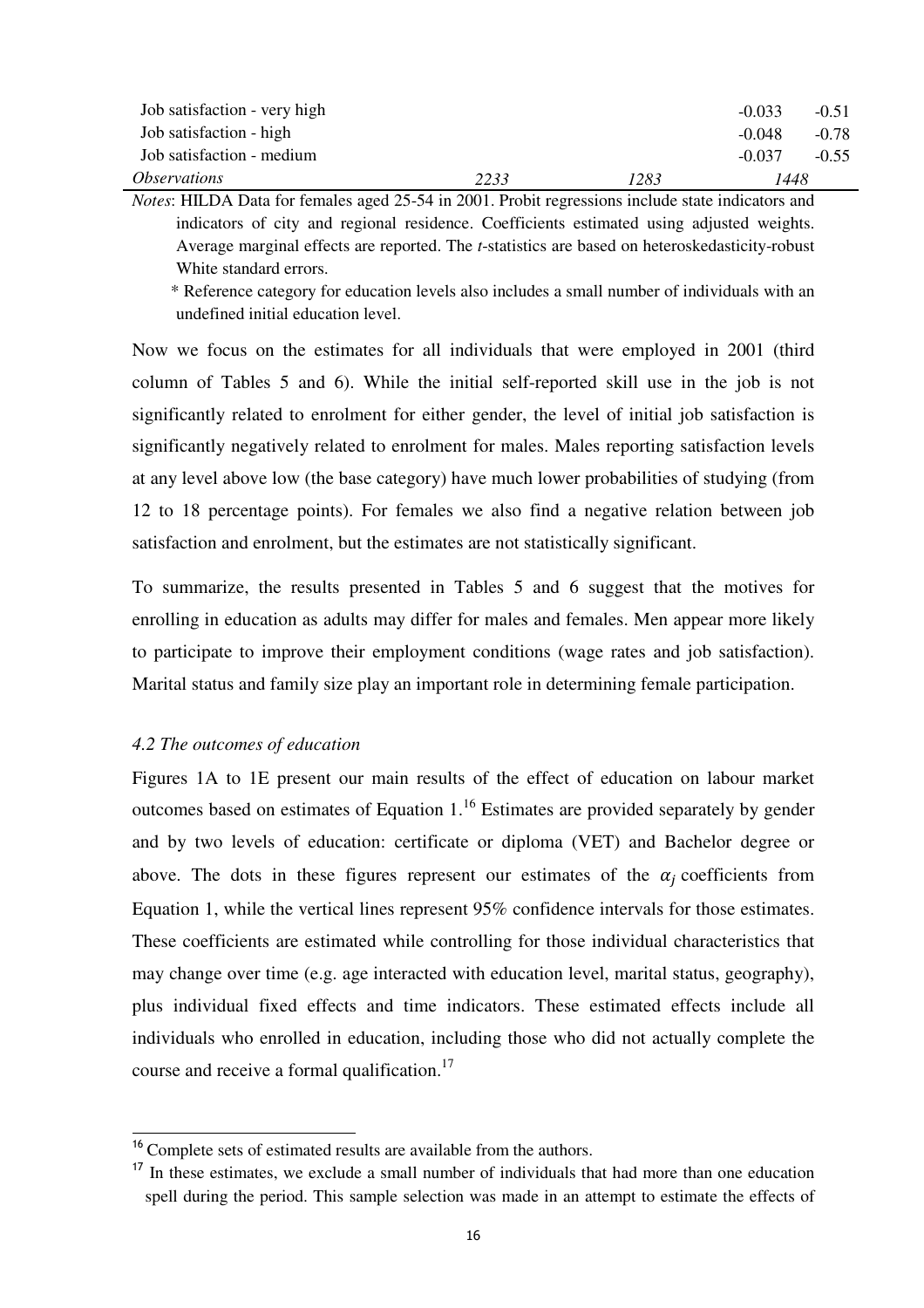| Job satisfaction - very high |      |      | $-0.033$ | $-0.51$ |
|------------------------------|------|------|----------|---------|
| Job satisfaction - high      |      |      | $-0.048$ | $-0.78$ |
| Job satisfaction - medium    |      |      | -0.037   | $-0.55$ |
| <i><b>Observations</b></i>   | 2233 | 1283 | 1448     |         |

*Notes*: HILDA Data for females aged 25-54 in 2001. Probit regressions include state indicators and indicators of city and regional residence. Coefficients estimated using adjusted weights. Average marginal effects are reported. The *t*-statistics are based on heteroskedasticity-robust White standard errors.

 \* Reference category for education levels also includes a small number of individuals with an undefined initial education level.

Now we focus on the estimates for all individuals that were employed in 2001 (third column of Tables 5 and 6). While the initial self-reported skill use in the job is not significantly related to enrolment for either gender, the level of initial job satisfaction is significantly negatively related to enrolment for males. Males reporting satisfaction levels at any level above low (the base category) have much lower probabilities of studying (from 12 to 18 percentage points). For females we also find a negative relation between job satisfaction and enrolment, but the estimates are not statistically significant.

To summarize, the results presented in Tables 5 and 6 suggest that the motives for enrolling in education as adults may differ for males and females. Men appear more likely to participate to improve their employment conditions (wage rates and job satisfaction). Marital status and family size play an important role in determining female participation.

#### *4.2 The outcomes of education*

l.

Figures 1A to 1E present our main results of the effect of education on labour market outcomes based on estimates of Equation 1.<sup>16</sup> Estimates are provided separately by gender and by two levels of education: certificate or diploma (VET) and Bachelor degree or above. The dots in these figures represent our estimates of the  $\alpha_i$  coefficients from Equation 1, while the vertical lines represent 95% confidence intervals for those estimates. These coefficients are estimated while controlling for those individual characteristics that may change over time (e.g. age interacted with education level, marital status, geography), plus individual fixed effects and time indicators. These estimated effects include all individuals who enrolled in education, including those who did not actually complete the course and receive a formal qualification.<sup>17</sup>

<sup>&</sup>lt;sup>16</sup> Complete sets of estimated results are available from the authors.

<sup>&</sup>lt;sup>17</sup> In these estimates, we exclude a small number of individuals that had more than one education spell during the period. This sample selection was made in an attempt to estimate the effects of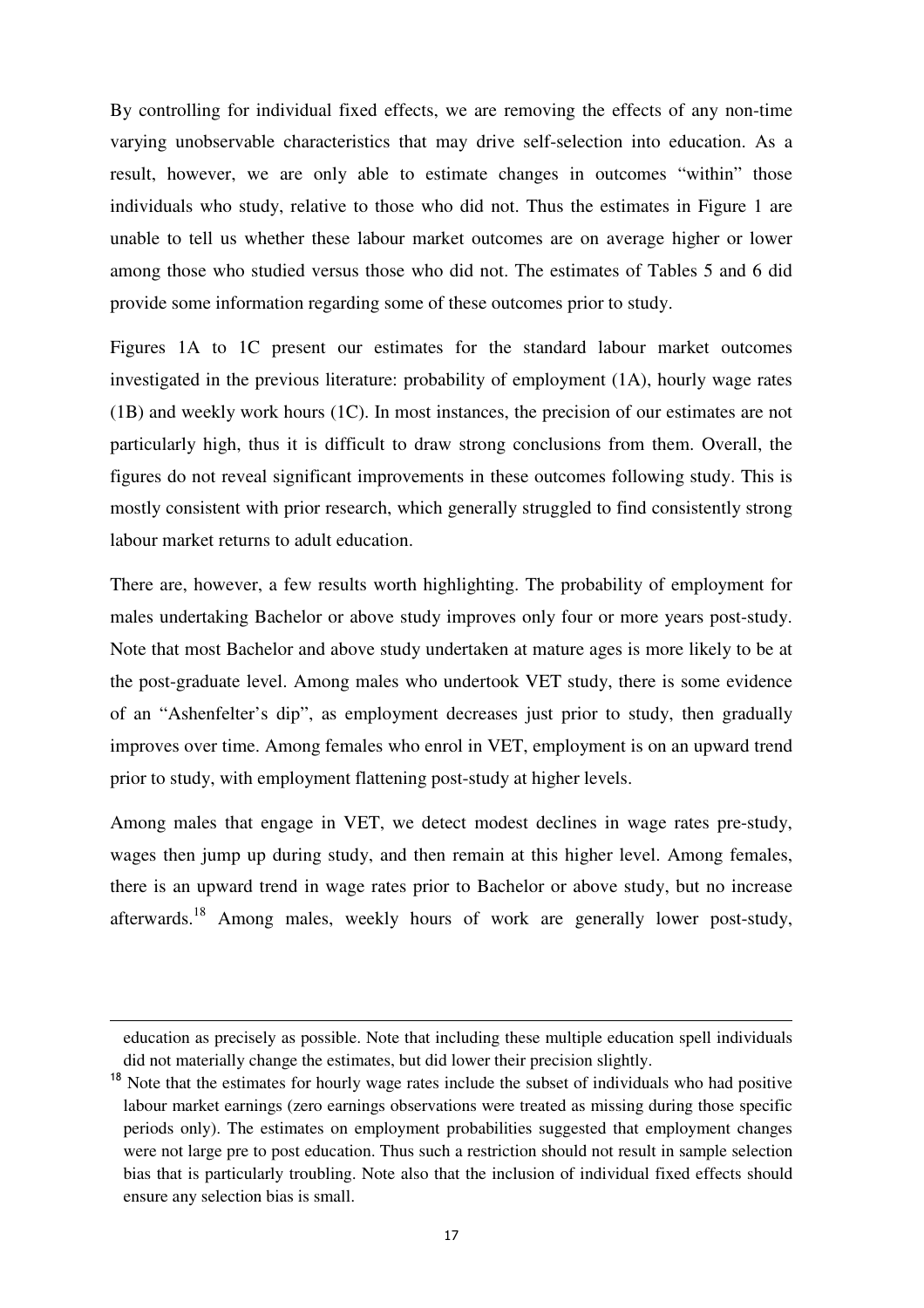By controlling for individual fixed effects, we are removing the effects of any non-time varying unobservable characteristics that may drive self-selection into education. As a result, however, we are only able to estimate changes in outcomes "within" those individuals who study, relative to those who did not. Thus the estimates in Figure 1 are unable to tell us whether these labour market outcomes are on average higher or lower among those who studied versus those who did not. The estimates of Tables 5 and 6 did provide some information regarding some of these outcomes prior to study.

Figures 1A to 1C present our estimates for the standard labour market outcomes investigated in the previous literature: probability of employment (1A), hourly wage rates (1B) and weekly work hours (1C). In most instances, the precision of our estimates are not particularly high, thus it is difficult to draw strong conclusions from them. Overall, the figures do not reveal significant improvements in these outcomes following study. This is mostly consistent with prior research, which generally struggled to find consistently strong labour market returns to adult education.

There are, however, a few results worth highlighting. The probability of employment for males undertaking Bachelor or above study improves only four or more years post-study. Note that most Bachelor and above study undertaken at mature ages is more likely to be at the post-graduate level. Among males who undertook VET study, there is some evidence of an "Ashenfelter's dip", as employment decreases just prior to study, then gradually improves over time. Among females who enrol in VET, employment is on an upward trend prior to study, with employment flattening post-study at higher levels.

Among males that engage in VET, we detect modest declines in wage rates pre-study, wages then jump up during study, and then remain at this higher level. Among females, there is an upward trend in wage rates prior to Bachelor or above study, but no increase afterwards.<sup>18</sup> Among males, weekly hours of work are generally lower post-study,

 $\overline{a}$ 

education as precisely as possible. Note that including these multiple education spell individuals did not materially change the estimates, but did lower their precision slightly.

 $18$  Note that the estimates for hourly wage rates include the subset of individuals who had positive labour market earnings (zero earnings observations were treated as missing during those specific periods only). The estimates on employment probabilities suggested that employment changes were not large pre to post education. Thus such a restriction should not result in sample selection bias that is particularly troubling. Note also that the inclusion of individual fixed effects should ensure any selection bias is small.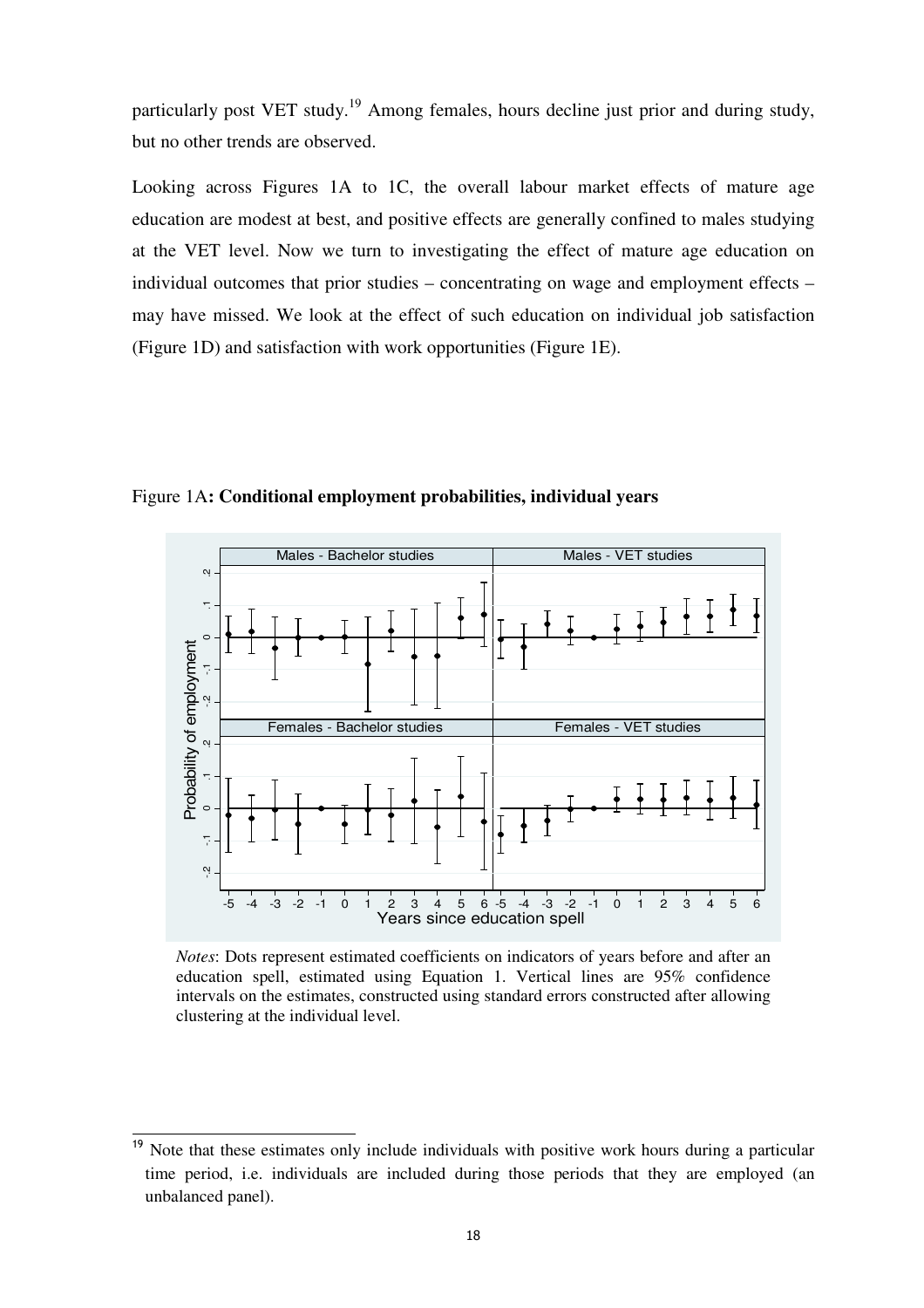particularly post VET study.<sup>19</sup> Among females, hours decline just prior and during study, but no other trends are observed.

Looking across Figures 1A to 1C, the overall labour market effects of mature age education are modest at best, and positive effects are generally confined to males studying at the VET level. Now we turn to investigating the effect of mature age education on individual outcomes that prior studies – concentrating on wage and employment effects – may have missed. We look at the effect of such education on individual job satisfaction (Figure 1D) and satisfaction with work opportunities (Figure 1E).

Figure 1A**: Conditional employment probabilities, individual years** 



*Notes*: Dots represent estimated coefficients on indicators of years before and after an education spell, estimated using Equation 1. Vertical lines are 95% confidence intervals on the estimates, constructed using standard errors constructed after allowing clustering at the individual level.

 $\overline{a}$ 

<sup>&</sup>lt;sup>19</sup> Note that these estimates only include individuals with positive work hours during a particular time period, i.e. individuals are included during those periods that they are employed (an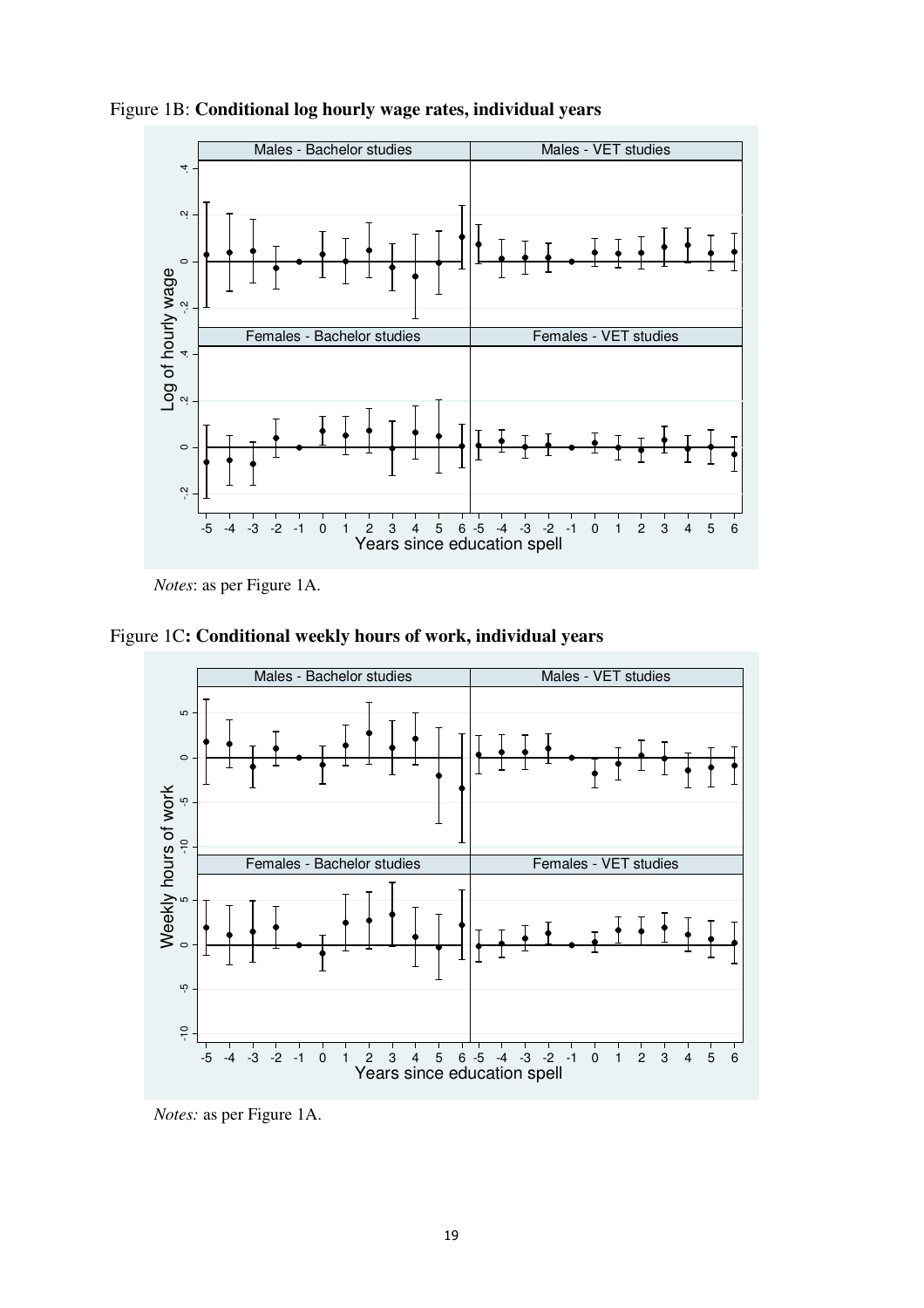

Figure 1B: **Conditional log hourly wage rates, individual years**

Figure 1C**: Conditional weekly hours of work, individual years** 



*Notes:* as per Figure 1A.

*Notes*: as per Figure 1A.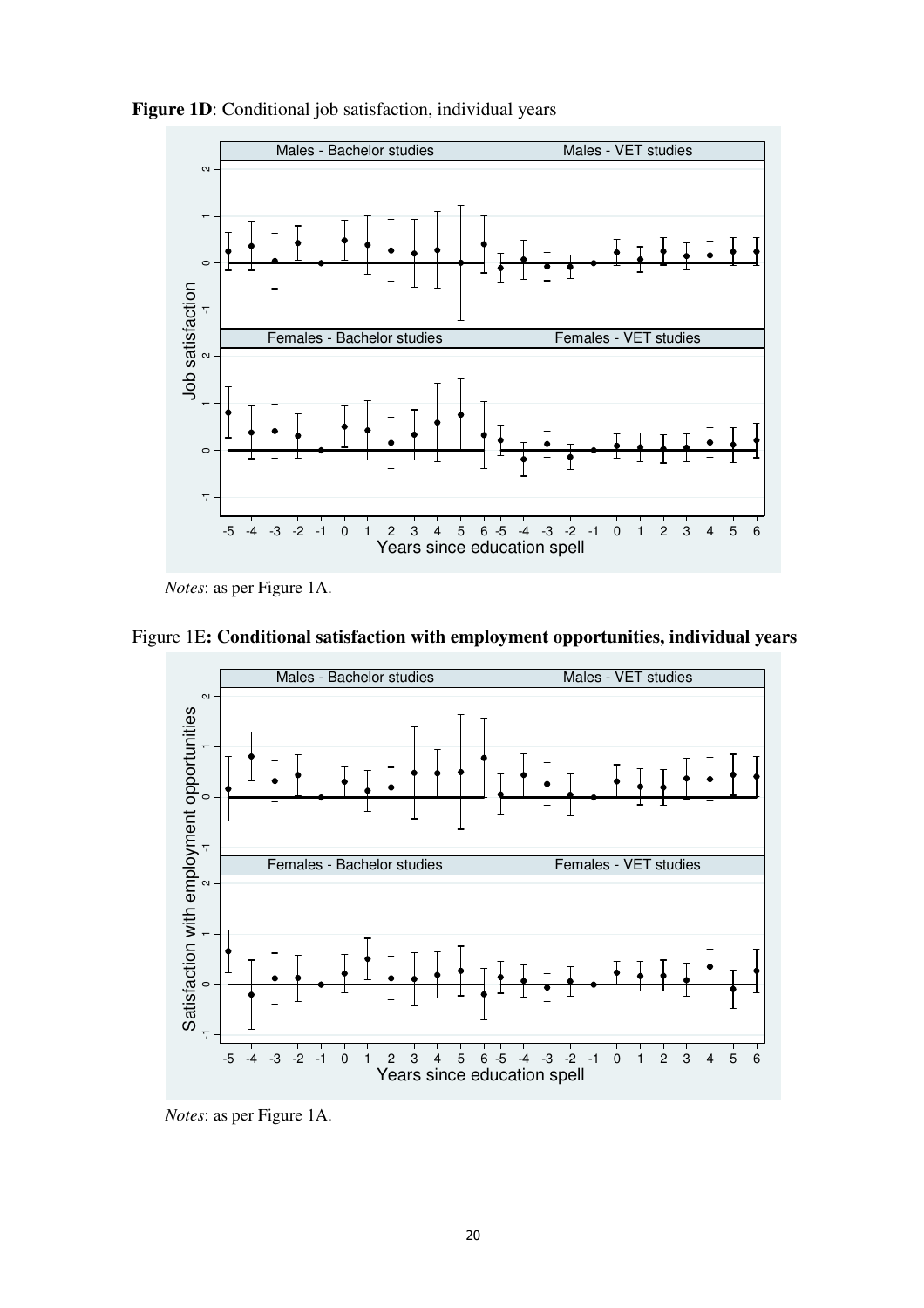

Figure 1D: Conditional job satisfaction, individual years

Figure 1E**: Conditional satisfaction with employment opportunities, individual years** 



*Notes*: as per Figure 1A.

*Notes*: as per Figure 1A.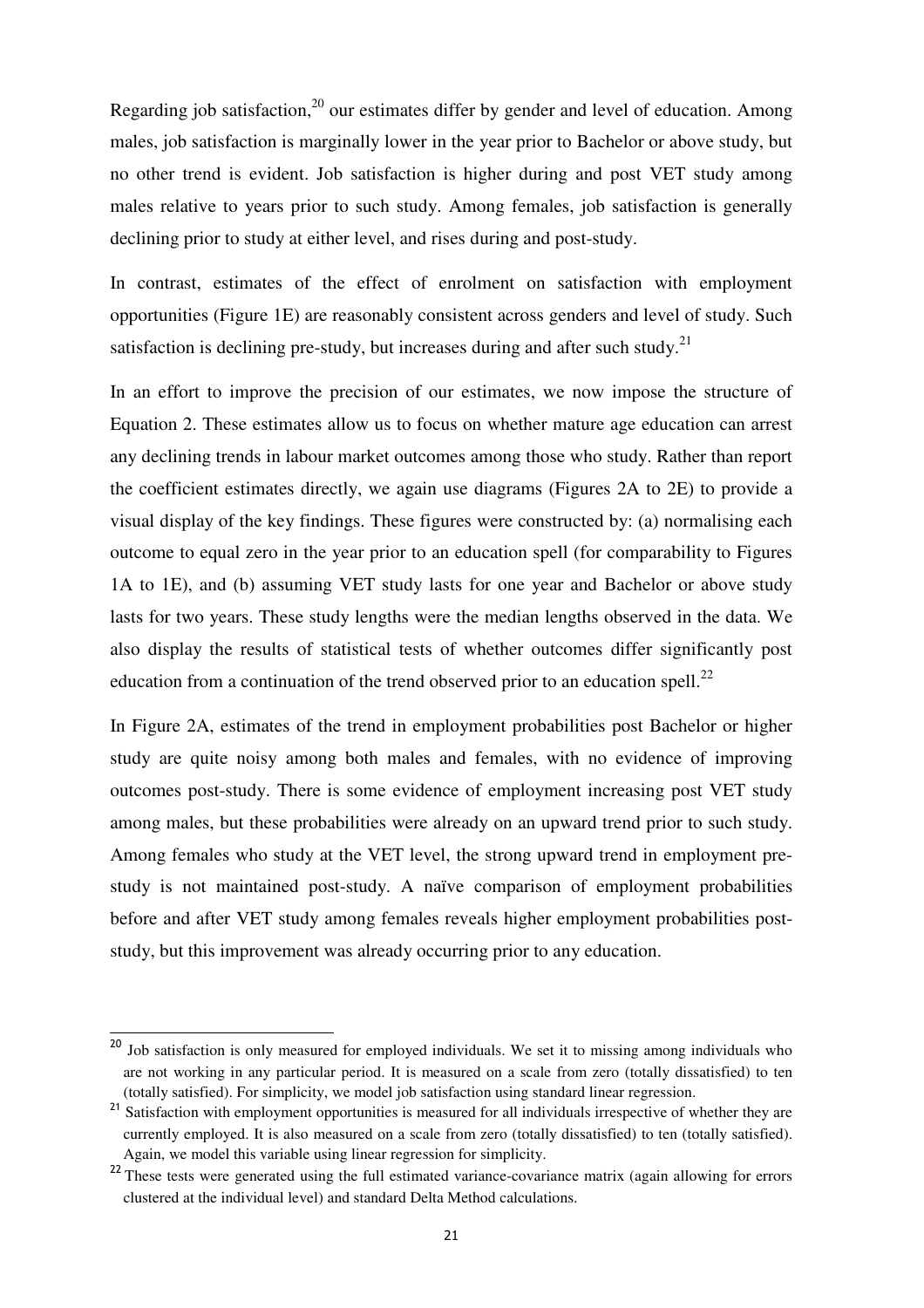Regarding job satisfaction,<sup>20</sup> our estimates differ by gender and level of education. Among males, job satisfaction is marginally lower in the year prior to Bachelor or above study, but no other trend is evident. Job satisfaction is higher during and post VET study among males relative to years prior to such study. Among females, job satisfaction is generally declining prior to study at either level, and rises during and post-study.

In contrast, estimates of the effect of enrolment on satisfaction with employment opportunities (Figure 1E) are reasonably consistent across genders and level of study. Such satisfaction is declining pre-study, but increases during and after such study.<sup>21</sup>

In an effort to improve the precision of our estimates, we now impose the structure of Equation 2. These estimates allow us to focus on whether mature age education can arrest any declining trends in labour market outcomes among those who study. Rather than report the coefficient estimates directly, we again use diagrams (Figures 2A to 2E) to provide a visual display of the key findings. These figures were constructed by: (a) normalising each outcome to equal zero in the year prior to an education spell (for comparability to Figures 1A to 1E), and (b) assuming VET study lasts for one year and Bachelor or above study lasts for two years. These study lengths were the median lengths observed in the data. We also display the results of statistical tests of whether outcomes differ significantly post education from a continuation of the trend observed prior to an education spell. $^{22}$ 

In Figure 2A, estimates of the trend in employment probabilities post Bachelor or higher study are quite noisy among both males and females, with no evidence of improving outcomes post-study. There is some evidence of employment increasing post VET study among males, but these probabilities were already on an upward trend prior to such study. Among females who study at the VET level, the strong upward trend in employment prestudy is not maintained post-study. A naïve comparison of employment probabilities before and after VET study among females reveals higher employment probabilities poststudy, but this improvement was already occurring prior to any education.

L

<sup>&</sup>lt;sup>20</sup> Job satisfaction is only measured for employed individuals. We set it to missing among individuals who are not working in any particular period. It is measured on a scale from zero (totally dissatisfied) to ten (totally satisfied). For simplicity, we model job satisfaction using standard linear regression.

<sup>&</sup>lt;sup>21</sup> Satisfaction with employment opportunities is measured for all individuals irrespective of whether they are currently employed. It is also measured on a scale from zero (totally dissatisfied) to ten (totally satisfied). Again, we model this variable using linear regression for simplicity.

<sup>&</sup>lt;sup>22</sup> These tests were generated using the full estimated variance-covariance matrix (again allowing for errors clustered at the individual level) and standard Delta Method calculations.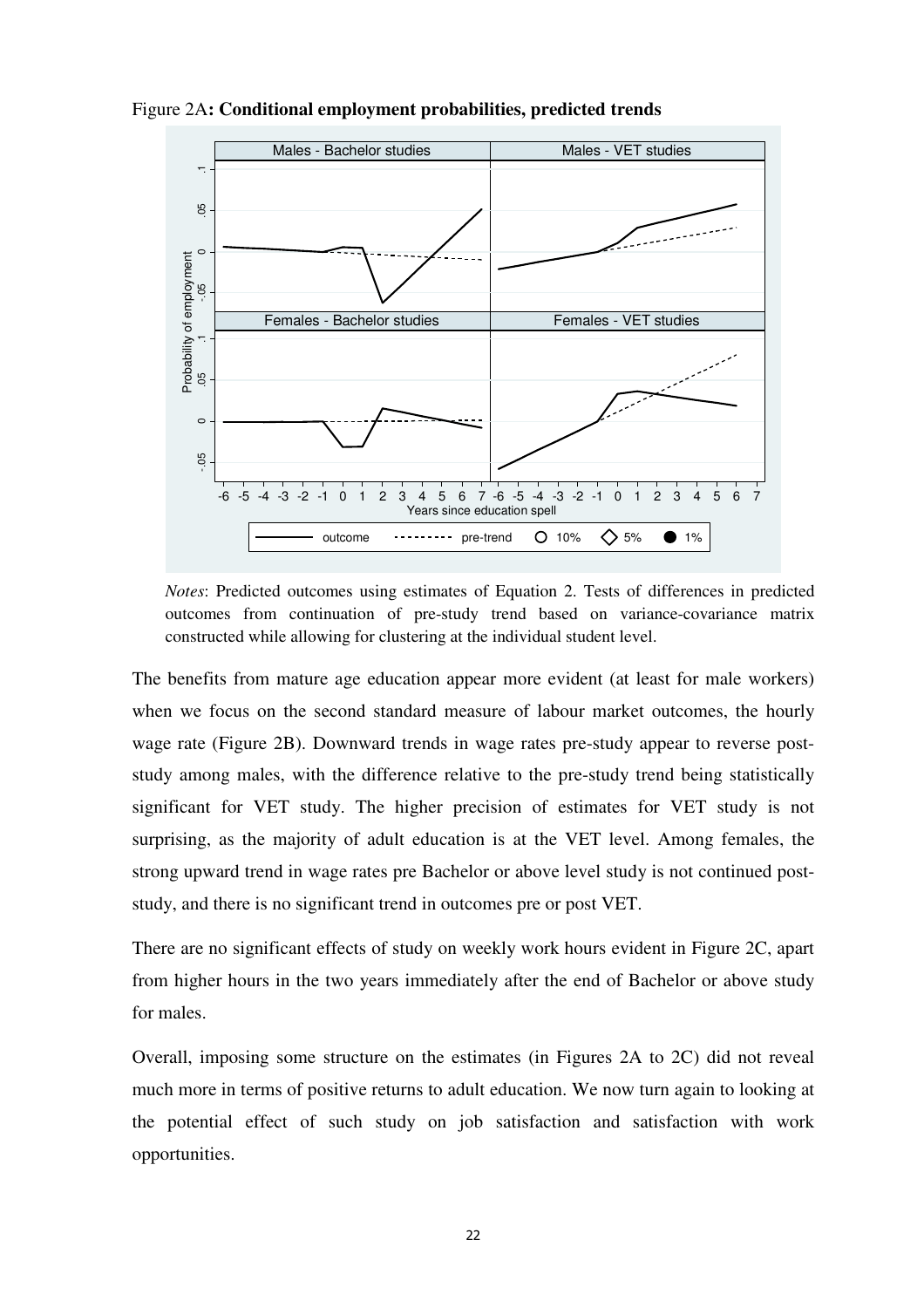

Figure 2A**: Conditional employment probabilities, predicted trends** 

*Notes*: Predicted outcomes using estimates of Equation 2. Tests of differences in predicted outcomes from continuation of pre-study trend based on variance-covariance matrix constructed while allowing for clustering at the individual student level.

The benefits from mature age education appear more evident (at least for male workers) when we focus on the second standard measure of labour market outcomes, the hourly wage rate (Figure 2B). Downward trends in wage rates pre-study appear to reverse poststudy among males, with the difference relative to the pre-study trend being statistically significant for VET study. The higher precision of estimates for VET study is not surprising, as the majority of adult education is at the VET level. Among females, the strong upward trend in wage rates pre Bachelor or above level study is not continued poststudy, and there is no significant trend in outcomes pre or post VET.

There are no significant effects of study on weekly work hours evident in Figure 2C, apart from higher hours in the two years immediately after the end of Bachelor or above study for males.

Overall, imposing some structure on the estimates (in Figures 2A to 2C) did not reveal much more in terms of positive returns to adult education. We now turn again to looking at the potential effect of such study on job satisfaction and satisfaction with work opportunities.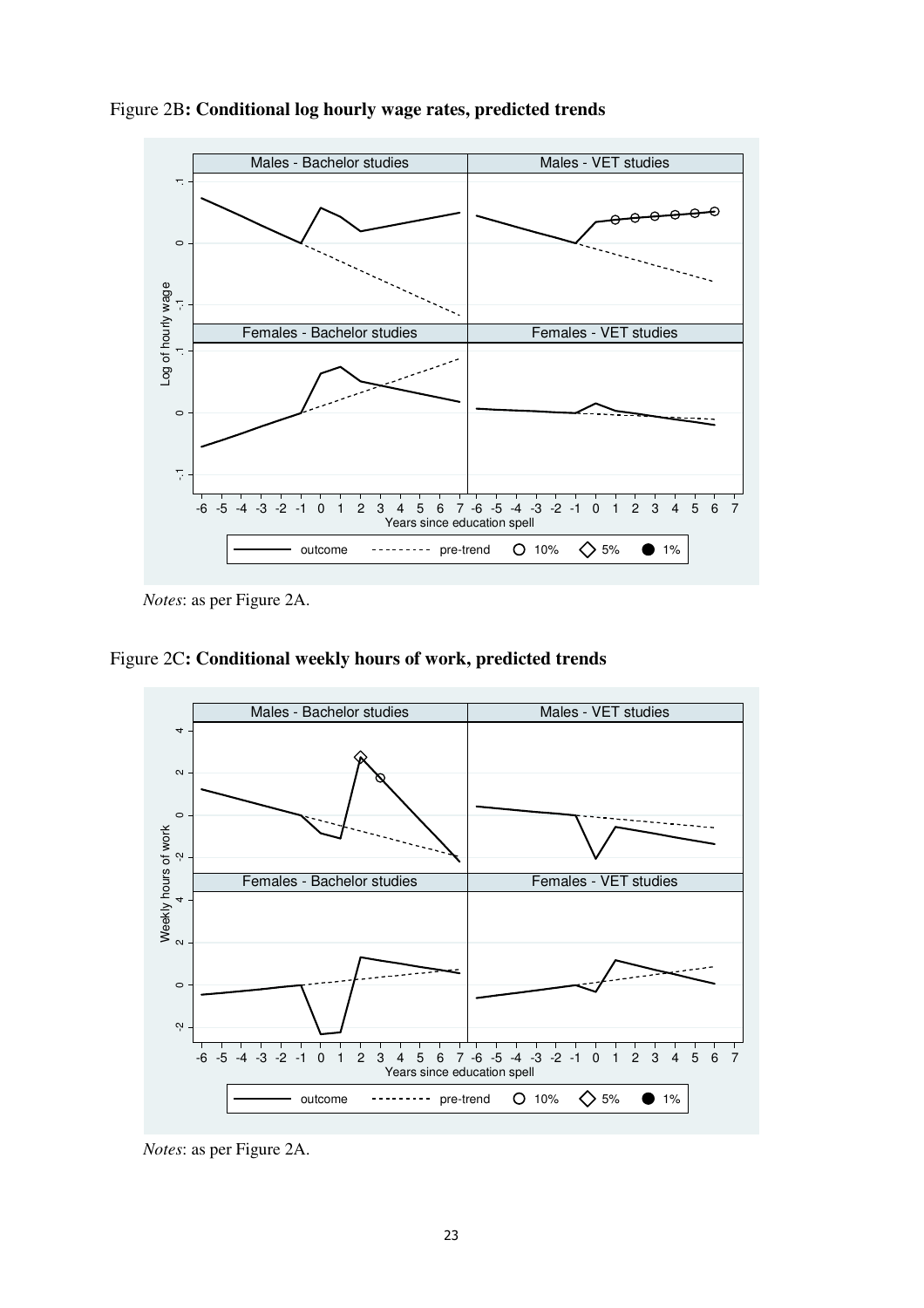

Figure 2B**: Conditional log hourly wage rates, predicted trends** 

*Notes*: as per Figure 2A.

Figure 2C**: Conditional weekly hours of work, predicted trends** 



*Notes*: as per Figure 2A.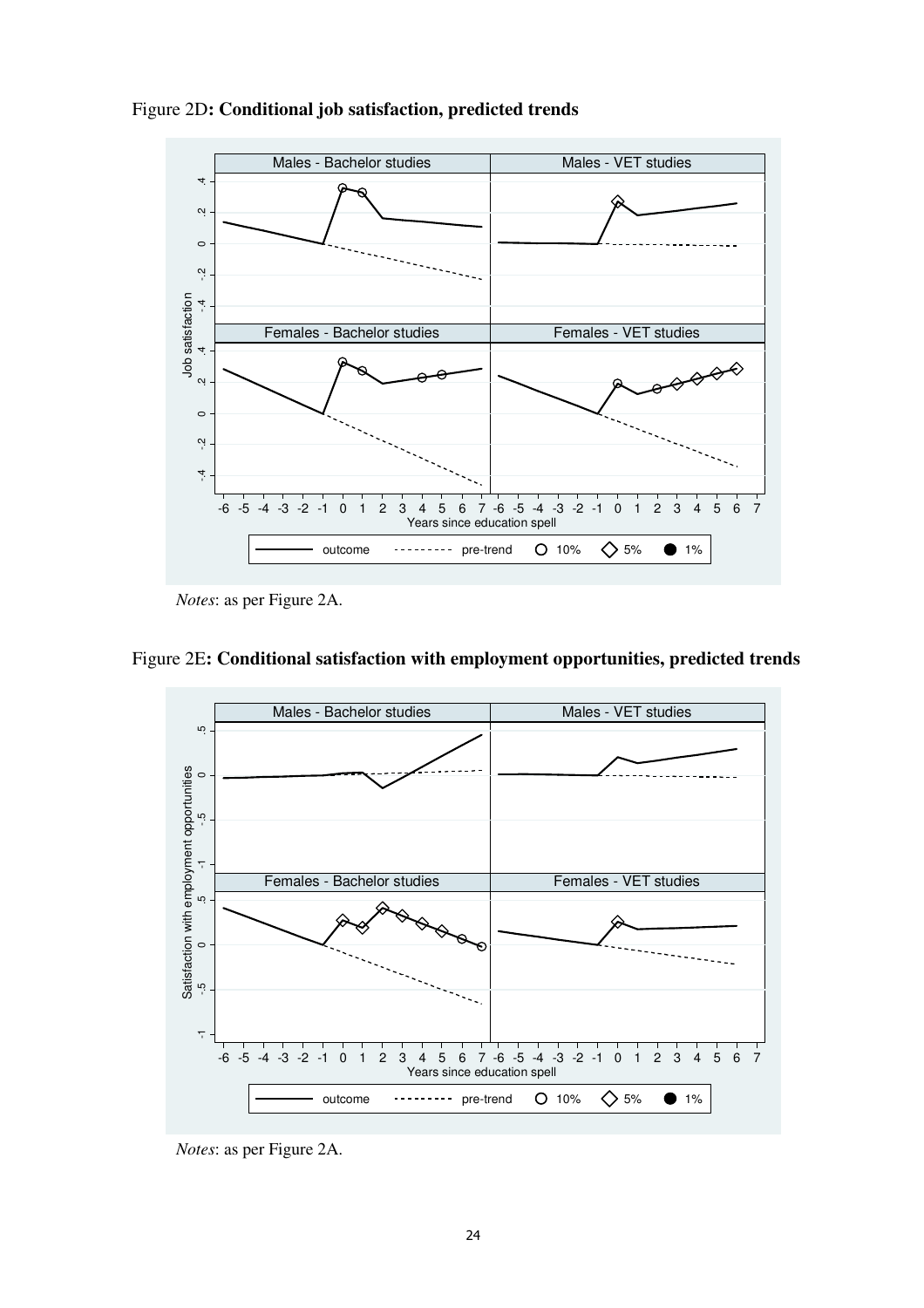

Figure 2D**: Conditional job satisfaction, predicted trends** 

*Notes*: as per Figure 2A.





*Notes*: as per Figure 2A.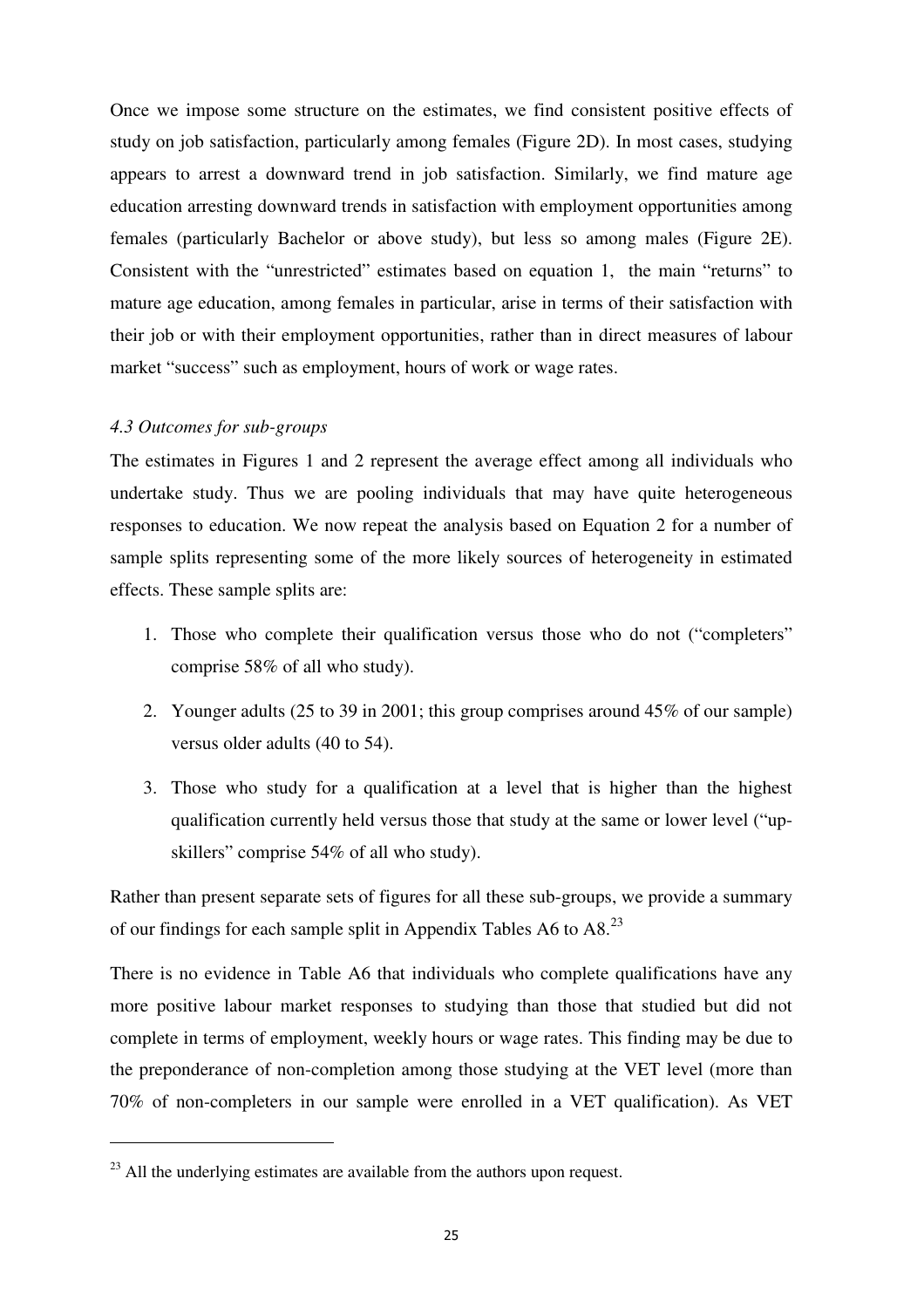Once we impose some structure on the estimates, we find consistent positive effects of study on job satisfaction, particularly among females (Figure 2D). In most cases, studying appears to arrest a downward trend in job satisfaction. Similarly, we find mature age education arresting downward trends in satisfaction with employment opportunities among females (particularly Bachelor or above study), but less so among males (Figure 2E). Consistent with the "unrestricted" estimates based on equation 1, the main "returns" to mature age education, among females in particular, arise in terms of their satisfaction with their job or with their employment opportunities, rather than in direct measures of labour market "success" such as employment, hours of work or wage rates.

#### *4.3 Outcomes for sub-groups*

L

The estimates in Figures 1 and 2 represent the average effect among all individuals who undertake study. Thus we are pooling individuals that may have quite heterogeneous responses to education. We now repeat the analysis based on Equation 2 for a number of sample splits representing some of the more likely sources of heterogeneity in estimated effects. These sample splits are:

- 1. Those who complete their qualification versus those who do not ("completers" comprise 58% of all who study).
- 2. Younger adults (25 to 39 in 2001; this group comprises around 45% of our sample) versus older adults (40 to 54).
- 3. Those who study for a qualification at a level that is higher than the highest qualification currently held versus those that study at the same or lower level ("upskillers" comprise 54% of all who study).

Rather than present separate sets of figures for all these sub-groups, we provide a summary of our findings for each sample split in Appendix Tables A6 to A8. $^{23}$ 

There is no evidence in Table A6 that individuals who complete qualifications have any more positive labour market responses to studying than those that studied but did not complete in terms of employment, weekly hours or wage rates. This finding may be due to the preponderance of non-completion among those studying at the VET level (more than 70% of non-completers in our sample were enrolled in a VET qualification). As VET

 $^{23}$  All the underlying estimates are available from the authors upon request.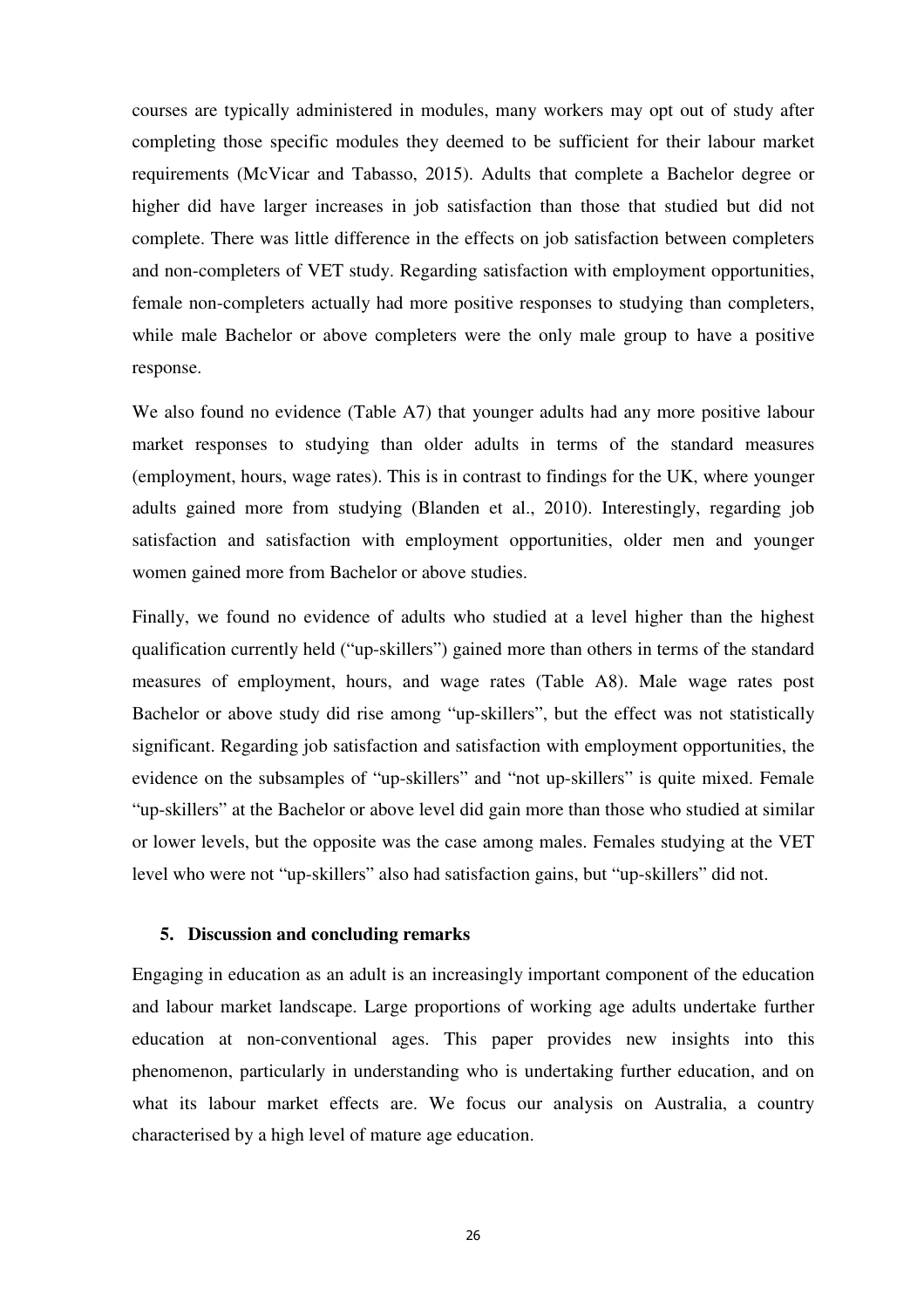courses are typically administered in modules, many workers may opt out of study after completing those specific modules they deemed to be sufficient for their labour market requirements (McVicar and Tabasso, 2015). Adults that complete a Bachelor degree or higher did have larger increases in job satisfaction than those that studied but did not complete. There was little difference in the effects on job satisfaction between completers and non-completers of VET study. Regarding satisfaction with employment opportunities, female non-completers actually had more positive responses to studying than completers, while male Bachelor or above completers were the only male group to have a positive response.

We also found no evidence (Table A7) that younger adults had any more positive labour market responses to studying than older adults in terms of the standard measures (employment, hours, wage rates). This is in contrast to findings for the UK, where younger adults gained more from studying (Blanden et al., 2010). Interestingly, regarding job satisfaction and satisfaction with employment opportunities, older men and younger women gained more from Bachelor or above studies.

Finally, we found no evidence of adults who studied at a level higher than the highest qualification currently held ("up-skillers") gained more than others in terms of the standard measures of employment, hours, and wage rates (Table A8). Male wage rates post Bachelor or above study did rise among "up-skillers", but the effect was not statistically significant. Regarding job satisfaction and satisfaction with employment opportunities, the evidence on the subsamples of "up-skillers" and "not up-skillers" is quite mixed. Female "up-skillers" at the Bachelor or above level did gain more than those who studied at similar or lower levels, but the opposite was the case among males. Females studying at the VET level who were not "up-skillers" also had satisfaction gains, but "up-skillers" did not.

#### **5. Discussion and concluding remarks**

Engaging in education as an adult is an increasingly important component of the education and labour market landscape. Large proportions of working age adults undertake further education at non-conventional ages. This paper provides new insights into this phenomenon, particularly in understanding who is undertaking further education, and on what its labour market effects are. We focus our analysis on Australia, a country characterised by a high level of mature age education.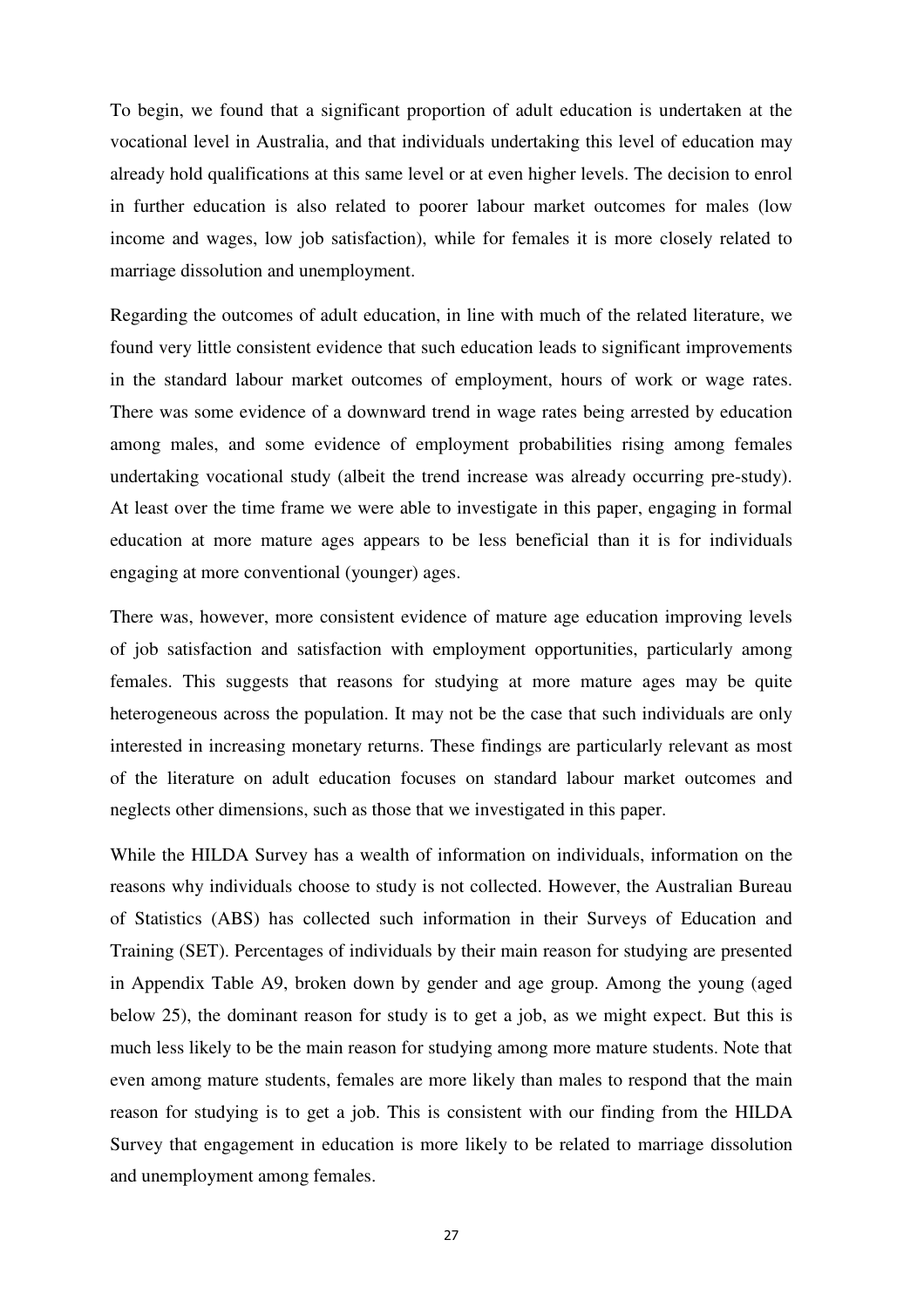To begin, we found that a significant proportion of adult education is undertaken at the vocational level in Australia, and that individuals undertaking this level of education may already hold qualifications at this same level or at even higher levels. The decision to enrol in further education is also related to poorer labour market outcomes for males (low income and wages, low job satisfaction), while for females it is more closely related to marriage dissolution and unemployment.

Regarding the outcomes of adult education, in line with much of the related literature, we found very little consistent evidence that such education leads to significant improvements in the standard labour market outcomes of employment, hours of work or wage rates. There was some evidence of a downward trend in wage rates being arrested by education among males, and some evidence of employment probabilities rising among females undertaking vocational study (albeit the trend increase was already occurring pre-study). At least over the time frame we were able to investigate in this paper, engaging in formal education at more mature ages appears to be less beneficial than it is for individuals engaging at more conventional (younger) ages.

There was, however, more consistent evidence of mature age education improving levels of job satisfaction and satisfaction with employment opportunities, particularly among females. This suggests that reasons for studying at more mature ages may be quite heterogeneous across the population. It may not be the case that such individuals are only interested in increasing monetary returns. These findings are particularly relevant as most of the literature on adult education focuses on standard labour market outcomes and neglects other dimensions, such as those that we investigated in this paper.

While the HILDA Survey has a wealth of information on individuals, information on the reasons why individuals choose to study is not collected. However, the Australian Bureau of Statistics (ABS) has collected such information in their Surveys of Education and Training (SET). Percentages of individuals by their main reason for studying are presented in Appendix Table A9, broken down by gender and age group. Among the young (aged below 25), the dominant reason for study is to get a job, as we might expect. But this is much less likely to be the main reason for studying among more mature students. Note that even among mature students, females are more likely than males to respond that the main reason for studying is to get a job. This is consistent with our finding from the HILDA Survey that engagement in education is more likely to be related to marriage dissolution and unemployment among females.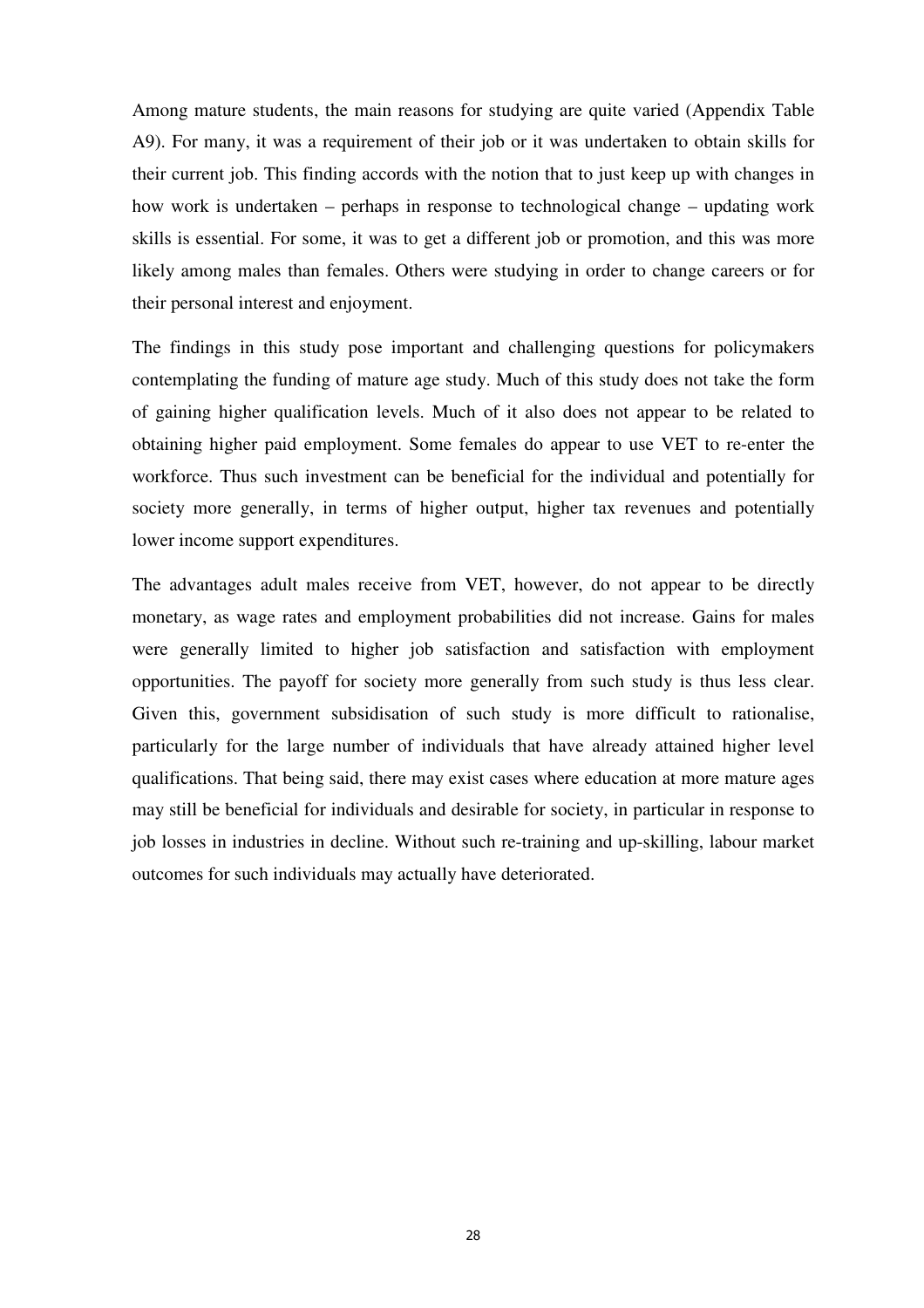Among mature students, the main reasons for studying are quite varied (Appendix Table A9). For many, it was a requirement of their job or it was undertaken to obtain skills for their current job. This finding accords with the notion that to just keep up with changes in how work is undertaken – perhaps in response to technological change – updating work skills is essential. For some, it was to get a different job or promotion, and this was more likely among males than females. Others were studying in order to change careers or for their personal interest and enjoyment.

The findings in this study pose important and challenging questions for policymakers contemplating the funding of mature age study. Much of this study does not take the form of gaining higher qualification levels. Much of it also does not appear to be related to obtaining higher paid employment. Some females do appear to use VET to re-enter the workforce. Thus such investment can be beneficial for the individual and potentially for society more generally, in terms of higher output, higher tax revenues and potentially lower income support expenditures.

The advantages adult males receive from VET, however, do not appear to be directly monetary, as wage rates and employment probabilities did not increase. Gains for males were generally limited to higher job satisfaction and satisfaction with employment opportunities. The payoff for society more generally from such study is thus less clear. Given this, government subsidisation of such study is more difficult to rationalise, particularly for the large number of individuals that have already attained higher level qualifications. That being said, there may exist cases where education at more mature ages may still be beneficial for individuals and desirable for society, in particular in response to job losses in industries in decline. Without such re-training and up-skilling, labour market outcomes for such individuals may actually have deteriorated.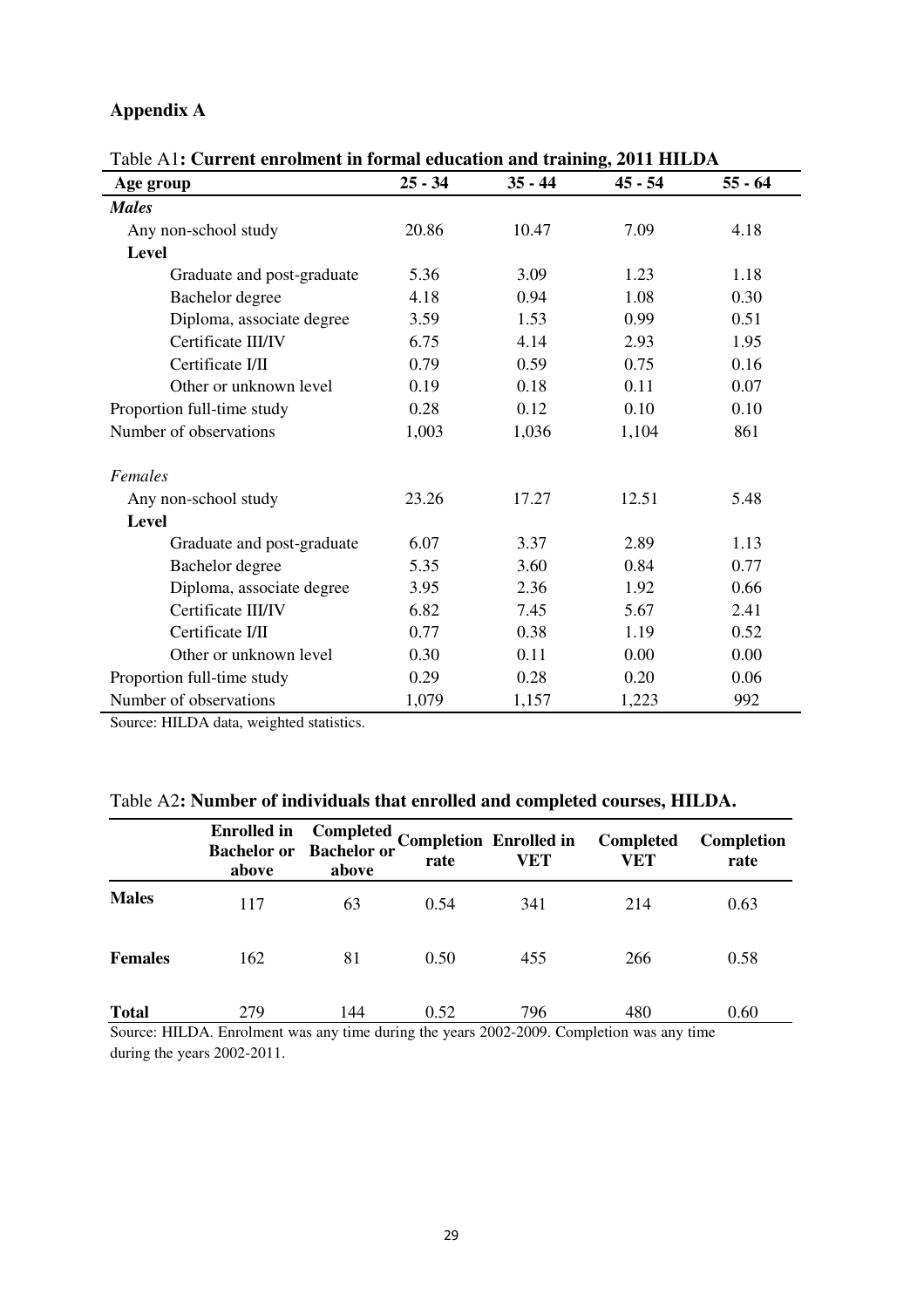### **Appendix A**

| Age group                  | $25 - 34$ | $35 - 44$ | $45 - 54$ | $55 - 64$ |
|----------------------------|-----------|-----------|-----------|-----------|
| <b>Males</b>               |           |           |           |           |
| Any non-school study       | 20.86     | 10.47     | 7.09      | 4.18      |
| <b>Level</b>               |           |           |           |           |
| Graduate and post-graduate | 5.36      | 3.09      | 1.23      | 1.18      |
| Bachelor degree            | 4.18      | 0.94      | 1.08      | 0.30      |
| Diploma, associate degree  | 3.59      | 1.53      | 0.99      | 0.51      |
| Certificate III/IV         | 6.75      | 4.14      | 2.93      | 1.95      |
| Certificate I/II           | 0.79      | 0.59      | 0.75      | 0.16      |
| Other or unknown level     | 0.19      | 0.18      | 0.11      | 0.07      |
| Proportion full-time study | 0.28      | 0.12      | 0.10      | 0.10      |
| Number of observations     | 1,003     | 1,036     | 1,104     | 861       |
| Females                    |           |           |           |           |
| Any non-school study       | 23.26     | 17.27     | 12.51     | 5.48      |
| <b>Level</b>               |           |           |           |           |
| Graduate and post-graduate | 6.07      | 3.37      | 2.89      | 1.13      |
| Bachelor degree            | 5.35      | 3.60      | 0.84      | 0.77      |
| Diploma, associate degree  | 3.95      | 2.36      | 1.92      | 0.66      |
| Certificate III/IV         | 6.82      | 7.45      | 5.67      | 2.41      |
| Certificate I/II           | 0.77      | 0.38      | 1.19      | 0.52      |
| Other or unknown level     | 0.30      | 0.11      | 0.00      | 0.00      |
| Proportion full-time study | 0.29      | 0.28      | 0.20      | 0.06      |
| Number of observations     | 1,079     | 1,157     | 1,223     | 992       |

Source: HILDA data, weighted statistics.

|  | Table A2: Number of individuals that enrolled and completed courses, HILDA. |
|--|-----------------------------------------------------------------------------|
|  |                                                                             |

|                | <b>Enrolled in</b><br>above                                                                       | <b>Completed</b><br><b>Bachelor or Bachelor or</b><br>above | rate | <b>Completion Enrolled in</b><br>VET | Completed<br>VET | <b>Completion</b><br>rate |
|----------------|---------------------------------------------------------------------------------------------------|-------------------------------------------------------------|------|--------------------------------------|------------------|---------------------------|
| <b>Males</b>   | 117                                                                                               | 63                                                          | 0.54 | 341                                  | 214              | 0.63                      |
| <b>Females</b> | 162                                                                                               | 81                                                          | 0.50 | 455                                  | 266              | 0.58                      |
| <b>Total</b>   | 279<br>Source: HII DA, Enrolment was any time during the vears 2002 2000. Completion was any time | 144                                                         | 0.52 | 796                                  | 480              | 0.60                      |

Source: HILDA. Enrolment was any time during the years 2002-2009. Completion was any time during the years 2002-2011.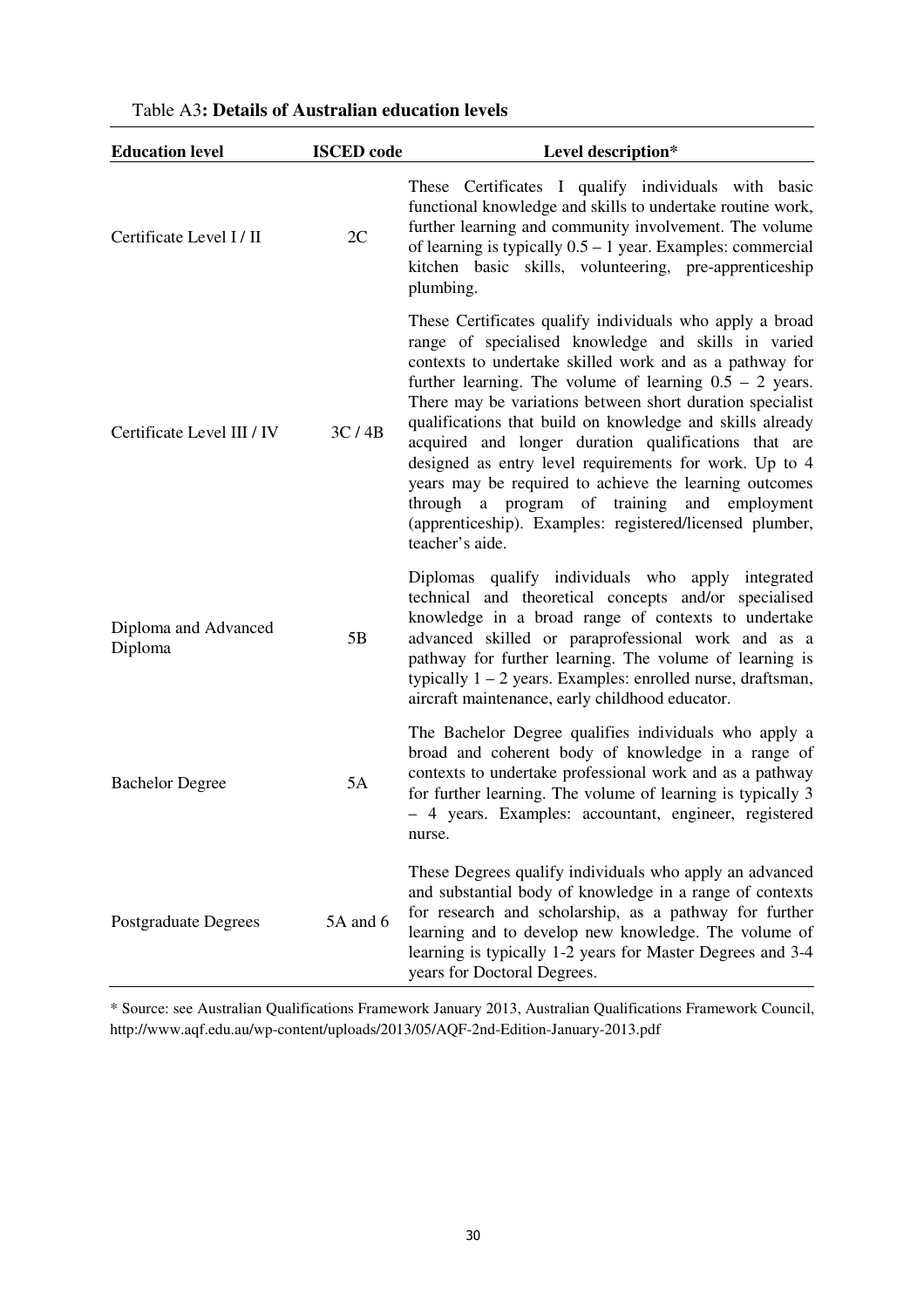|  | Table A3: Details of Australian education levels |
|--|--------------------------------------------------|
|--|--------------------------------------------------|

| <b>Education level</b>          | <b>ISCED</b> code | Level description*                                                                                                                                                                                                                                                                                                                                                                                                                                                                                                                                                                                                                                                           |
|---------------------------------|-------------------|------------------------------------------------------------------------------------------------------------------------------------------------------------------------------------------------------------------------------------------------------------------------------------------------------------------------------------------------------------------------------------------------------------------------------------------------------------------------------------------------------------------------------------------------------------------------------------------------------------------------------------------------------------------------------|
| Certificate Level I / II        | 2C                | These Certificates I qualify individuals with basic<br>functional knowledge and skills to undertake routine work,<br>further learning and community involvement. The volume<br>of learning is typically $0.5 - 1$ year. Examples: commercial<br>kitchen basic skills, volunteering, pre-apprenticeship<br>plumbing.                                                                                                                                                                                                                                                                                                                                                          |
| Certificate Level III / IV      | 3C/4B             | These Certificates qualify individuals who apply a broad<br>range of specialised knowledge and skills in varied<br>contexts to undertake skilled work and as a pathway for<br>further learning. The volume of learning $0.5 - 2$ years.<br>There may be variations between short duration specialist<br>qualifications that build on knowledge and skills already<br>acquired and longer duration qualifications that are<br>designed as entry level requirements for work. Up to 4<br>years may be required to achieve the learning outcomes<br>through a program of training and employment<br>(apprenticeship). Examples: registered/licensed plumber,<br>teacher's aide. |
| Diploma and Advanced<br>Diploma | 5B                | Diplomas qualify individuals who apply integrated<br>technical and theoretical concepts and/or specialised<br>knowledge in a broad range of contexts to undertake<br>advanced skilled or paraprofessional work and as a<br>pathway for further learning. The volume of learning is<br>typically $1 - 2$ years. Examples: enrolled nurse, draftsman,<br>aircraft maintenance, early childhood educator.                                                                                                                                                                                                                                                                       |
| <b>Bachelor Degree</b>          | 5A                | The Bachelor Degree qualifies individuals who apply a<br>broad and coherent body of knowledge in a range of<br>contexts to undertake professional work and as a pathway<br>for further learning. The volume of learning is typically 3<br>- 4 years. Examples: accountant, engineer, registered<br>nurse.                                                                                                                                                                                                                                                                                                                                                                    |
| <b>Postgraduate Degrees</b>     | 5A and 6          | These Degrees qualify individuals who apply an advanced<br>and substantial body of knowledge in a range of contexts<br>for research and scholarship, as a pathway for further<br>learning and to develop new knowledge. The volume of<br>learning is typically 1-2 years for Master Degrees and 3-4<br>years for Doctoral Degrees.                                                                                                                                                                                                                                                                                                                                           |

\* Source: see Australian Qualifications Framework January 2013, Australian Qualifications Framework Council, http://www.aqf.edu.au/wp-content/uploads/2013/05/AQF-2nd-Edition-January-2013.pdf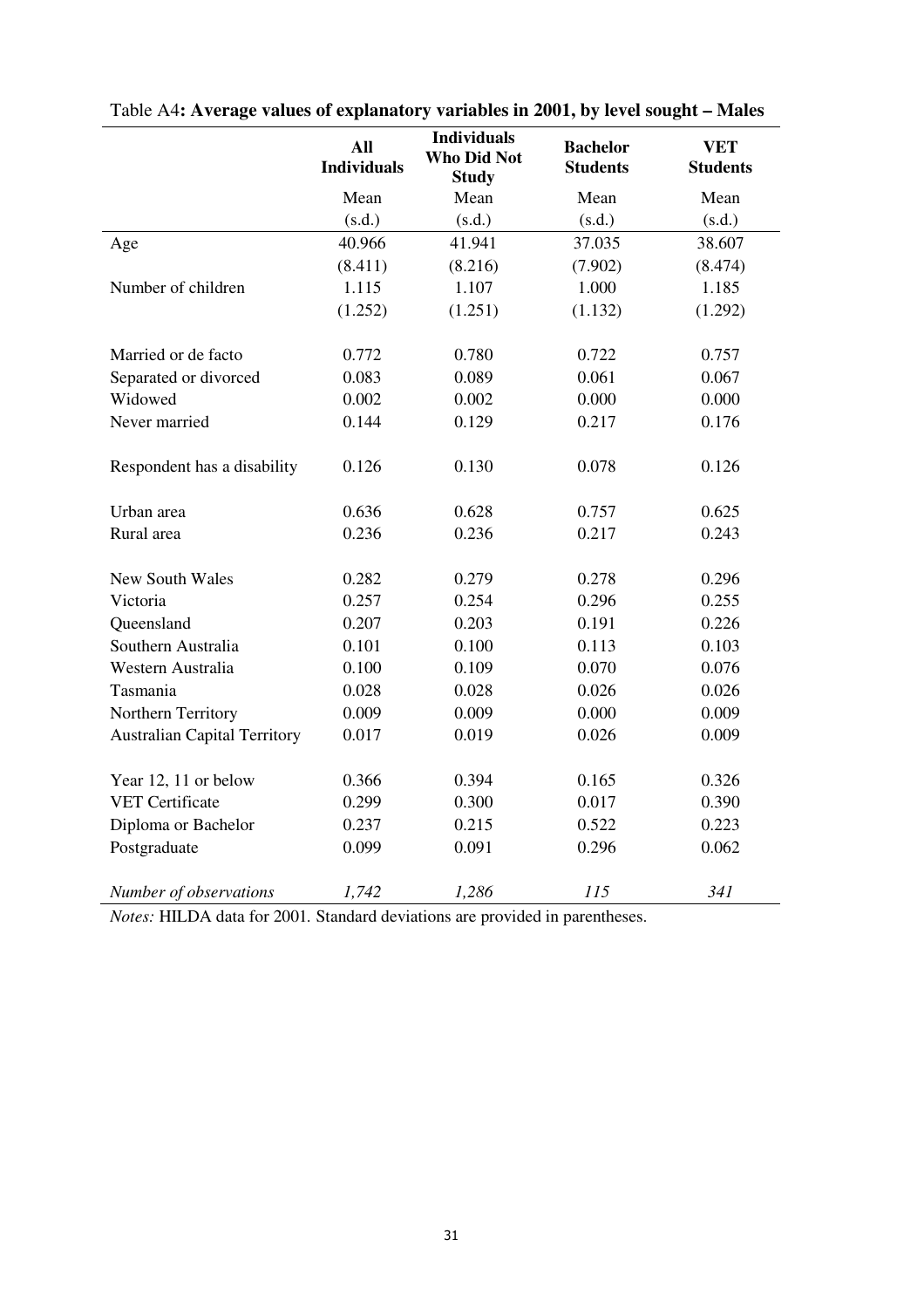|                                     | All<br><b>Individuals</b> | <b>Individuals</b><br><b>Who Did Not</b><br><b>Study</b> | <b>Bachelor</b><br><b>Students</b> | <b>VET</b><br><b>Students</b> |
|-------------------------------------|---------------------------|----------------------------------------------------------|------------------------------------|-------------------------------|
|                                     | Mean                      | Mean                                                     | Mean                               | Mean                          |
|                                     | (s.d.)                    | (s.d.)                                                   | (s.d.)                             | (s.d.)                        |
| Age                                 | 40.966                    | 41.941                                                   | 37.035                             | 38.607                        |
|                                     | (8.411)                   | (8.216)                                                  | (7.902)                            | (8.474)                       |
| Number of children                  | 1.115                     | 1.107                                                    | 1.000                              | 1.185                         |
|                                     | (1.252)                   | (1.251)                                                  | (1.132)                            | (1.292)                       |
| Married or de facto                 | 0.772                     | 0.780                                                    | 0.722                              | 0.757                         |
| Separated or divorced               | 0.083                     | 0.089                                                    | 0.061                              | 0.067                         |
| Widowed                             | 0.002                     | 0.002                                                    | 0.000                              | 0.000                         |
| Never married                       | 0.144                     | 0.129                                                    | 0.217                              | 0.176                         |
| Respondent has a disability         | 0.126                     | 0.130                                                    | 0.078                              | 0.126                         |
| Urban area                          | 0.636                     | 0.628                                                    | 0.757                              | 0.625                         |
| Rural area                          | 0.236                     | 0.236                                                    | 0.217                              | 0.243                         |
| New South Wales                     | 0.282                     | 0.279                                                    | 0.278                              | 0.296                         |
| Victoria                            | 0.257                     | 0.254                                                    | 0.296                              | 0.255                         |
| Queensland                          | 0.207                     | 0.203                                                    | 0.191                              | 0.226                         |
| Southern Australia                  | 0.101                     | 0.100                                                    | 0.113                              | 0.103                         |
| Western Australia                   | 0.100                     | 0.109                                                    | 0.070                              | 0.076                         |
| Tasmania                            | 0.028                     | 0.028                                                    | 0.026                              | 0.026                         |
| Northern Territory                  | 0.009                     | 0.009                                                    | 0.000                              | 0.009                         |
| <b>Australian Capital Territory</b> | 0.017                     | 0.019                                                    | 0.026                              | 0.009                         |
| Year 12, 11 or below                | 0.366                     | 0.394                                                    | 0.165                              | 0.326                         |
| <b>VET Certificate</b>              | 0.299                     | 0.300                                                    | 0.017                              | 0.390                         |
| Diploma or Bachelor                 | 0.237                     | 0.215                                                    | 0.522                              | 0.223                         |
| Postgraduate                        | 0.099                     | 0.091                                                    | 0.296                              | 0.062                         |
| Number of observations              | 1,742                     | 1,286                                                    | 115                                | 341                           |

| Table A4: Average values of explanatory variables in 2001, by level sought – Males |  |  |  |
|------------------------------------------------------------------------------------|--|--|--|
|------------------------------------------------------------------------------------|--|--|--|

*Notes:* HILDA data for 2001. Standard deviations are provided in parentheses.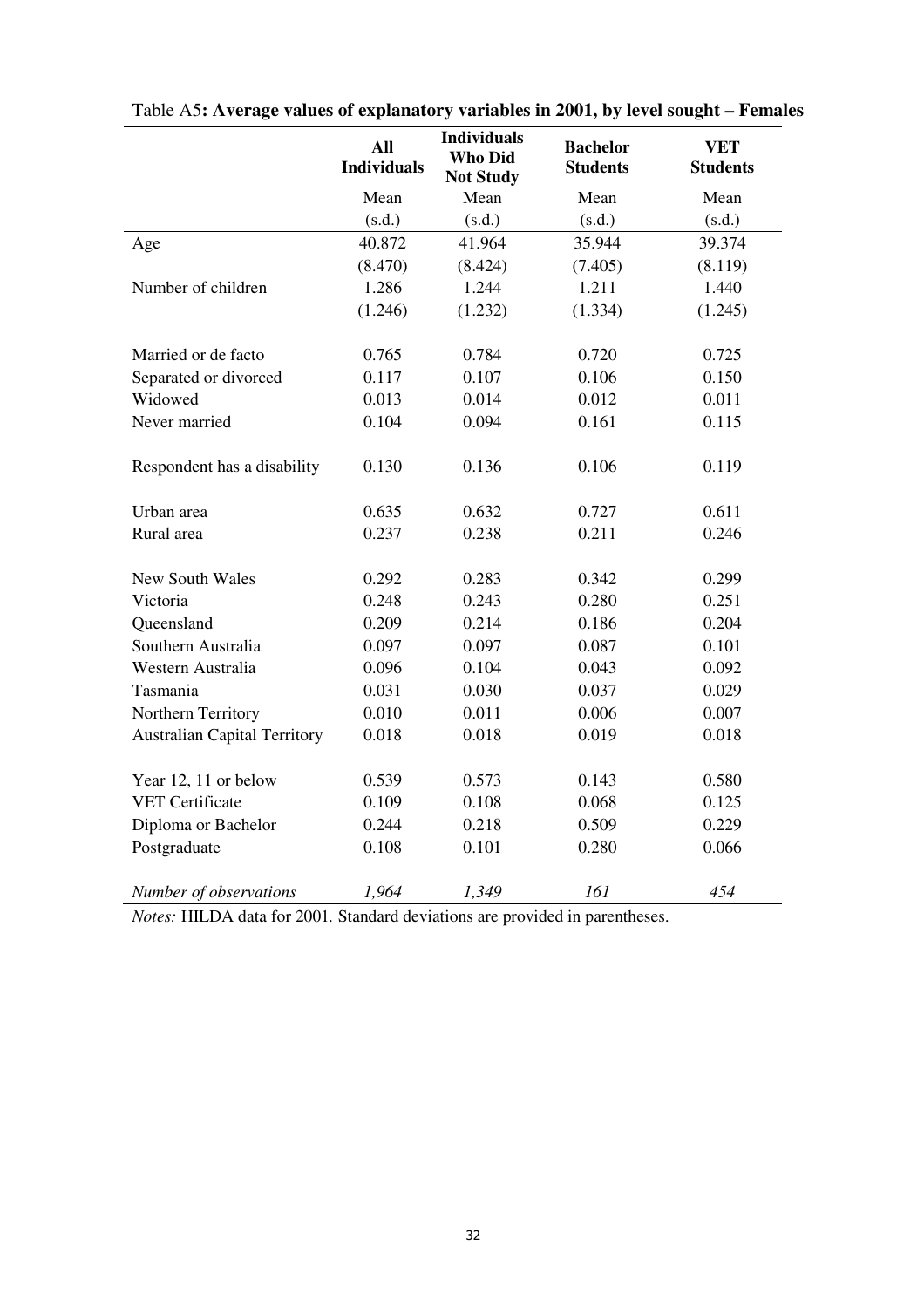|                                     | <b>All</b><br><b>Individuals</b> | <b>Individuals</b><br><b>Who Did</b><br><b>Not Study</b> | <b>Bachelor</b><br><b>Students</b> | <b>VET</b><br><b>Students</b> |
|-------------------------------------|----------------------------------|----------------------------------------------------------|------------------------------------|-------------------------------|
|                                     | Mean                             | Mean                                                     | Mean                               | Mean                          |
|                                     | (s.d.)                           | (s.d.)                                                   | (s.d.)                             | (s.d.)                        |
| Age                                 | 40.872                           | 41.964                                                   | 35.944                             | 39.374                        |
|                                     | (8.470)                          | (8.424)                                                  | (7.405)                            | (8.119)                       |
| Number of children                  | 1.286                            | 1.244                                                    | 1.211                              | 1.440                         |
|                                     | (1.246)                          | (1.232)                                                  | (1.334)                            | (1.245)                       |
| Married or de facto                 | 0.765                            | 0.784                                                    | 0.720                              | 0.725                         |
| Separated or divorced               | 0.117                            | 0.107                                                    | 0.106                              | 0.150                         |
| Widowed                             | 0.013                            | 0.014                                                    | 0.012                              | 0.011                         |
| Never married                       | 0.104                            | 0.094                                                    | 0.161                              | 0.115                         |
| Respondent has a disability         | 0.130                            | 0.136                                                    | 0.106                              | 0.119                         |
| Urban area                          | 0.635                            | 0.632                                                    | 0.727                              | 0.611                         |
| Rural area                          | 0.237                            | 0.238                                                    | 0.211                              | 0.246                         |
| <b>New South Wales</b>              | 0.292                            | 0.283                                                    | 0.342                              | 0.299                         |
| Victoria                            | 0.248                            | 0.243                                                    | 0.280                              | 0.251                         |
| Queensland                          | 0.209                            | 0.214                                                    | 0.186                              | 0.204                         |
| Southern Australia                  | 0.097                            | 0.097                                                    | 0.087                              | 0.101                         |
| Western Australia                   | 0.096                            | 0.104                                                    | 0.043                              | 0.092                         |
| Tasmania                            | 0.031                            | 0.030                                                    | 0.037                              | 0.029                         |
| Northern Territory                  | 0.010                            | 0.011                                                    | 0.006                              | 0.007                         |
| <b>Australian Capital Territory</b> | 0.018                            | 0.018                                                    | 0.019                              | 0.018                         |
| Year 12, 11 or below                | 0.539                            | 0.573                                                    | 0.143                              | 0.580                         |
| <b>VET Certificate</b>              | 0.109                            | 0.108                                                    | 0.068                              | 0.125                         |
| Diploma or Bachelor                 | 0.244                            | 0.218                                                    | 0.509                              | 0.229                         |
| Postgraduate                        | 0.108                            | 0.101                                                    | 0.280                              | 0.066                         |
| Number of observations              | 1,964                            | 1,349                                                    | 161                                | 454                           |

Table A5**: Average values of explanatory variables in 2001, by level sought – Females** 

*Notes:* HILDA data for 2001. Standard deviations are provided in parentheses.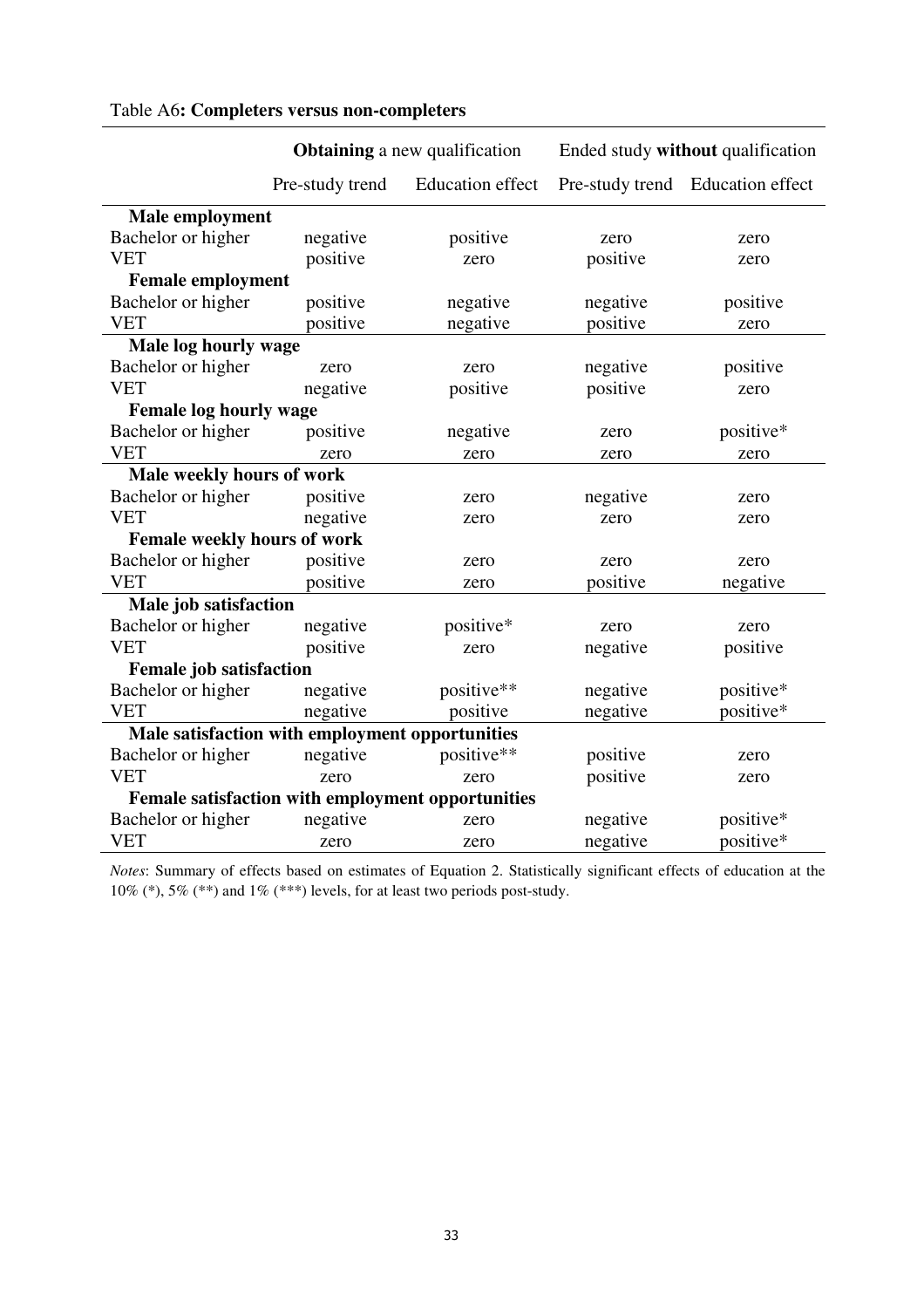|                                | <b>Obtaining</b> a new qualification              |                         | Ended study without qualification |                                  |
|--------------------------------|---------------------------------------------------|-------------------------|-----------------------------------|----------------------------------|
|                                | Pre-study trend                                   | <b>Education</b> effect |                                   | Pre-study trend Education effect |
| Male employment                |                                                   |                         |                                   |                                  |
| Bachelor or higher             | negative                                          | positive                | zero                              | zero                             |
| <b>VET</b>                     | positive                                          | zero                    | positive                          | zero                             |
| <b>Female employment</b>       |                                                   |                         |                                   |                                  |
| Bachelor or higher             | positive                                          | negative                | negative                          | positive                         |
| <b>VET</b>                     | positive                                          | negative                | positive                          | zero                             |
| <b>Male log hourly wage</b>    |                                                   |                         |                                   |                                  |
| Bachelor or higher             | zero                                              | zero                    | negative                          | positive                         |
| <b>VET</b>                     | negative                                          | positive                | positive                          | zero                             |
| <b>Female log hourly wage</b>  |                                                   |                         |                                   |                                  |
| Bachelor or higher             | positive                                          | negative                | zero                              | positive*                        |
| <b>VET</b>                     | zero                                              | zero                    | zero                              | zero                             |
| Male weekly hours of work      |                                                   |                         |                                   |                                  |
| Bachelor or higher             | positive                                          | zero                    | negative                          | zero                             |
| <b>VET</b>                     | negative                                          | zero                    | zero                              | zero                             |
| Female weekly hours of work    |                                                   |                         |                                   |                                  |
| Bachelor or higher             | positive                                          | zero                    | zero                              | zero                             |
| <b>VET</b>                     | positive                                          | zero                    | positive                          | negative                         |
| Male job satisfaction          |                                                   |                         |                                   |                                  |
| Bachelor or higher             | negative                                          | positive*               | zero                              | zero                             |
| <b>VET</b>                     | positive                                          | zero                    | negative                          | positive                         |
| <b>Female job satisfaction</b> |                                                   |                         |                                   |                                  |
| Bachelor or higher             | negative                                          | positive**              | negative                          | positive*                        |
| <b>VET</b>                     | negative                                          | positive                | negative                          | positive*                        |
|                                | Male satisfaction with employment opportunities   |                         |                                   |                                  |
| Bachelor or higher             | negative                                          | positive**              | positive                          | zero                             |
| <b>VET</b>                     | zero                                              | zero                    | positive                          | zero                             |
|                                | Female satisfaction with employment opportunities |                         |                                   |                                  |
| Bachelor or higher             | negative                                          | zero                    | negative                          | positive*                        |
| <b>VET</b>                     | zero                                              | zero                    | negative                          | positive*                        |

*Notes*: Summary of effects based on estimates of Equation 2. Statistically significant effects of education at the 10% (\*), 5% (\*\*) and 1% (\*\*\*) levels, for at least two periods post-study.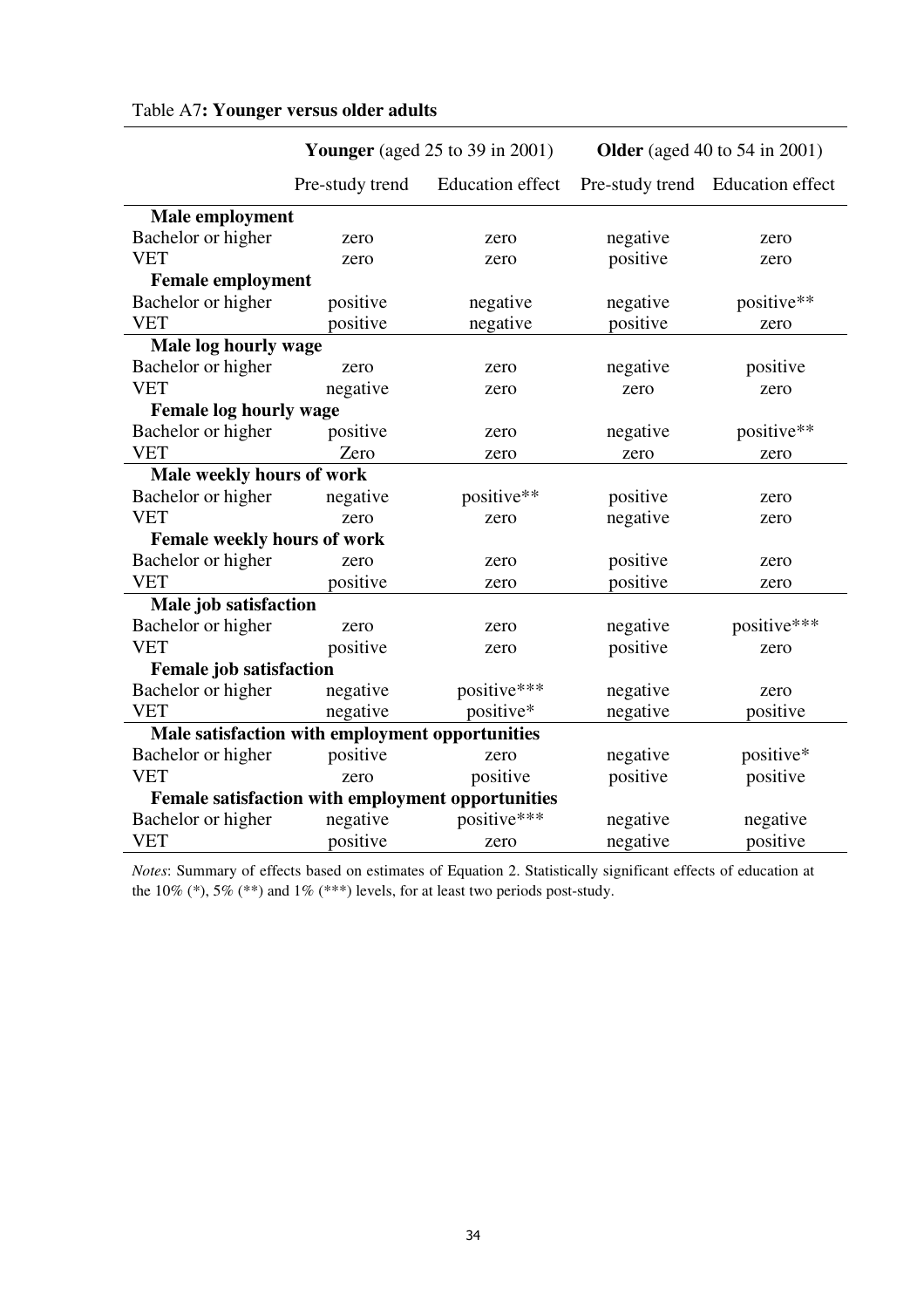|                                    | <b>Younger</b> (aged 25 to 39 in 2001)            |                         | <b>Older</b> (aged 40 to 54 in 2001) |                                  |
|------------------------------------|---------------------------------------------------|-------------------------|--------------------------------------|----------------------------------|
|                                    | Pre-study trend                                   | <b>Education</b> effect |                                      | Pre-study trend Education effect |
| Male employment                    |                                                   |                         |                                      |                                  |
| Bachelor or higher                 | zero                                              | zero                    | negative                             | zero                             |
| <b>VET</b>                         | zero                                              | zero                    | positive                             | zero                             |
| <b>Female employment</b>           |                                                   |                         |                                      |                                  |
| Bachelor or higher                 | positive                                          | negative                | negative                             | positive**                       |
| <b>VET</b>                         | positive                                          | negative                | positive                             | zero                             |
| Male log hourly wage               |                                                   |                         |                                      |                                  |
| Bachelor or higher                 | zero                                              | zero                    | negative                             | positive                         |
| <b>VET</b>                         | negative                                          | zero                    | zero                                 | zero                             |
| <b>Female log hourly wage</b>      |                                                   |                         |                                      |                                  |
| Bachelor or higher                 | positive                                          | zero                    | negative                             | positive**                       |
| <b>VET</b>                         | Zero                                              | zero                    | zero                                 | zero                             |
| Male weekly hours of work          |                                                   |                         |                                      |                                  |
| Bachelor or higher                 | negative                                          | positive**              | positive                             | zero                             |
| <b>VET</b>                         | zero                                              | zero                    | negative                             | zero                             |
| <b>Female weekly hours of work</b> |                                                   |                         |                                      |                                  |
| Bachelor or higher                 | zero                                              | zero                    | positive                             | zero                             |
| <b>VET</b>                         | positive                                          | zero                    | positive                             | zero                             |
| Male job satisfaction              |                                                   |                         |                                      |                                  |
| Bachelor or higher                 | zero                                              | zero                    | negative                             | positive***                      |
| <b>VET</b>                         | positive                                          | zero                    | positive                             | zero                             |
| <b>Female job satisfaction</b>     |                                                   |                         |                                      |                                  |
| Bachelor or higher                 | negative                                          | positive***             | negative                             | zero                             |
| <b>VET</b>                         | negative                                          | positive*               | negative                             | positive                         |
|                                    | Male satisfaction with employment opportunities   |                         |                                      |                                  |
| Bachelor or higher                 | positive                                          | zero                    | negative                             | positive*                        |
| <b>VET</b>                         | zero                                              | positive                | positive                             | positive                         |
|                                    | Female satisfaction with employment opportunities |                         |                                      |                                  |
| Bachelor or higher                 | negative                                          | positive***             | negative                             | negative                         |
| <b>VET</b>                         | positive                                          | zero                    | negative                             | positive                         |

#### Table A7**: Younger versus older adults**

*Notes*: Summary of effects based on estimates of Equation 2. Statistically significant effects of education at the 10% (\*), 5% (\*\*) and 1% (\*\*\*) levels, for at least two periods post-study.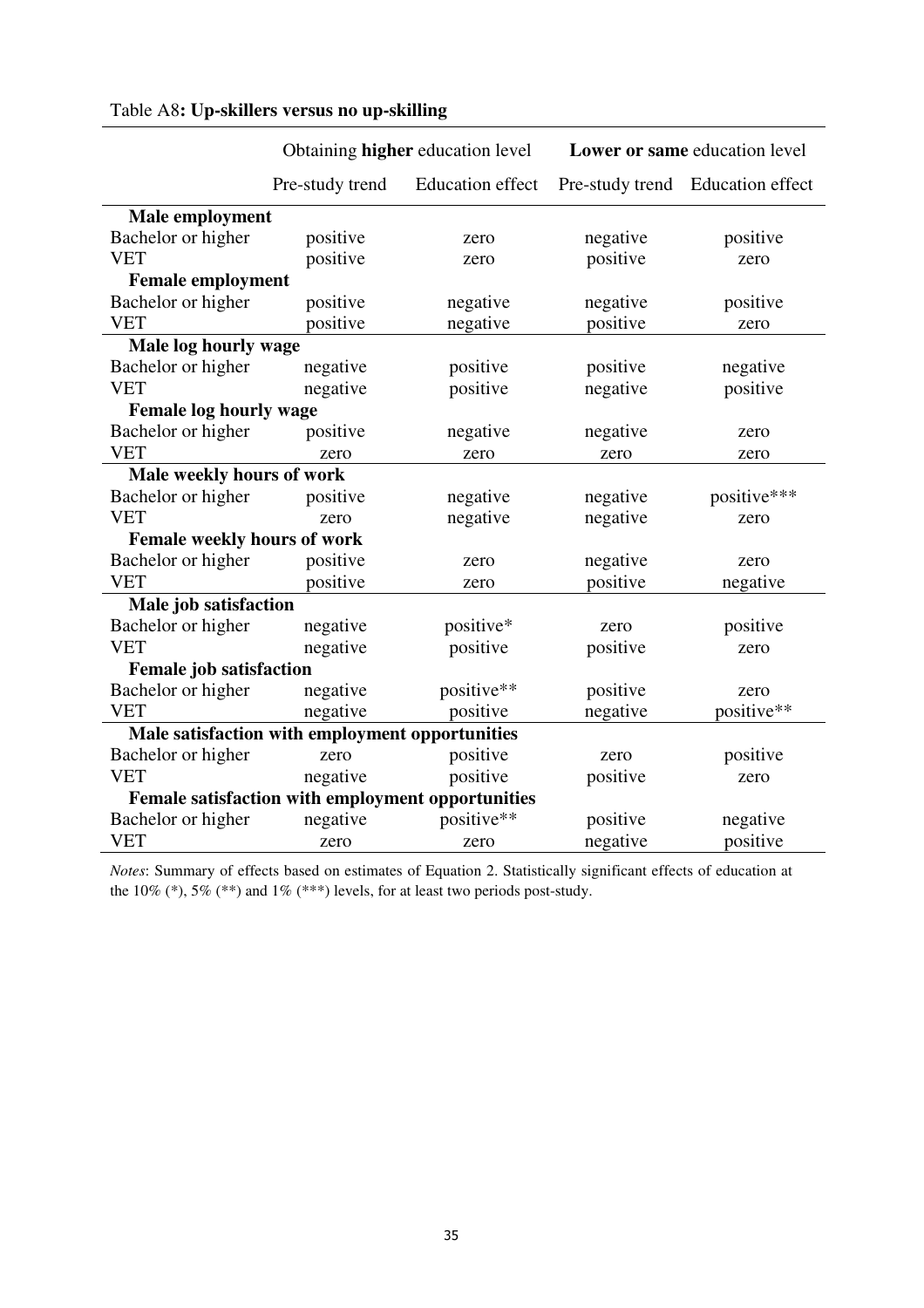|                               | Obtaining higher education level                  |                         | Lower or same education level |                                  |  |
|-------------------------------|---------------------------------------------------|-------------------------|-------------------------------|----------------------------------|--|
|                               | Pre-study trend                                   | <b>Education</b> effect |                               | Pre-study trend Education effect |  |
| <b>Male employment</b>        |                                                   |                         |                               |                                  |  |
| Bachelor or higher            | positive                                          | zero                    | negative                      | positive                         |  |
| <b>VET</b>                    | positive                                          | zero                    | positive                      | zero                             |  |
| <b>Female employment</b>      |                                                   |                         |                               |                                  |  |
| Bachelor or higher            | positive                                          | negative                | negative                      | positive                         |  |
| <b>VET</b>                    | positive                                          | negative                | positive                      | zero                             |  |
| Male log hourly wage          |                                                   |                         |                               |                                  |  |
| Bachelor or higher            | negative                                          | positive                | positive                      | negative                         |  |
| <b>VET</b>                    | negative                                          | positive                | negative                      | positive                         |  |
| <b>Female log hourly wage</b> |                                                   |                         |                               |                                  |  |
| Bachelor or higher            | positive                                          | negative                | negative                      | zero                             |  |
| <b>VET</b>                    | zero                                              | zero                    | zero                          | zero                             |  |
| Male weekly hours of work     |                                                   |                         |                               |                                  |  |
| Bachelor or higher            | positive                                          | negative                | negative                      | positive***                      |  |
| <b>VET</b>                    | zero                                              | negative                | negative                      | zero                             |  |
| Female weekly hours of work   |                                                   |                         |                               |                                  |  |
| Bachelor or higher            | positive                                          | zero                    | negative                      | zero                             |  |
| <b>VET</b>                    | positive                                          | zero                    | positive                      | negative                         |  |
| Male job satisfaction         |                                                   |                         |                               |                                  |  |
| Bachelor or higher            | negative                                          | positive*               | zero                          | positive                         |  |
| <b>VET</b>                    | negative                                          | positive                | positive                      | zero                             |  |
| Female job satisfaction       |                                                   |                         |                               |                                  |  |
| Bachelor or higher            | negative                                          | positive**              | positive                      | zero                             |  |
| <b>VET</b>                    | negative                                          | positive                | negative                      | positive**                       |  |
|                               | Male satisfaction with employment opportunities   |                         |                               |                                  |  |
| Bachelor or higher            | zero                                              | positive                | zero                          | positive                         |  |
| <b>VET</b>                    | negative                                          | positive                | positive                      | zero                             |  |
|                               | Female satisfaction with employment opportunities |                         |                               |                                  |  |
| Bachelor or higher            | negative                                          | positive**              | positive                      | negative                         |  |
| <b>VET</b>                    | zero                                              | zero                    | negative                      | positive                         |  |

#### Table A8**: Up-skillers versus no up-skilling**

*Notes*: Summary of effects based on estimates of Equation 2. Statistically significant effects of education at the 10% (\*), 5% (\*\*) and 1% (\*\*\*) levels, for at least two periods post-study.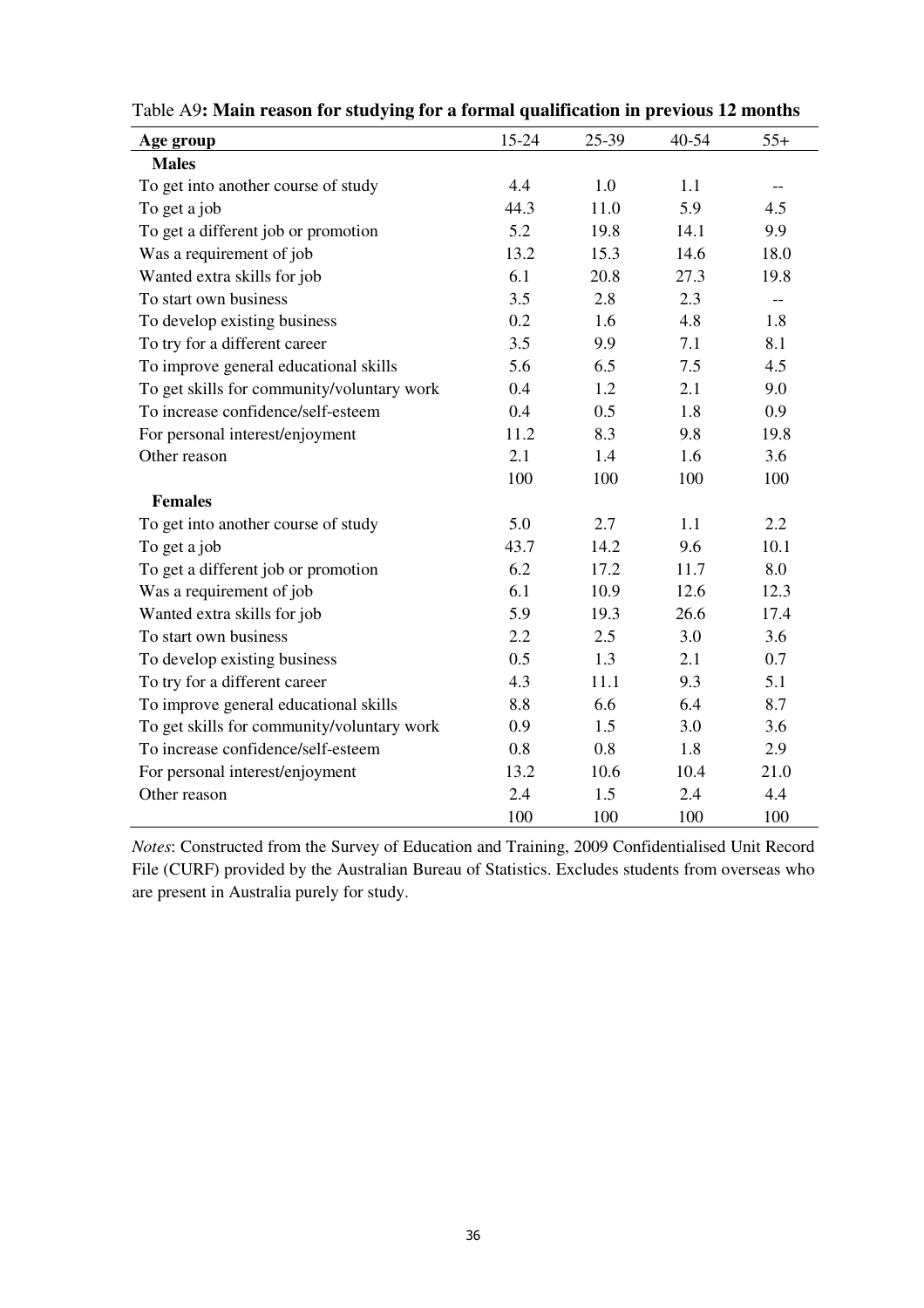| Age group                                  | $15 - 24$ | 25-39 | 40-54 | $55+$ |
|--------------------------------------------|-----------|-------|-------|-------|
| <b>Males</b>                               |           |       |       |       |
| To get into another course of study        | 4.4       | 1.0   | 1.1   | --    |
| To get a job                               | 44.3      | 11.0  | 5.9   | 4.5   |
| To get a different job or promotion        | 5.2       | 19.8  | 14.1  | 9.9   |
| Was a requirement of job                   | 13.2      | 15.3  | 14.6  | 18.0  |
| Wanted extra skills for job                | 6.1       | 20.8  | 27.3  | 19.8  |
| To start own business                      | 3.5       | 2.8   | 2.3   | $-$   |
| To develop existing business               | 0.2       | 1.6   | 4.8   | 1.8   |
| To try for a different career              | 3.5       | 9.9   | 7.1   | 8.1   |
| To improve general educational skills      | 5.6       | 6.5   | 7.5   | 4.5   |
| To get skills for community/voluntary work | 0.4       | 1.2   | 2.1   | 9.0   |
| To increase confidence/self-esteem         | 0.4       | 0.5   | 1.8   | 0.9   |
| For personal interest/enjoyment            | 11.2      | 8.3   | 9.8   | 19.8  |
| Other reason                               | 2.1       | 1.4   | 1.6   | 3.6   |
|                                            | 100       | 100   | 100   | 100   |
| <b>Females</b>                             |           |       |       |       |
| To get into another course of study        | 5.0       | 2.7   | 1.1   | 2.2   |
| To get a job                               | 43.7      | 14.2  | 9.6   | 10.1  |
| To get a different job or promotion        | 6.2       | 17.2  | 11.7  | 8.0   |
| Was a requirement of job                   | 6.1       | 10.9  | 12.6  | 12.3  |
| Wanted extra skills for job                | 5.9       | 19.3  | 26.6  | 17.4  |
| To start own business                      | 2.2       | 2.5   | 3.0   | 3.6   |
| To develop existing business               | 0.5       | 1.3   | 2.1   | 0.7   |
| To try for a different career              | 4.3       | 11.1  | 9.3   | 5.1   |
| To improve general educational skills      | 8.8       | 6.6   | 6.4   | 8.7   |
| To get skills for community/voluntary work | 0.9       | 1.5   | 3.0   | 3.6   |
| To increase confidence/self-esteem         | 0.8       | 0.8   | 1.8   | 2.9   |
| For personal interest/enjoyment            | 13.2      | 10.6  | 10.4  | 21.0  |
| Other reason                               | 2.4       | 1.5   | 2.4   | 4.4   |
|                                            | 100       | 100   | 100   | 100   |

Table A9**: Main reason for studying for a formal qualification in previous 12 months** 

*Notes*: Constructed from the Survey of Education and Training, 2009 Confidentialised Unit Record File (CURF) provided by the Australian Bureau of Statistics. Excludes students from overseas who are present in Australia purely for study.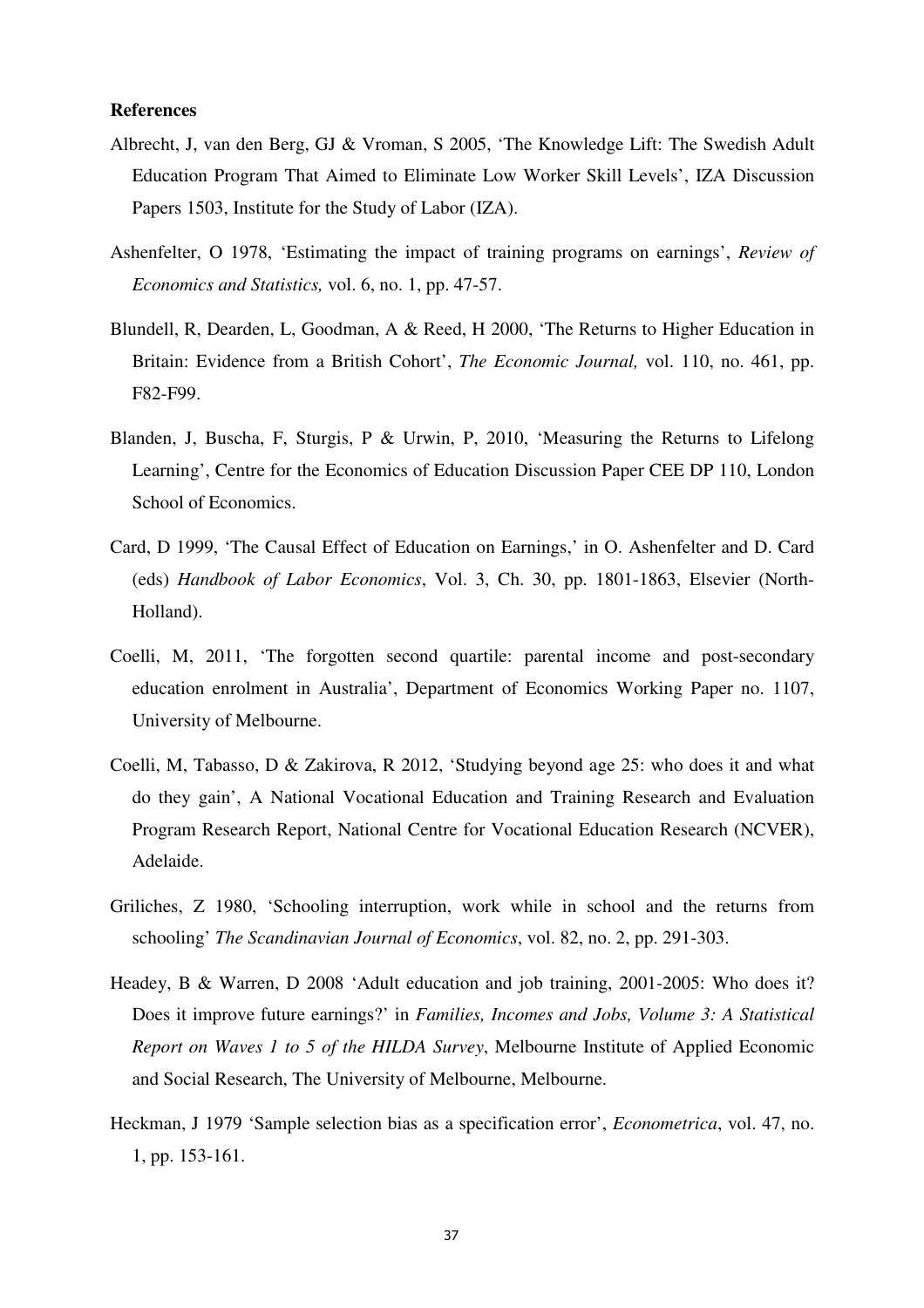#### **References**

- Albrecht, J, van den Berg, GJ & Vroman, S 2005, 'The Knowledge Lift: The Swedish Adult Education Program That Aimed to Eliminate Low Worker Skill Levels', IZA Discussion Papers 1503, Institute for the Study of Labor (IZA).
- Ashenfelter, O 1978, 'Estimating the impact of training programs on earnings', *Review of Economics and Statistics,* vol. 6, no. 1, pp. 47-57.
- Blundell, R, Dearden, L, Goodman, A & Reed, H 2000, 'The Returns to Higher Education in Britain: Evidence from a British Cohort', *The Economic Journal,* vol. 110, no. 461, pp. F82-F99.
- Blanden, J, Buscha, F, Sturgis, P & Urwin, P, 2010, 'Measuring the Returns to Lifelong Learning', Centre for the Economics of Education Discussion Paper CEE DP 110, London School of Economics.
- Card, D 1999, 'The Causal Effect of Education on Earnings,' in O. Ashenfelter and D. Card (eds) *Handbook of Labor Economics*, Vol. 3, Ch. 30, pp. 1801-1863, Elsevier (North-Holland).
- Coelli, M, 2011, 'The forgotten second quartile: parental income and post-secondary education enrolment in Australia', Department of Economics Working Paper no. 1107, University of Melbourne.
- Coelli, M, Tabasso, D & Zakirova, R 2012, 'Studying beyond age 25: who does it and what do they gain', A National Vocational Education and Training Research and Evaluation Program Research Report, National Centre for Vocational Education Research (NCVER), Adelaide.
- Griliches, Z 1980, 'Schooling interruption, work while in school and the returns from schooling' *The Scandinavian Journal of Economics*, vol. 82, no. 2, pp. 291-303.
- Headey, B & Warren, D 2008 'Adult education and job training, 2001-2005: Who does it? Does it improve future earnings?' in *Families, Incomes and Jobs, Volume 3: A Statistical Report on Waves 1 to 5 of the HILDA Survey*, Melbourne Institute of Applied Economic and Social Research, The University of Melbourne, Melbourne.
- Heckman, J 1979 'Sample selection bias as a specification error', *Econometrica*, vol. 47, no. 1, pp. 153-161.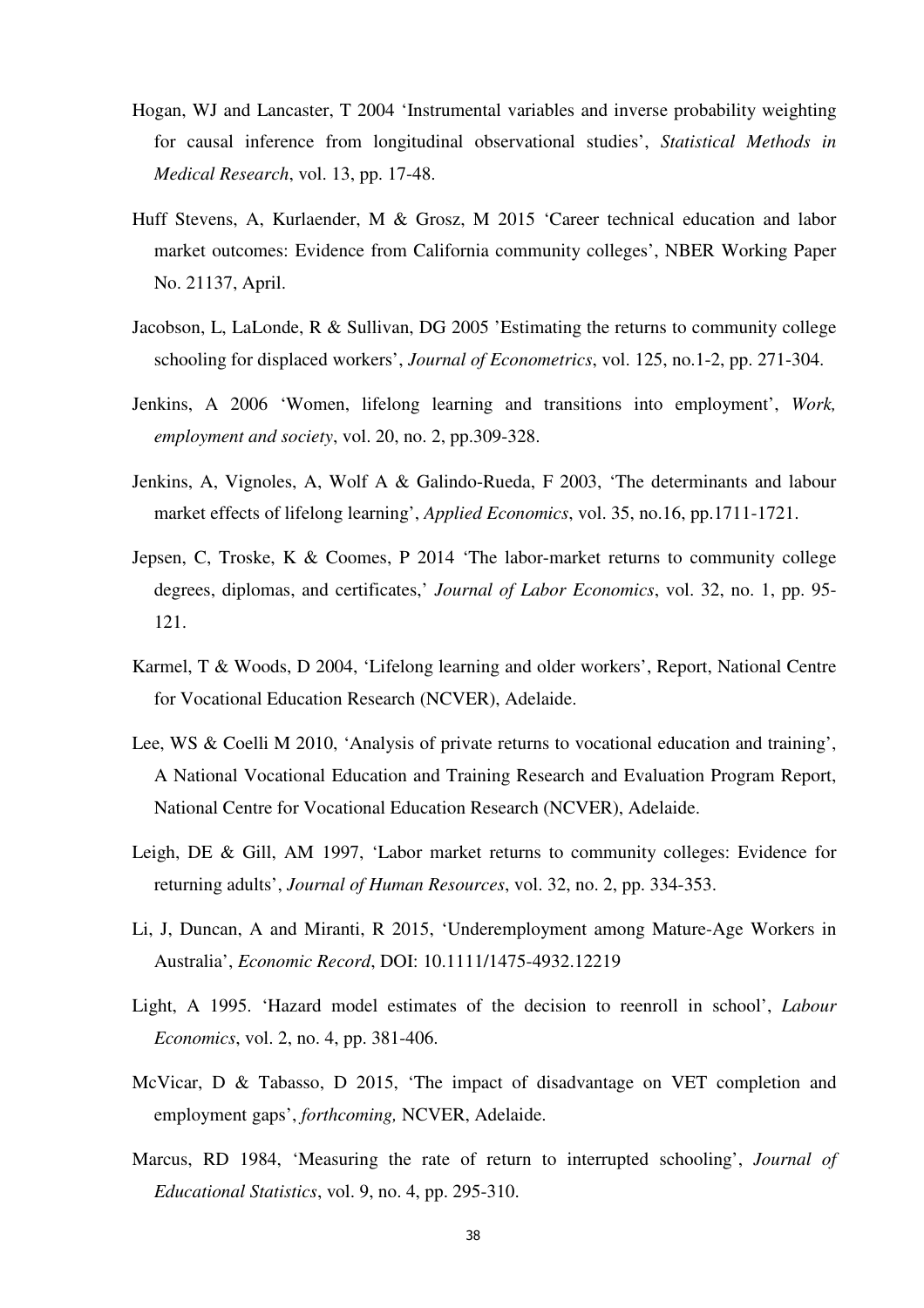- Hogan, WJ and Lancaster, T 2004 'Instrumental variables and inverse probability weighting for causal inference from longitudinal observational studies', *Statistical Methods in Medical Research*, vol. 13, pp. 17-48.
- Huff Stevens, A, Kurlaender, M & Grosz, M 2015 'Career technical education and labor market outcomes: Evidence from California community colleges', NBER Working Paper No. 21137, April.
- Jacobson, L, LaLonde, R & Sullivan, DG 2005 'Estimating the returns to community college schooling for displaced workers', *Journal of Econometrics*, vol. 125, no.1-2, pp. 271-304.
- Jenkins, A 2006 'Women, lifelong learning and transitions into employment', *Work, employment and society*, vol. 20, no. 2, pp.309-328.
- Jenkins, A, Vignoles, A, Wolf A & Galindo-Rueda, F 2003, 'The determinants and labour market effects of lifelong learning', *Applied Economics*, vol. 35, no.16, pp.1711-1721.
- Jepsen, C, Troske, K & Coomes, P 2014 'The labor-market returns to community college degrees, diplomas, and certificates,' *Journal of Labor Economics*, vol. 32, no. 1, pp. 95- 121.
- Karmel, T & Woods, D 2004, 'Lifelong learning and older workers', Report, National Centre for Vocational Education Research (NCVER), Adelaide.
- Lee, WS & Coelli M 2010, 'Analysis of private returns to vocational education and training', A National Vocational Education and Training Research and Evaluation Program Report, National Centre for Vocational Education Research (NCVER), Adelaide.
- Leigh, DE & Gill, AM 1997, 'Labor market returns to community colleges: Evidence for returning adults', *Journal of Human Resources*, vol. 32, no. 2, pp. 334-353.
- Li, J, Duncan, A and Miranti, R 2015, 'Underemployment among Mature-Age Workers in Australia', *Economic Record*, DOI: 10.1111/1475-4932.12219
- Light, A 1995. 'Hazard model estimates of the decision to reenroll in school', *Labour Economics*, vol. 2, no. 4, pp. 381-406.
- McVicar, D & Tabasso, D 2015, 'The impact of disadvantage on VET completion and employment gaps', *forthcoming,* NCVER, Adelaide.
- Marcus, RD 1984, 'Measuring the rate of return to interrupted schooling', *Journal of Educational Statistics*, vol. 9, no. 4, pp. 295-310.